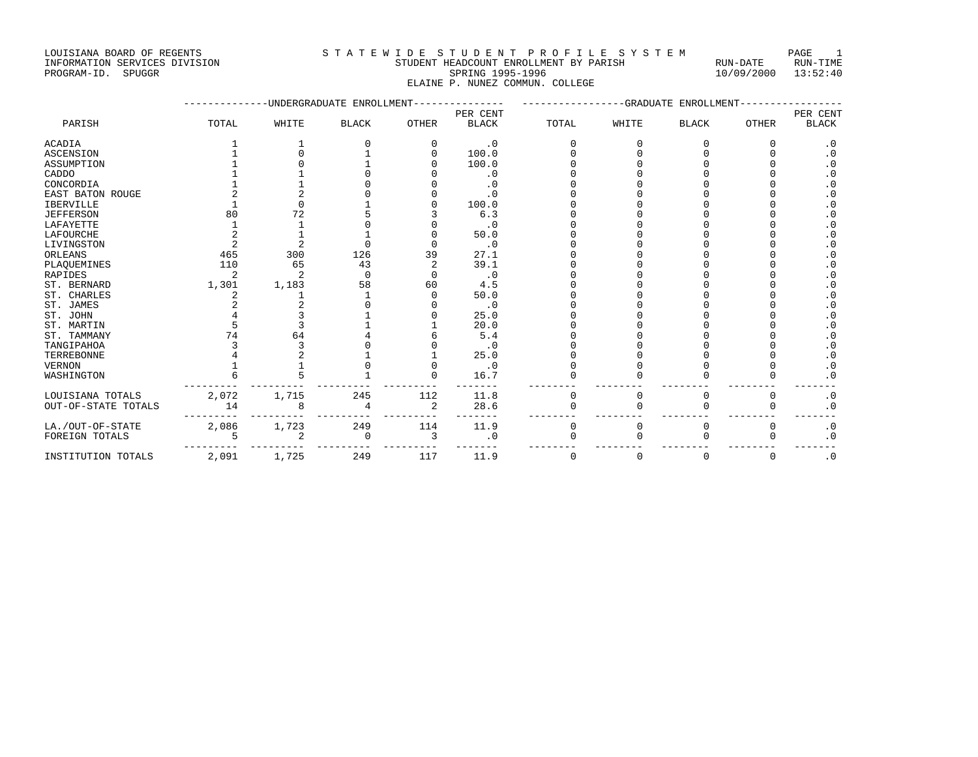## INFORMATION SERVICES DIVISION STUDENT HEADCOUNT ENROLLMENT BY PARISH RUN-DATE RUN-TIME PROGRAM-ID. SPUGGR SPRING 1995-1996 10/09/2000 13:52:40 ELAINE P. NUNEZ COMMUN. COLLEGE

|                     |       |       | UNDERGRADUATE ENROLLMENT |       | <b>GRADUATE</b><br>ENROLLMENT |             |          |              |              |                          |
|---------------------|-------|-------|--------------------------|-------|-------------------------------|-------------|----------|--------------|--------------|--------------------------|
| PARISH              | TOTAL | WHITE | <b>BLACK</b>             | OTHER | PER CENT<br><b>BLACK</b>      | TOTAL       | WHITE    | <b>BLACK</b> | <b>OTHER</b> | PER CENT<br><b>BLACK</b> |
|                     |       |       |                          |       |                               |             |          |              |              |                          |
| <b>ACADIA</b>       |       |       |                          |       | $\cdot$ 0                     |             | U        |              | Ω            | . 0                      |
| <b>ASCENSION</b>    |       |       |                          |       | 100.0                         |             |          |              |              | $\cdot$ 0                |
| ASSUMPTION          |       |       |                          |       | 100.0                         |             |          |              |              | . 0                      |
| CADDO               |       |       |                          |       | $\cdot$ 0                     |             |          |              |              | $\cdot$ 0                |
| CONCORDIA           |       |       |                          |       | $\cdot$ 0                     |             |          |              |              | $\cdot$ 0                |
| EAST BATON ROUGE    |       |       |                          |       | $\cdot$ 0                     |             |          |              |              | $\cdot$ 0                |
| <b>IBERVILLE</b>    |       |       |                          |       | 100.0                         |             |          |              |              | $\cdot$ 0                |
| <b>JEFFERSON</b>    | 80    | 72    |                          |       | 6.3                           |             |          |              |              | $\cdot$ 0                |
| LAFAYETTE           |       |       |                          |       | $\cdot$ 0                     |             |          |              |              | . 0                      |
| LAFOURCHE           |       |       |                          |       | 50.0                          |             |          |              |              | . 0                      |
| LIVINGSTON          |       |       |                          |       | $\cdot$ 0                     |             |          |              |              | . 0                      |
| ORLEANS             | 465   | 300   | 126                      | 39    | 27.1                          |             |          |              |              | . 0                      |
| PLAQUEMINES         | 110   | 65    | 43                       |       | 39.1                          |             |          |              |              | $\cdot$ 0                |
| <b>RAPIDES</b>      |       | ◠     | $\Omega$                 |       | $\cdot$ 0                     |             |          |              |              | . 0                      |
| ST. BERNARD         | 1,301 | 1,183 | 58                       | 60    | 4.5                           |             |          |              |              | $\cdot$ 0                |
| ST. CHARLES         |       |       |                          |       | 50.0                          |             |          |              |              | $\cdot$ 0                |
| ST. JAMES           |       |       |                          |       | $\cdot$ 0                     |             |          |              |              | . 0                      |
| ST. JOHN            |       |       |                          |       | 25.0                          |             |          |              |              | . 0                      |
| ST. MARTIN          |       |       |                          |       | 20.0                          |             |          |              |              | $\cdot$ 0                |
| ST. TAMMANY         | 74    | 64    |                          |       | 5.4                           |             |          |              |              | $\cdot$ 0                |
| TANGIPAHOA          |       |       |                          |       | $\cdot$ 0                     |             |          |              |              | $\cdot$ 0                |
| TERREBONNE          |       |       |                          |       | 25.0                          |             |          |              |              | $\cdot$ 0                |
| <b>VERNON</b>       |       |       |                          |       | $\cdot$ 0                     |             |          |              |              | $\cdot$ 0                |
| WASHINGTON          |       |       |                          |       | 16.7                          |             |          |              | U            | . 0                      |
| LOUISIANA TOTALS    | 2,072 | 1,715 | 245                      | 112   | 11.8                          | $\Omega$    | 0        |              | 0            | $\cdot$ 0                |
| OUT-OF-STATE TOTALS | 14    | 8     |                          | 2     | 28.6                          |             | $\Omega$ |              | 0            | $\cdot$ 0                |
| LA./OUT-OF-STATE    | 2,086 | 1,723 | 249                      | 114   | 11.9                          | 0           | 0        | $\Omega$     | 0            | $\cdot$ 0                |
| FOREIGN TOTALS      |       | 2     | $\Omega$                 | 3     | $\cdot$ 0                     |             | $\Omega$ |              | U            | $\cdot$ 0                |
| INSTITUTION TOTALS  | 2,091 | 1,725 | 249                      | 117   | 11.9                          | $\mathbf 0$ | 0        | $\Omega$     | $\mathbf 0$  | $\cdot$ 0                |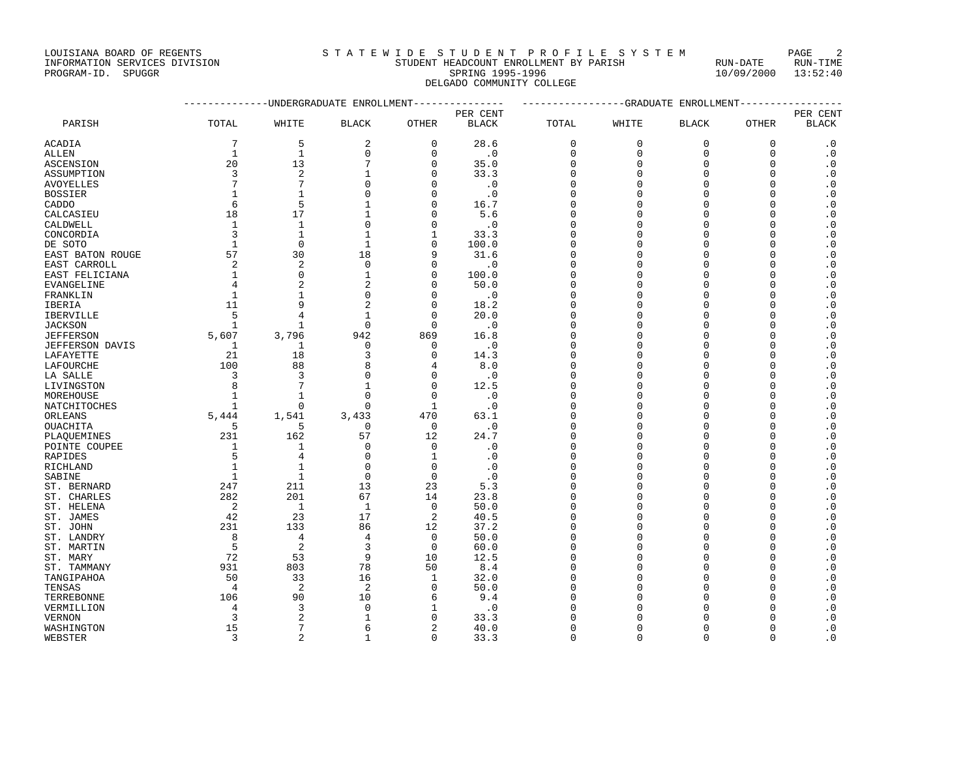|                               |                                        |                         | -----    |
|-------------------------------|----------------------------------------|-------------------------|----------|
| INFORMATION SERVICES DIVISION | STUDENT HEADCOUNT ENROLLMENT BY PARISH | RIJN-DATE               | RUN-TIME |
| PROGRAM-ID. SPUGGR            | SPRING 1995-1996                       | $10/09/2000$ $13:52:40$ |          |
|                               | DELGADO COMMUNITY COLLEGE              |                         |          |
|                               |                                        |                         |          |

|                  |              | ,,,,,,,,,,,,,,,,,,,,,,, | - Lundo Timininini |              | PER CENT     |          | undu un i<br>- Luitollininin 1 |              |              |                          |
|------------------|--------------|-------------------------|--------------------|--------------|--------------|----------|--------------------------------|--------------|--------------|--------------------------|
| PARISH           | TOTAL        | WHITE                   | <b>BLACK</b>       | <b>OTHER</b> | <b>BLACK</b> | TOTAL    | WHITE                          | <b>BLACK</b> | <b>OTHER</b> | PER CENT<br><b>BLACK</b> |
| <b>ACADIA</b>    | 7            | 5                       | $\overline{c}$     | $\mathbf{0}$ | 28.6         | 0        | 0                              | $\mathbf 0$  | $\mathbf 0$  | $\cdot$ 0                |
| ALLEN            | $\mathbf{1}$ | $\mathbf{1}$            | $\mathbf{0}$       | $\mathbf 0$  | $\cdot$ 0    | 0        | $\mathbf 0$                    | $\mathbf 0$  | $\mathbf 0$  | $\cdot$ 0                |
| ASCENSION        | 20           | 13                      | 7                  | 0            | 35.0         | $\Omega$ | $\Omega$                       | O            | $\mathbf 0$  | $\cdot$ 0                |
| ASSUMPTION       | 3            | 2                       | 1                  | $\Omega$     | 33.3         | $\Omega$ | $\Omega$                       | $\Omega$     | $\mathbf 0$  | $\cdot$ 0                |
| <b>AVOYELLES</b> | 7            | 7                       | $\Omega$           | O            | $\cdot$ 0    | $\Omega$ | $\Omega$                       | $\Omega$     | $\mathbf 0$  | $\cdot$ 0                |
| <b>BOSSIER</b>   | -1           | 1                       | $\Omega$           | $\Omega$     | $\cdot$ 0    | $\Omega$ | $\Omega$                       | U            | $\Omega$     | . 0                      |
| CADDO            | 6            | 5                       | $\mathbf{1}$       | $\Omega$     | 16.7         | $\Omega$ | $\Omega$                       | $\Omega$     | $\Omega$     | $\cdot$ 0                |
| CALCASIEU        | 18           | 17                      | 1                  | 0            | 5.6          | O        | $\Omega$                       | $\Omega$     | $\mathbf 0$  | $\cdot$ 0                |
| CALDWELL         | $\mathbf{1}$ | $1\,$                   | $\mathbf{0}$       | $\Omega$     | $\cdot$ 0    | $\Omega$ | $\Omega$                       | $\cap$       | $\Omega$     | $\cdot$ 0                |
| CONCORDIA        | 3            | 1                       | 1                  |              | 33.3         | U        | $\Omega$                       | U            | $\Omega$     | $\cdot$ 0                |
| DE SOTO          | $\mathbf{1}$ | $\mathbf 0$             | $\mathbf{1}$       | $\Omega$     | 100.0        | $\Omega$ | $\Omega$                       | $\cap$       | $\Omega$     | $\cdot$ 0                |
| EAST BATON ROUGE | 57           | 30                      | 18                 | 9            | 31.6         | $\Omega$ | $\Omega$                       | $\Omega$     | $\mathbf 0$  | $\cdot$ 0                |
| EAST CARROLL     | 2            | $\overline{c}$          | 0                  | O            | $\cdot$ 0    | O        | $\Omega$                       | O            | 0            | $\cdot$ 0                |
| EAST FELICIANA   | 1            | $\mathbf{0}$            | 1                  | $\Omega$     | 100.0        | $\Omega$ | $\Omega$                       | $\Omega$     | $\mathbf 0$  | $\cdot$ 0                |
| EVANGELINE       | 4            | $\overline{c}$          | $\overline{c}$     | $\Omega$     | 50.0         | $\Omega$ | $\Omega$                       | $\Omega$     | $\mathbf 0$  | $\cdot$ 0                |
| FRANKLIN         | $\mathbf{1}$ | 1                       | $\Omega$           | O            | $\cdot$ 0    | $\cap$   | $\Omega$                       | U            | $\Omega$     | $\cdot$ 0                |
| <b>IBERIA</b>    | 11           | 9                       | $\overline{c}$     | $\Omega$     | 18.2         | $\Omega$ | $\Omega$                       | $\Omega$     | $\mathbf 0$  |                          |
|                  | 5            | 4                       | 1                  | $\mathbf 0$  |              | 0        | $\Omega$                       | $\Omega$     | 0            | $\cdot$ 0<br>$\cdot$ 0   |
| IBERVILLE        |              |                         | $\Omega$           | $\Omega$     | 20.0         | $\Omega$ | $\Omega$                       | U            | $\Omega$     |                          |
| <b>JACKSON</b>   | -1           | 1                       |                    |              | $\cdot$ 0    |          |                                |              |              | $\cdot$ 0                |
| <b>JEFFERSON</b> | 5,607        | 3,796                   | 942                | 869          | 16.8         | $\Omega$ | $\Omega$                       | $\cap$       | $\Omega$     | $\cdot$ 0                |
| JEFFERSON DAVIS  | 1            | 1                       | 0                  | 0            | $\cdot$ 0    | $\Omega$ | $\Omega$                       | $\cap$       | $\mathbf 0$  | $\cdot$ 0                |
| LAFAYETTE        | 21           | 18                      | 3                  | $\mathbf 0$  | 14.3         | $\Omega$ | $\Omega$                       | $\Omega$     | 0            | $\cdot$ 0                |
| LAFOURCHE        | 100          | 88                      | 8                  | 4            | 8.0          | $\Omega$ | $\Omega$                       | U            | 0            | $\cdot$ 0                |
| LA SALLE         | 3            | 3                       | $\Omega$           | $\mathbf{0}$ | $\cdot$ 0    | $\Omega$ | $\Omega$                       | $\cap$       | $\mathbf 0$  | $\cdot$ 0                |
| LIVINGSTON       | 8            | 7                       | $\mathbf{1}$       | $\mathbf{0}$ | 12.5         | $\Omega$ | $\Omega$                       | $\Omega$     | $\mathbf 0$  | $\cdot$ 0                |
| MOREHOUSE        | -1           | 1                       | $\Omega$           | $\Omega$     | $\cdot$ 0    | n        | $\cap$                         | U            | $\Omega$     | $\cdot$ 0                |
| NATCHITOCHES     | $\mathbf{1}$ | $\mathbf{0}$            | $\Omega$           | $\mathbf{1}$ | $\cdot$ 0    | $\Omega$ | $\Omega$                       | $\Omega$     | $\mathbf 0$  | $\cdot$ 0                |
| ORLEANS          | 5,444        | 1,541                   | 3,433              | 470          | 63.1         | $\Omega$ | $\Omega$                       | $\Omega$     | $\mathbf 0$  | $\cdot$ 0                |
| OUACHITA         | 5            | 5                       | 0                  | 0            | $\cdot$ 0    | U        | $\Omega$                       | C            | $\mathbf 0$  | $\cdot$ 0                |
| PLAOUEMINES      | 231          | 162                     | 57                 | 12           | 24.7         | $\Omega$ | $\Omega$                       | $\Omega$     | $\mathbf 0$  | $\cdot$ 0                |
| POINTE COUPEE    | 1            | $\mathbf 1$             | $\Omega$           | $\mathbf 0$  | $\cdot$ 0    | $\Omega$ | $\Omega$                       | $\Omega$     | $\mathbf 0$  | $\cdot$ 0                |
| RAPIDES          | 5            | 4                       | $\Omega$           | $\mathbf{1}$ | $\cdot$ 0    | $\Omega$ | $\Omega$                       | U            | $\Omega$     | . 0                      |
| RICHLAND         | $\mathbf{1}$ | $\mathbf{1}$            | $\Omega$           | $\Omega$     | $\cdot$ 0    | $\Omega$ | $\Omega$                       | $\cap$       | $\Omega$     | $\cdot$ 0                |
| SABINE           | 1            | $\mathbf{1}$            | $\mathbf 0$        | $\mathbf 0$  | $\cdot$ 0    | U        | $\Omega$                       | $\Omega$     | $\mathbf 0$  | $\cdot$ 0                |
| ST. BERNARD      | 247          | 211                     | 13                 | 23           | 5.3          | $\Omega$ | $\Omega$                       | $\Omega$     | 0            | $\cdot$ 0                |
| ST. CHARLES      | 282          | 201                     | 67                 | 14           | 23.8         | n        | $\Omega$                       | U            | $\Omega$     | $\cdot$ 0                |
| ST. HELENA       | $\sqrt{2}$   | $\mathbf{1}$            | $\mathbf{1}$       | $\mathbf 0$  | 50.0         | $\Omega$ | $\Omega$                       | $\cap$       | $\Omega$     | $\cdot$ 0                |
| ST. JAMES        | 42           | 23                      | 17                 | 2            | 40.5         | $\Omega$ | $\Omega$                       | $\Omega$     | $\mathbf 0$  | $\cdot$ 0                |
| ST. JOHN         | 231          | 133                     | 86                 | 12           | 37.2         | O        | $\Omega$                       | C            | $\mathbf 0$  | $\cdot$ 0                |
| ST. LANDRY       | 8            | $\overline{4}$          | $\overline{4}$     | $\mathbf 0$  | 50.0         | $\Omega$ | $\Omega$                       | $\Omega$     | $\mathbf 0$  | $\cdot$ 0                |
| ST. MARTIN       | 5            | $\overline{c}$          | 3                  | $\mathbf{0}$ | 60.0         | $\Omega$ | $\Omega$                       | $\Omega$     | $\mathbf 0$  | $\cdot$ 0                |
| ST. MARY         | 72           | 53                      | 9                  | 10           | 12.5         | U        | $\Omega$                       | U            | $\Omega$     | $\cdot$ 0                |
| ST. TAMMANY      | 931          | 803                     | 78                 | 50           | 8.4          | $\Omega$ | $\Omega$                       | $\Omega$     | 0            | $\cdot$ 0                |
| TANGIPAHOA       | 50           | 33                      | 16                 | 1            | 32.0         | $\Omega$ | $\Omega$                       | $\Omega$     | $\mathbf 0$  | $\cdot$ 0                |
| TENSAS           | 4            | $\overline{2}$          | $\overline{2}$     | $\mathbf{0}$ | 50.0         | $\Omega$ | $\Omega$                       | C            | $\Omega$     | $\cdot$ 0                |
| TERREBONNE       | 106          | 90                      | 10                 | 6            | 9.4          | $\Omega$ | $\Omega$                       | C            | $\Omega$     | $\cdot$ 0                |
| VERMILLION       | 4            | 3                       | $\Omega$           | 1            | $\cdot$ 0    | $\Omega$ | $\Omega$                       | U            | $\Omega$     | $\cdot$ 0                |
| <b>VERNON</b>    | 3            | $\overline{a}$          | $\mathbf{1}$       | O            | 33.3         | $\Omega$ | $\Omega$                       | $\cap$       | $\Omega$     | $\cdot$ 0                |
| WASHINGTON       | 15           | 7                       | 6                  | 2            | 40.0         | U        | $\Omega$                       | O            | 0            | $\cdot$ 0                |
| WEBSTER          | 3            | $\overline{2}$          | $\mathbf{1}$       | $\Omega$     | 33.3         | $\Omega$ | $\Omega$                       | $\Omega$     | $\Omega$     | $\cdot$ 0                |
|                  |              |                         |                    |              |              |          |                                |              |              |                          |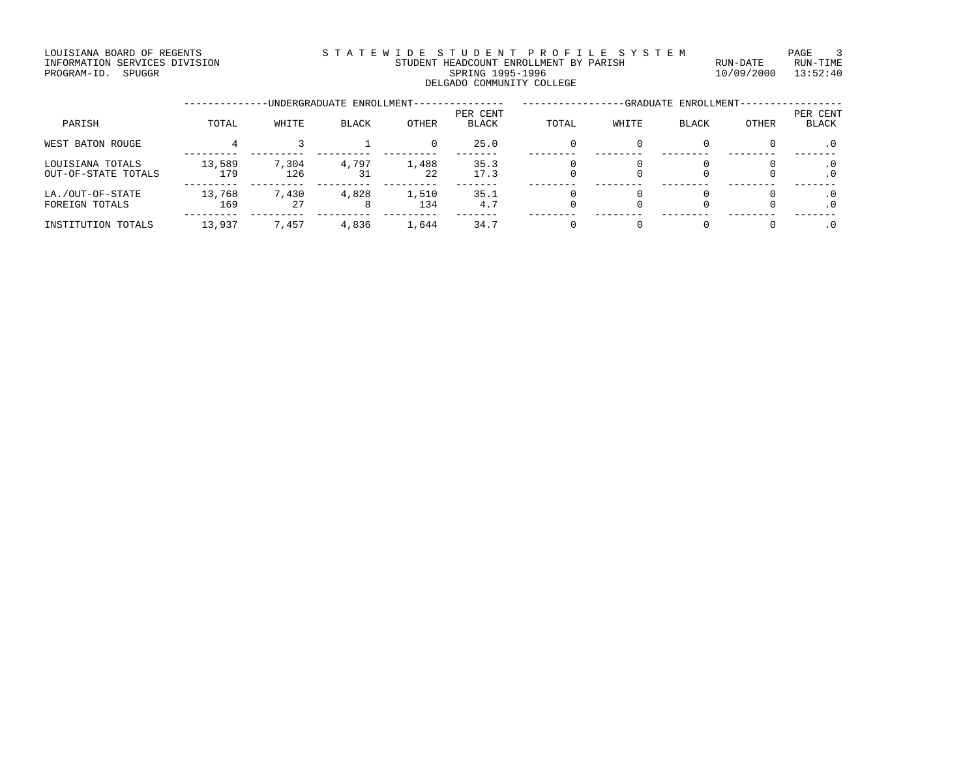### LOUISIANA BOARD OF REGENTS S T A T E W I D E S T U D E N T P R O F I L E S Y S T E M PAGE 3 INFORMATION SERVICES DIVISION STUDENT HEADCOUNT ENROLLMENT BY PARISH RUN-DATE RUN-TIME PROGRAM-ID. SPUGGR SPRING 1995-1996 10/09/2000 13:52:40 DELGADO COMMUNITY COLLEGE

|                                         |               |              | -UNDERGRADUATE ENROLLMENT- |              |                          |       |       | -GRADUATE ENROLLMENT- |              |                          |
|-----------------------------------------|---------------|--------------|----------------------------|--------------|--------------------------|-------|-------|-----------------------|--------------|--------------------------|
| PARISH                                  | TOTAL         | WHITE        | <b>BLACK</b>               | <b>OTHER</b> | PER CENT<br><b>BLACK</b> | TOTAL | WHITE | <b>BLACK</b>          | <b>OTHER</b> | PER CENT<br><b>BLACK</b> |
| WEST BATON ROUGE                        |               |              |                            | 0            | 25.0                     | 0     |       |                       | 0            | $\cdot$ 0                |
| LOUISIANA TOTALS<br>OUT-OF-STATE TOTALS | 13,589<br>179 | 7,304<br>126 | 4,797<br>31                | 1,488<br>22  | 35.3<br>17.3             |       |       |                       |              | $\cdot$ 0<br>$\cdot$ 0   |
| LA./OUT-OF-STATE<br>FOREIGN TOTALS      | 13,768<br>169 | 7,430<br>27  | 4,828                      | 1,510<br>134 | 35.1<br>4.7              |       |       |                       |              | $\cdot$ 0<br>$\cdot$ 0   |
| INSTITUTION TOTALS                      | 13,937        | 7,457        | 4,836                      | 1,644        | 34.7                     |       |       |                       |              | $\cdot$ 0                |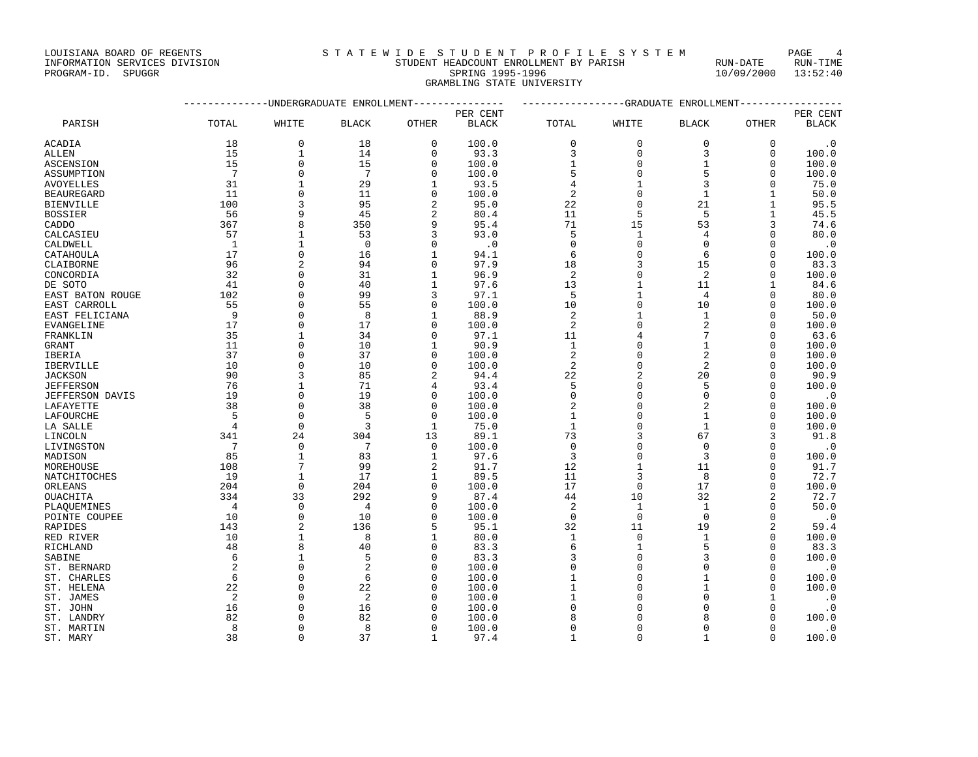GRAMBLING STATE UNIVERSITY

|                  |                 | -----------UNDERGRADUATE ENROLLMENT-------------- |                |              | ---------------GRADUATE ENROLLMENT-------------- |                     |                |                |                |                |
|------------------|-----------------|---------------------------------------------------|----------------|--------------|--------------------------------------------------|---------------------|----------------|----------------|----------------|----------------|
|                  |                 |                                                   |                |              | PER CENT                                         | PER CENT            |                |                |                |                |
| PARISH           | TOTAL           | WHITE                                             | <b>BLACK</b>   | OTHER        | <b>BLACK</b>                                     | TOTAL               | WHITE          | <b>BLACK</b>   | OTHER          | <b>BLACK</b>   |
| ACADIA           | 18              | $\mathbf{0}$                                      | 18             | $\mathbf 0$  | 100.0                                            | $\mathbf 0$         | $\mathbf 0$    | $\Omega$       | $\mathbf 0$    | $\cdot$ 0      |
| ALLEN            | 15              | 1                                                 | 14             | 0            | 93.3                                             | 3                   | $\mathbf 0$    | 3              | $\mathbf 0$    | 100.0          |
| ASCENSION        | 15              | $\Omega$                                          | 15             | $\Omega$     | 100.0                                            | 1                   | $\Omega$       | $\mathbf{1}$   | $\Omega$       | 100.0          |
| ASSUMPTION       | $7\overline{ }$ | $\Omega$                                          | 7              | $\Omega$     | 100.0                                            | 5                   | $\Omega$       |                | $\Omega$       | 100.0          |
| AVOYELLES        | 31              |                                                   | 29             |              | 93.5                                             | 4                   | 1              |                | 0              | 75.0           |
| BEAUREGARD       | 11              | $\Omega$                                          | 11             | 0            | 100.0                                            | 2                   | 0              | $\mathbf{1}$   | 1              | 50.0           |
| BIENVILLE        | 100             | 3                                                 | 95             | 2            | 95.0                                             | 22                  | $\Omega$       | 21             | $\mathbf{1}$   | 95.5           |
| BOSSIER          | 56              | 9                                                 | 45             | 2            | 80.4                                             | 11                  | 5              | 5              | $\mathbf{1}$   | 45.5           |
| CADDO            | 367             | 8                                                 | 350            | 9            | 95.4                                             | 71                  | 15             | 53             | 3              | 74.6           |
| CALCASIEU        | 57              | $\mathbf{1}$                                      | 53             | 3            | 93.0                                             | 5                   | $\mathbf{1}$   | 4              | $\Omega$       | 80.0           |
| CALDWELL         | <sup>1</sup>    | $\mathbf{1}$                                      | $\Omega$       | $\Omega$     | $\cdot$ 0                                        | $\Omega$            | $\Omega$       | $\Omega$       | $\Omega$       | $\cdot$ 0      |
| CATAHOULA        | 17              | $\mathbf{0}$                                      | 16             |              | 94.1                                             | 6                   | $\Omega$       | 6              | $\mathbf 0$    | 100.0          |
| CLAIBORNE        | 96              | $\overline{a}$                                    | 94             | $\Omega$     | 97.9                                             | 18                  | 3              | 15             | $\Omega$       | 83.3           |
| CONCORDIA        | 32              | $\Omega$                                          | 31             | 1            | 96.9                                             | 2                   | $\Omega$       | 2              | $\mathbf 0$    | 100.0          |
| DE SOTO          | 41              | $\Omega$                                          | 40             | 1            | 97.6                                             | 13                  | $\mathbf 1$    | 11             | 1              | 84.6           |
| EAST BATON ROUGE | 102             | $\Omega$                                          | 99             | 3            | 97.1                                             | 5                   | $\mathbf{1}$   | $\overline{4}$ | $\mathbf 0$    | 80.0           |
| EAST CARROLL     | 55              | $\Omega$                                          | 55             | $\Omega$     | 100.0                                            | 10                  | $\Omega$       | 10             | $\Omega$       | 100.0          |
| EAST FELICIANA   | 9               | $\Omega$                                          | 8              |              | 88.9                                             | 2                   | 1              | $\mathbf{1}$   | 0              | 50.0           |
| EVANGELINE       | 17              | $\Omega$                                          | 17             | $\Omega$     | 100.0                                            | 2                   | $\Omega$       | $\overline{2}$ | $\Omega$       | 100.0          |
| FRANKLIN         | 35              |                                                   | 34             | $\Omega$     | 97.1                                             | 11                  |                |                | U              | 63.6           |
|                  |                 | $\mathbf 0$                                       |                | 1            | 90.9                                             |                     | 0              | 1              | 0              |                |
| GRANT            | 11<br>37        | $\Omega$                                          | 10<br>37       | 0            | 100.0                                            | 1<br>$\overline{2}$ | $\Omega$       | 2              | $\Omega$       | 100.0<br>100.0 |
| IBERIA           | 10              | $\Omega$                                          | 10             | $\cap$       |                                                  | $\overline{2}$      | $\Omega$       | $\overline{2}$ | $\Omega$       |                |
| IBERVILLE        | 90              |                                                   |                |              | 100.0                                            |                     |                |                |                | 100.0          |
| JACKSON          |                 | 3                                                 | 85             | 2            | 94.4                                             | 22                  | $\overline{2}$ | 20             | $\Omega$       | 90.9           |
| <b>JEFFERSON</b> | 76              | $\mathbf{1}$                                      | 71             | 4            | 93.4                                             | 5                   | $\Omega$       | 5              | $\Omega$       | 100.0          |
| JEFFERSON DAVIS  | 19              | $\Omega$                                          | 19             | $\Omega$     | 100.0                                            | $\Omega$            | $\Omega$       | $\Omega$       | $\Omega$       | $\cdot$ 0      |
| LAFAYETTE        | 38              | $\mathbf 0$                                       | 38             | 0            | 100.0                                            | 2                   | $\Omega$       | 2              | 0              | 100.0          |
| LAFOURCHE        | 5               | $\Omega$                                          | 5              | $\Omega$     | 100.0                                            | 1                   | $\Omega$       | $\mathbf{1}$   | $\Omega$       | 100.0          |
| LA SALLE         | $\overline{4}$  | $\Omega$                                          | 3              | $\mathbf{1}$ | 75.0                                             | 1                   | $\Omega$       | $\mathbf{1}$   | $\mathbf 0$    | 100.0          |
| LINCOLN          | 341             | 24                                                | 304            | 13           | 89.1                                             | 73                  | 3              | 67             | 3              | 91.8           |
| LIVINGSTON       | 7               | $\Omega$                                          | 7              | $\Omega$     | 100.0                                            | $\mathbf 0$         | $\Omega$       | $\Omega$       | $\Omega$       | $\cdot$ 0      |
| MADISON          | 85              | $\mathbf{1}$                                      | 83             | 1            | 97.6                                             | 3                   | $\mathbf 0$    | 3              | O              | 100.0          |
| MOREHOUSE        | 108             | 7                                                 | 99             | 2            | 91.7                                             | 12                  | 1              | 11             | $\Omega$       | 91.7           |
| NATCHITOCHES     | 19              | 1                                                 | 17             | 1            | 89.5                                             | 11                  | 3              | 8              | U              | 72.7           |
| ORLEANS          | 204             | $\Omega$                                          | 204            | $\Omega$     | 100.0                                            | 17                  | $\mathbf{0}$   | 17             | O              | 100.0          |
| OUACHITA         | 334             | 33                                                | 292            | 9            | 87.4                                             | 44                  | 10             | 32             | 2              | 72.7           |
| PLAQUEMINES      | 4               | $\Omega$                                          | 4              | O            | 100.0                                            | $\overline{c}$      | 1              | $\mathbf{1}$   | $\Omega$       | 50.0           |
| POINTE COUPEE    | 10              | $\Omega$                                          | 10             | $\cap$       | 100.0                                            | $\mathbf 0$         | $\mathbf 0$    | $\Omega$       | $\Omega$       | $\cdot$ 0      |
| RAPIDES          | 143             | $\mathfrak{D}$                                    | 136            | 5            | 95.1                                             | 32                  | 11             | 19             | $\overline{a}$ | 59.4           |
| RED RIVER        | 10              | $\mathbf{1}$                                      | 8              | 1            | 80.0                                             | 1                   | $\mathbf{0}$   | $\mathbf{1}$   | $\Omega$       | 100.0          |
| RICHLAND         | 48              | $\mathsf{R}$                                      | 40             | $\Omega$     | 83.3                                             | 6                   | $\mathbf{1}$   |                | $\Omega$       | 83.3           |
| SABINE           | 6               | $\mathbf{1}$                                      | 5              | $\Omega$     | 83.3                                             | 3                   | $\Omega$       |                | $\Omega$       | 100.0          |
| ST. BERNARD      | 2               | $\Omega$                                          | $\overline{c}$ | O            | 100.0                                            | 0                   | $\Omega$       |                | 0              | $\cdot$ 0      |
| ST. CHARLES      | 6               | $\cap$                                            | 6              | ∩            | 100.0                                            |                     | $\Omega$       |                | $\mathbf 0$    | 100.0          |
| ST. HELENA       | 22              | $\cap$                                            | 22             |              | 100.0                                            |                     | $\Omega$       |                | $\Omega$       | 100.0          |
| ST. JAMES        | 2               | $\Omega$                                          | 2              |              | 100.0                                            |                     | $\Omega$       |                | 1              | $\cdot$ 0      |
| ST. JOHN         | 16              | $\Omega$                                          | 16             | $\Omega$     | 100.0                                            | $\Omega$            | $\Omega$       | $\Omega$       | $\Omega$       | $\cdot$ 0      |

ST. LANDRY 62 62 0 82 0 100.0 8 0 8 0 100.0 ST. MARTIN 8 0 8 0 100.0 0 0 0 0 .0 ST. MARY 38 0 37 1 97.4 1 0 1 0 100.0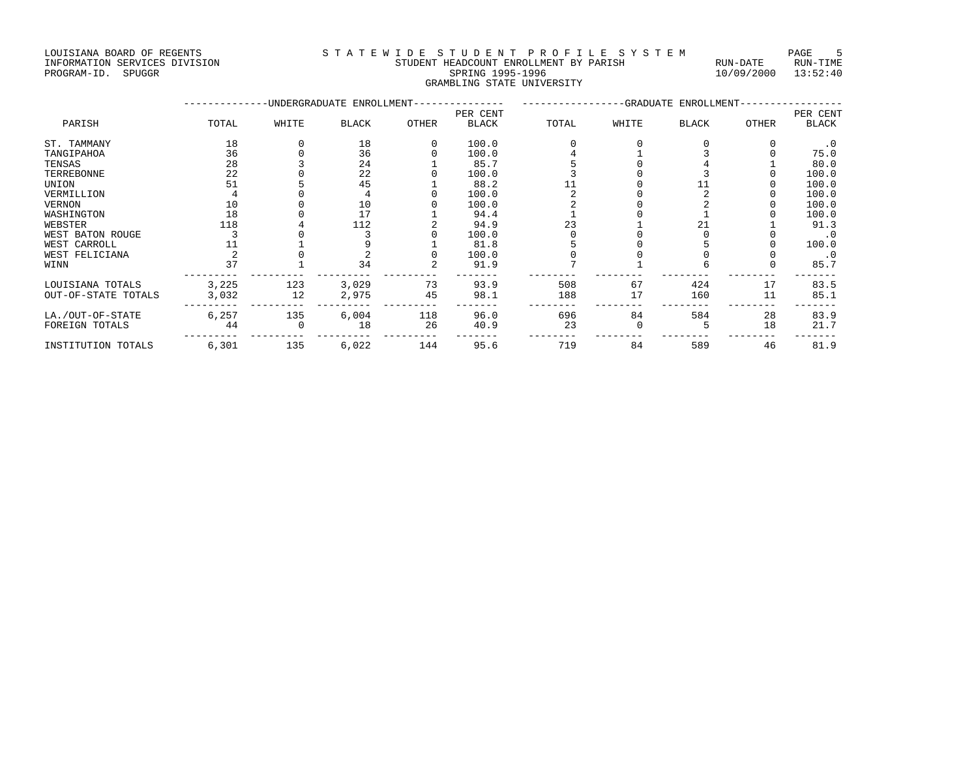| INFORMATION SERVICES DIVISION | STUDENT HEADCOUNT ENROLLMENT BY PARISH | RUN-DATE | RUN-TIME |
|-------------------------------|----------------------------------------|----------|----------|
| PROGRAM-ID.<br>SPUGGR         | SPRING 1995-1996                       |          |          |
|                               | GRAMBLING STATE UNIVERSITY             |          |          |

|                     |       |       | -UNDERGRADUATE ENROLLMENT- |              | -GRADUATE ENROLLMENT- |       |       |              |              |              |
|---------------------|-------|-------|----------------------------|--------------|-----------------------|-------|-------|--------------|--------------|--------------|
|                     |       |       |                            |              | PER CENT              |       |       |              |              | PER CENT     |
| PARISH              | TOTAL | WHITE | <b>BLACK</b>               | <b>OTHER</b> | <b>BLACK</b>          | TOTAL | WHITE | <b>BLACK</b> | <b>OTHER</b> | <b>BLACK</b> |
| ST. TAMMANY         | 18    |       | 18                         |              | 100.0                 |       |       |              |              | $\cdot$ 0    |
| TANGIPAHOA          | 36    |       | 36                         |              | 100.0                 |       |       |              |              | 75.0         |
| TENSAS              | 28    |       | 24                         |              | 85.7                  |       |       |              |              | 80.0         |
| TERREBONNE          | 22    |       | 22                         |              | 100.0                 |       |       |              |              | 100.0        |
| UNION               |       |       | 45                         |              | 88.2                  |       |       |              |              | 100.0        |
| VERMILLION          |       |       |                            |              | 100.0                 |       |       |              |              | 100.0        |
| VERNON              | 10    |       | 10                         |              | 100.0                 |       |       |              |              | 100.0        |
| WASHINGTON          | 18    |       | 17                         |              | 94.4                  |       |       |              |              | 100.0        |
| WEBSTER             | 118   |       | 112                        |              | 94.9                  | 23    |       |              |              | 91.3         |
| WEST BATON ROUGE    |       |       |                            |              | 100.0                 |       |       |              |              | $\cdot$ 0    |
| WEST CARROLL        |       |       |                            |              | 81.8                  |       |       |              |              | 100.0        |
| WEST FELICIANA      |       |       |                            |              | 100.0                 |       |       |              |              | $\cdot$ 0    |
| WINN                | 37    |       | 34                         |              | 91.9                  |       |       |              |              | 85.7         |
| LOUISIANA TOTALS    | 3,225 | 123   | 3,029                      | 73           | 93.9                  | 508   | 67    | 424          | 17           | 83.5         |
| OUT-OF-STATE TOTALS | 3,032 | 12    | 2,975                      | 45           | 98.1                  | 188   | 17    | 160          | 11           | 85.1         |
| LA./OUT-OF-STATE    | 6,257 | 135   | 6,004                      | 118          | 96.0                  | 696   | 84    | 584          | 28           | 83.9         |
| FOREIGN TOTALS      | 44    |       | 18                         | 26           | 40.9                  | 23    |       |              | 18           | 21.7         |
| INSTITUTION TOTALS  | 6,301 | 135   | 6,022                      | 144          | 95.6                  | 719   | 84    | 589          | 46           | 81.9         |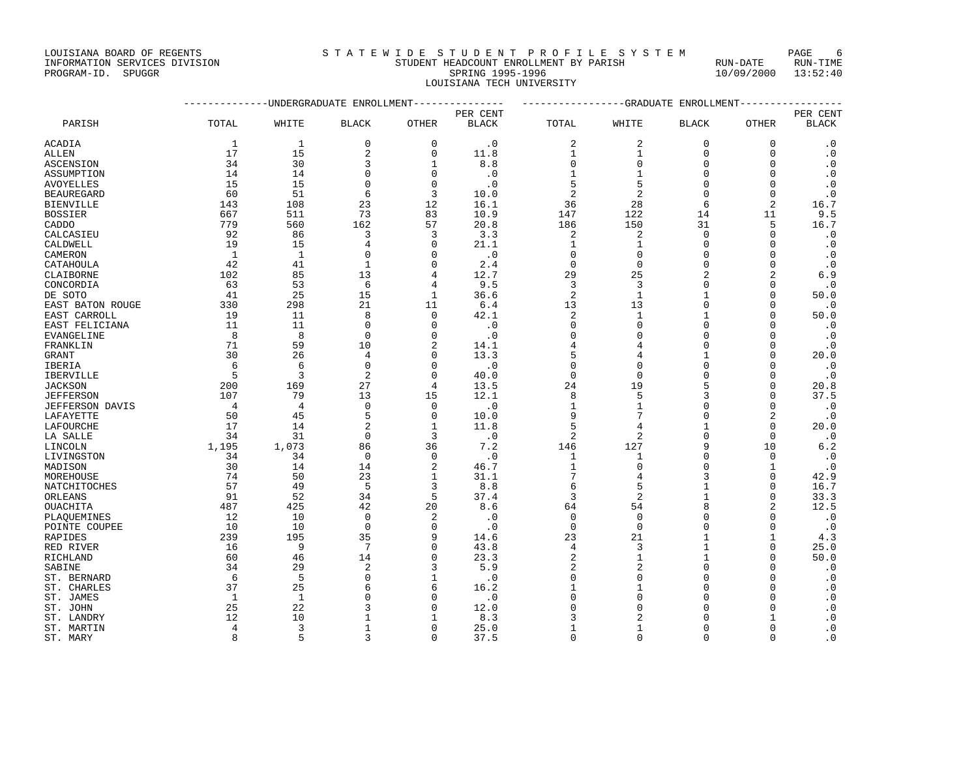INFORMATION SERVICES DIVISION STUDENT HEADCOUNT ENROLLMENT BY PARISH RUN-DATE RUN-TIME PROGRAM-ID. SPUGGR SPRING 1995-1996 10/09/2000 13:52:40

LOUISIANA TECH UNIVERSITY

--------------UNDERGRADUATE ENROLLMENT--------------- -----------------GRADUATE ENROLLMENT----------------- PER CENT PER CENT PARISH TOTAL WHITE BLACK OTHER BLACK TOTAL WHITE BLACK OTHER BLACK ACADIA 1 1 0 0 .0 2 2 0 0 .0 ALLEN 17 15 2 0 11.8 1 1 0 0 .0 ASCENSION 34 30 3 1 8.8 0 0 0 0 .0 ASSUMPTION 14 14 0 0 .0 1 1 0 0 .0 AVOYELLES 15 15 0 0 .0 5 5 0 0 .0 BEAUREGARD 60 51 6 3 10.0 2 2 0 0 .0 BIENVILLE 143 108 23 12 16.1 36 28 6 2 16.7 BOSSIER 667 511 73 83 10.9 147 122 14 11 9.5 CADDO 779 560 162 57 20.8 186 150 31 5 16.7 CALCASIEU 92 86 3 3 3.3 2 2 0 0 .0 CALDWELL 19 15 4 0 21.1 1 1 0 0 0 .0 CAMERON 1 1 0 0 .0 0 0 0 0 .0 CATAHOULA 42 41 1 0 2.4 0 0 0 0 .0 CLAIBORNE 102 85 13 4 12.7 29 25 2 2 6.9 CONCORDIA 63 53 6 4 9.5 3 3 0 0 .0 DE SOTO 41 25 15 1 36.6 2 1 1 0 50.0 EAST BATON ROUGE 330 298 21 11 6.4 13 13 0 0 .0 EAST CARROLL 19 11 8 0 42.1 2 1 1 0 50.0 EAST FELICIANA 11 11 0 0 .0 0 0 0 0 .0 EVANGELINE 8 8 0 0 .0 0 0 0 0 .0 FRANKLIN 71 59 10 2 14.1 4 4 0 0 .0 GRANT 30 26 4 0 13.3 5 4 1 0 20.0 IBERIA 6 6 0 0 .0 0 0 0 0 .0 IBERVILLE 5 3 2 0 40.0 0 0 0 0 .0 JACKSON 200 169 27 4 13.5 24 19 5 0 20.8 JEFFERSON 107 79 13 15 12.1 8 5 3 0 37.5 JEFFERSON DAVIS 4 4 0 0 .0 1 1 0 0 .0 LAFAYETTE 50 45 5 0 10.0 9 7 0 2 .0 LAFOURCHE 17 14 2 1 11.8 5 4 1 0 20.0 LA SALLE 34 31 0 3 .0 2 2 0 0 .0 LINCOLN 1,195 1,073 86 36 7.2 146 127 9 10 6.2 LIVINGSTON 34 34 0 0 .0 1 1 0 0 .0 MADISON 30 14 14 2 46.7 1 0 0 1 .0 MOREHOUSE 74 50 23 1 31.1 7 4 3 0 42.9 NATCHITOCHES 57 49 5 3 8.8 6 5 1 0 16.7 ORLEANS 91 52 34 5 37.4 3 2 1 0 33.3 OUACHITA 487 425 42 20 8.6 64 54 8 2 12.5 PLAQUEMINES 12 10 0 2 .0 0 0 0 0 .0 POINTE COUPEE 10 10 0 0 .0 0 0 0 0 .0 RAPIDES 239 195 35 9 14.6 23 21 1 1 4.3 RED RIVER 16 9 7 0 43.8 4 3 1 0 25.0 RICHLAND 60 46 14 0 23.3 2 1 1 0 50.0 SABINE 34 29 2 3 5.9 2 2 0 0 .0 ST. BERNARD 6 5 0 1 .0 0 0 0 0 .0 ST. CHARLES 37 25 6 6 16.2 1 1 0 0 .0 ST. JAMES 1 1 0 0 .0 0 0 0 0 .0

ST. JOHN 25 22 3 0 12.0 0 0 0 0 0 0 ST. LANDRY 12 10 1 1 8.3 3 2 0 1 .0 ST. MARTIN 4 3 1 0 25.0 1 1 0 0 .0 ST. MARY 8 5 3 0 37.5 0 0 0 0 .0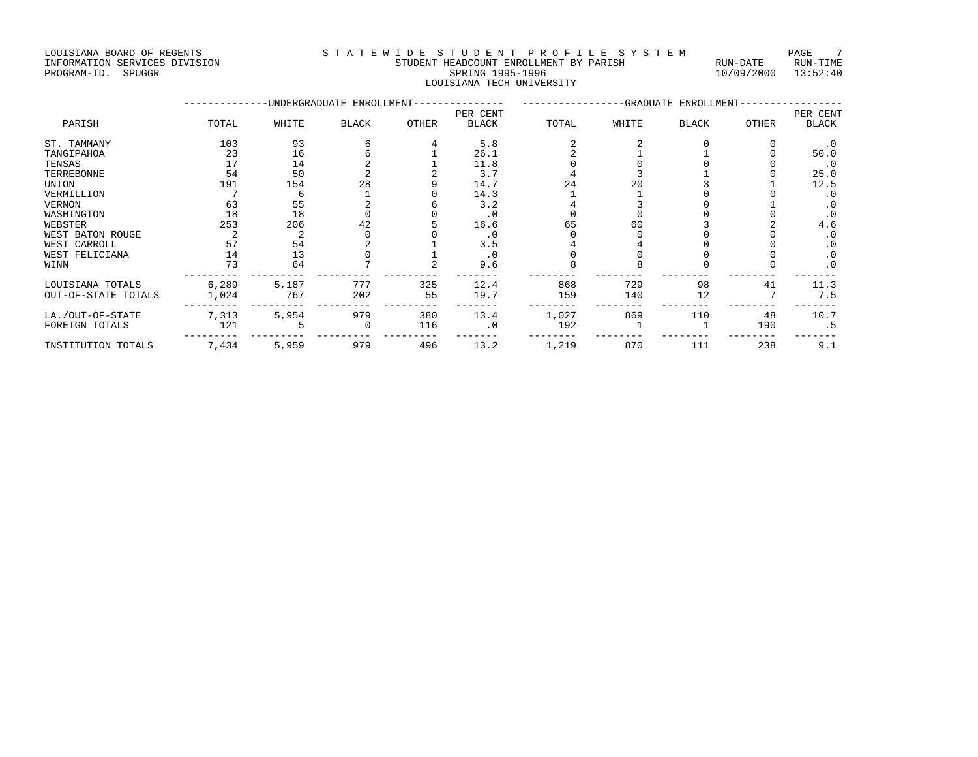LOUISIANA BOARD OF REGENTS STA TEWIDE STUDENT PROFILE SYSTEM PAGE 7 INFORMATION SERVICES DIVISION STUDENT HEADCOUNT ENROLLMENT BY PARISH RUN-DATE RUN-TIME

LOUISIANA TECH UNIVERSITY

--------- --------- --------- --------- ------- -------- -------- -------- -------- -------

# PROGRAM-ID. SPUGGR SPRING 1995-1996 10/09/2000 13:52:40

|                     |       |       | -UNDERGRADUATE ENROLLMENT- |       |           |       | -GRADUATE ENROLLMENT- |              |       |           |
|---------------------|-------|-------|----------------------------|-------|-----------|-------|-----------------------|--------------|-------|-----------|
|                     |       |       |                            |       | PER CENT  |       |                       |              |       | PER CENT  |
| PARISH              | TOTAL | WHITE | <b>BLACK</b>               | OTHER | BLACK     | TOTAL | WHITE                 | <b>BLACK</b> | OTHER | BLACK     |
| ST. TAMMANY         | 103   | 93    |                            |       | 5.8       |       |                       |              |       | . 0       |
| TANGIPAHOA          | 23    | 16    |                            |       | 26.1      |       |                       |              |       | 50.0      |
| TENSAS              |       | 14    |                            |       | 11.8      |       |                       |              |       | . 0       |
| TERREBONNE          | 54    | 50    |                            |       | 3.7       |       |                       |              |       | 25.0      |
| UNION               | 191   | 154   | 28                         |       | 14.7      | 24    |                       |              |       | 12.5      |
| VERMILLION          |       |       |                            |       | 14.3      |       |                       |              |       | . 0       |
| VERNON              | 63    | 55    |                            |       | 3.2       |       |                       |              |       | $\cdot$ 0 |
| WASHINGTON          | 18    | 18    |                            |       | $\cdot$ 0 |       |                       |              |       | $\cdot$ 0 |
| WEBSTER             | 253   | 206   | 42                         |       | 16.6      | 65    | 60                    |              |       | 4.6       |
| WEST BATON ROUGE    |       |       |                            |       | . 0       |       |                       |              |       | . 0       |
| WEST CARROLL        | 57    | 54    |                            |       | 3.5       |       |                       |              |       | . 0       |
| WEST FELICIANA      | 14    | 13    |                            |       |           |       |                       |              |       | $\cdot$ 0 |
| WINN                | 73    | 64    |                            |       | 9.6       |       |                       |              |       | $\cdot$ 0 |
| LOUISIANA TOTALS    | 6,289 | 5,187 | 777                        | 325   | 12.4      | 868   | 729                   | 98           | 41    | 11.3      |
| OUT-OF-STATE TOTALS | 1,024 | 767   | 202                        | 55    | 19.7      | 159   | 140                   | 12           |       | 7.5       |
| LA./OUT-OF-STATE    | 7,313 | 5,954 | 979                        | 380   | 13.4      | 1,027 | 869                   | 110          | 48    | 10.7      |
| FOREIGN TOTALS      | 121   |       |                            | 116   | . 0       | 192   |                       |              | 190   | . 5       |

INSTITUTION TOTALS 7,434 5,959 979 496 13.2 1,219 870 111 238 9.1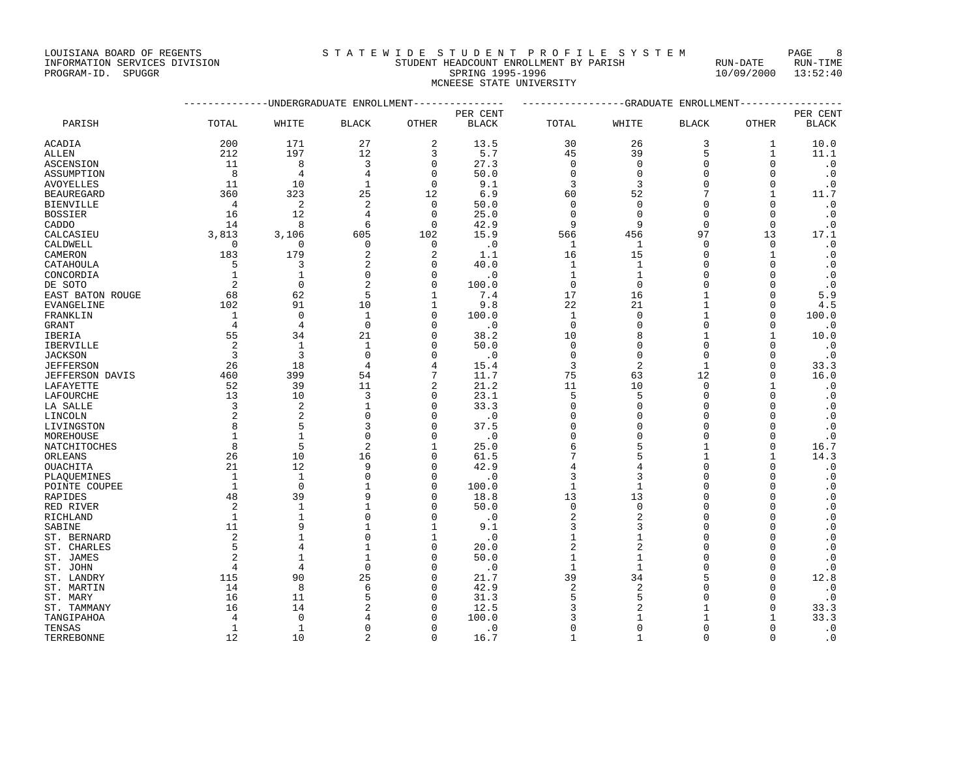INFORMATION SERVICES DIVISION STUDENT HEADCOUNT ENROLLMENT BY PARISH RUN-DATE RUN-TIME

PROGRAM-ID. SPUGGR SPRING 1995-1996 10/09/2000 13:52:40 MCNEESE STATE UNIVERSITY

|                  | -------------DINDERGRADUATE ENROLLMENT--------------- |                |                |                | ----------------GRADUATE ENROLLMENT-------------- |              |                |              |              |              |  |
|------------------|-------------------------------------------------------|----------------|----------------|----------------|---------------------------------------------------|--------------|----------------|--------------|--------------|--------------|--|
|                  |                                                       |                |                | PER CENT       |                                                   |              |                |              |              | PER CENT     |  |
| PARISH           | TOTAL                                                 | WHITE          | <b>BLACK</b>   | OTHER          | <b>BLACK</b>                                      | TOTAL        | WHITE          | <b>BLACK</b> | OTHER        | <b>BLACK</b> |  |
| ACADIA           | 200                                                   | 171            | 27             | $\overline{2}$ | 13.5                                              | 30           | 26             | 3            | 1            | 10.0         |  |
| ALLEN            | 212                                                   | 197            | 12             | 3              | 5.7                                               | 45           | 39             | 5            | $\mathbf{1}$ | 11.1         |  |
| ASCENSION        | 11                                                    | 8              | 3              | 0              | 27.3                                              | 0            | $\mathbf 0$    | $\Omega$     | O            | $\cdot$ 0    |  |
| ASSUMPTION       | 8                                                     | 4              | 4              | $\Omega$       | 50.0                                              | $\Omega$     | $\Omega$       | $\Omega$     | $\Omega$     | $\cdot$ 0    |  |
| AVOYELLES        | 11                                                    | 10             | $\mathbf{1}$   | $\Omega$       | 9.1                                               | 3            | 3              | $\cap$       | $\Omega$     | $\cdot$ 0    |  |
| BEAUREGARD       | 360                                                   | 323            | 25             | 12             | 6.9                                               | 60           | 52             |              | $\mathbf{1}$ | 11.7         |  |
| BIENVILLE        | 4                                                     | 2              | $\overline{2}$ | $\Omega$       | 50.0                                              | $\Omega$     | $\mathbf 0$    | $\Omega$     | $\Omega$     | $\cdot$ 0    |  |
| BOSSIER          | 16                                                    | 12             | $\overline{4}$ | $\Omega$       | 25.0                                              | $\Omega$     | $\Omega$       | $\Omega$     | $\Omega$     | $\cdot$ 0    |  |
| CADDO            | 14                                                    | 8              | 6              | $\Omega$       | 42.9                                              | 9            | 9              | $\Omega$     | $\mathbf 0$  | $\cdot$ 0    |  |
| CALCASIEU        | 3,813                                                 | 3,106          | 605            | 102            | 15.9                                              | 566          | 456            | 97           | 13           | 17.1         |  |
| CALDWELL         | 0                                                     | $\Omega$       | $\Omega$       | 0              | $\cdot$ 0                                         | 1            | 1              | $\Omega$     | 0            | $\cdot$ 0    |  |
| CAMERON          | 183                                                   | 179            | $\overline{2}$ | $\mathfrak{D}$ | 1.1                                               | 16           | 15             | $\Omega$     | $\mathbf{1}$ | $\cdot$ 0    |  |
| CATAHOULA        | 5                                                     | 3              | $\overline{c}$ | $\Omega$       | 40.0                                              | 1            | 1              | $\Omega$     | O            | $\cdot$ 0    |  |
| CONCORDIA        | 1                                                     | 1              | $\Omega$       | O              | $\cdot$ 0                                         |              | 1              | $\Omega$     | U            | $\cdot$ 0    |  |
| DE SOTO          | 2                                                     | $\Omega$       | $\overline{2}$ | $\Omega$       | 100.0                                             | $\mathbf 0$  | $\mathbf{0}$   | $\Omega$     | U            | $\cdot$ 0    |  |
| EAST BATON ROUGE | 68                                                    | 62             | 5              | 1              | 7.4                                               | 17           | 16             | $\mathbf{1}$ | $\Omega$     | 5.9          |  |
| EVANGELINE       | 102                                                   | 91             | 10             | 1              | 9.8                                               | 22           | 21             | $\mathbf{1}$ | $\mathbf 0$  | 4.5          |  |
| FRANKLIN         | 1                                                     | $\Omega$       | $\mathbf{1}$   | O              | 100.0                                             | 1            | $\mathbf 0$    | $\mathbf{1}$ | $\Omega$     | 100.0        |  |
| GRANT            | $\overline{4}$                                        | $\overline{4}$ | $\mathbf 0$    | O              | $\cdot$ 0                                         | $\mathbf 0$  | $\Omega$       | $\Omega$     | U            | $\cdot$ 0    |  |
| IBERIA           | 55                                                    | 34             | 21             | $\cap$         | 38.2                                              | 10           | 8              | $\mathbf{1}$ | 1            | 10.0         |  |
| IBERVILLE        | 2                                                     | 1              | 1              | $\cap$         | 50.0                                              | 0            | $\mathbf{0}$   | $\Omega$     | $\Omega$     | $\cdot$ 0    |  |
| <b>JACKSON</b>   | 3                                                     | 3              | $\mathbf 0$    | O              | $\cdot$ 0                                         | 0            | $\mathbf{0}$   | $\Omega$     | $\Omega$     | $\cdot$ 0    |  |
| <b>JEFFERSON</b> | 26                                                    | 18             | 4              |                | 15.4                                              | 3            | $\overline{2}$ | 1            | 0            | 33.3         |  |
| JEFFERSON DAVIS  | 460                                                   | 399            | 54             |                | 11.7                                              | 75           | 63             | 12           | $\Omega$     | 16.0         |  |
| LAFAYETTE        | 52                                                    | 39             | 11             | $\overline{2}$ | 21.2                                              | 11           | 10             | $\mathbf 0$  | 1            | $\cdot$ 0    |  |
| LAFOURCHE        | 13                                                    | 10             | 3              | O              | 23.1                                              | 5            | 5              | $\Omega$     | U            | $\cdot$ 0    |  |
| LA SALLE         | 3                                                     | 2              | $\mathbf{1}$   | ∩              | 33.3                                              | <sup>0</sup> | $\Omega$       | $\Omega$     | U            | $\cdot$ 0    |  |
| LINCOLN          | 2                                                     | $\overline{a}$ | $\Omega$       | $\cap$         | $\cdot$ 0                                         | $\Omega$     | $\Omega$       | $\Omega$     | U            | $\cdot$ 0    |  |
| LIVINGSTON       | 8                                                     | 5              | 3              | $\Omega$       | 37.5                                              | 0            | $\Omega$       | $\Omega$     | U            | $\cdot$ 0    |  |
| MOREHOUSE        | 1                                                     | 1              | $\Omega$       | O              | $\cdot$ 0                                         | 0            | $\Omega$       | $\Omega$     | O            | $\cdot$ 0    |  |
| NATCHITOCHES     | 8                                                     | 5              | 2              | 1              | 25.0                                              | 6            | 5              | $\mathbf{1}$ | U            | 16.7         |  |
| ORLEANS          | 26                                                    | 10             | 16             | $\cap$         | 61.5                                              | 7            | 5              | $\mathbf{1}$ | 1            | 14.3         |  |
| OUACHITA         | 21                                                    | 12             | 9              | $\Omega$       | 42.9                                              | 4            | 4              | $\Omega$     | $\mathbf 0$  | $\cdot$ 0    |  |
| PLAQUEMINES      | -1                                                    | 1              | $\Omega$       | O              | $\cdot$ 0                                         | 3            | 3              | $\Omega$     | O            | $\cdot$ 0    |  |
| POINTE COUPEE    | 1                                                     | $\Omega$       | 1              | ∩              | 100.0                                             | 1            | 1              | $\Omega$     | U            | $\cdot$ 0    |  |
| RAPIDES          | 48                                                    | 39             | 9              | $\cap$         | 18.8                                              | 13           | 13             | $\Omega$     | O            | $\cdot$ 0    |  |
| RED RIVER        | 2                                                     | 1              | 1              | O              | 50.0                                              | 0            | $\mathbf{0}$   | $\Omega$     | U            | $\cdot$ 0    |  |
| RICHLAND         | 1                                                     | 1              | $\Omega$       | ∩              | $\cdot$ 0                                         | 2            | $\overline{2}$ | $\cap$       | O            | $\cdot$ 0    |  |
| SABINE           | 11                                                    | 9              | $\mathbf{1}$   | 1              | 9.1                                               | 3            | 3              | $\Omega$     | U            | $\cdot$ 0    |  |
| ST. BERNARD      | $\overline{2}$                                        | $\mathbf{1}$   | $\Omega$       |                | $\cdot$ 0                                         | 1            | $\mathbf{1}$   | $\Omega$     | U            | $\cdot$ 0    |  |
| ST. CHARLES      | 5                                                     | $\overline{4}$ | $\mathbf{1}$   | $\Omega$       | 20.0                                              | 2            | $\overline{2}$ | $\Omega$     | U            | $\cdot$ 0    |  |
| ST. JAMES        | 2                                                     | 1              | $\mathbf{1}$   |                | 50.0                                              | 1            | $\mathbf 1$    | $\Omega$     | O            | $\cdot$ 0    |  |
| ST. JOHN         | 4                                                     | 4              | $\Omega$       | ∩              | $\cdot$ 0                                         | $\mathbf{1}$ | 1              | C            | U            | $\cdot$ 0    |  |
| ST. LANDRY       | 115                                                   | 90             | 25             | ∩              | 21.7                                              | 39           | 34             | 5            | $\Omega$     | 12.8         |  |
| ST. MARTIN       | 14                                                    | 8              | 6              | O              | 42.9                                              | 2            | $\overline{2}$ | $\Omega$     | U            | $\cdot$ 0    |  |
| ST. MARY         | 16                                                    | 11             | 5              |                | 31.3                                              | 5            | 5              | C            | U            | $\cdot$ 0    |  |
| ST. TAMMANY      | 16                                                    | 14             | 2              | $\cap$         | 12.5                                              | 3            | $\overline{c}$ | 1            | $\Omega$     | 33.3         |  |
| TANGIPAHOA       | 4                                                     | $\Omega$       | 4              |                | 100.0                                             | 3            | 1              |              | $\mathbf{1}$ | 33.3         |  |
| TENSAS           | 1                                                     | 1              | $\Omega$       | O              | $\cdot$ 0                                         | 0            | $\mathbf{0}$   | $\Omega$     | 0            | $\cdot$ 0    |  |
| TERREBONNE       | 12                                                    | 10             | $\overline{2}$ | ∩              | 16.7                                              | 1            | $\mathbf{1}$   | $\Omega$     | $\Omega$     | $\cdot$ 0    |  |
|                  |                                                       |                |                |                |                                                   |              |                |              |              |              |  |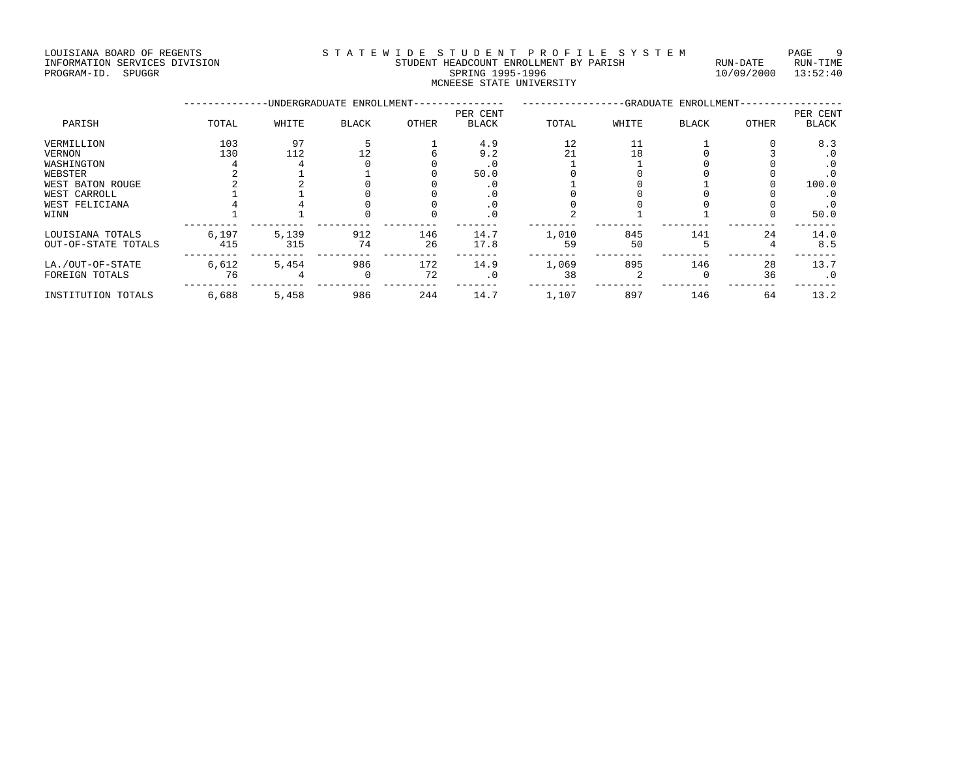## LOUISIANA BOARD OF REGENTS STA TEWIDE STUDENT PROFILE SYSTEM PAGE 9 INFORMATION SERVICES DIVISION STUDENT HEADCOUNT ENROLLMENT BY PARISH RUN-DATE RUN-TIME PROGRAM-ID. SPUGGR SPUSSION FORMATION SERVICES DIVISION STRANGERY STRANGERY STUDENT HEADCOUNT ENROLLMENT BY PARISH RUN-DATE RUN-TIME<br>PROGRAM-ID. SPUGGR SPUGGR SPRING 1995-1996 SPRING 1995-1996 SPRING 1995-1996<br>WANDELL SPRI

MCNEESE STATE UNIVERSITY

|                     |       |       | -UNDERGRADUATE ENROLLMENT- |       | -GRADUATE ENROLLMENT- |       |       |              |       |           |
|---------------------|-------|-------|----------------------------|-------|-----------------------|-------|-------|--------------|-------|-----------|
|                     |       |       |                            |       | PER CENT              |       |       |              |       | PER CENT  |
| PARISH              | TOTAL | WHITE | <b>BLACK</b>               | OTHER | <b>BLACK</b>          | TOTAL | WHITE | <b>BLACK</b> | OTHER | BLACK     |
| VERMILLION          | 103   | 97    |                            |       | 4.9                   | 12    | 11    |              |       | 8.3       |
| VERNON              | 130   | 112   | 12                         |       | 9.2                   | 21    | 18    |              |       | . 0       |
| WASHINGTON          |       |       |                            |       | . U                   |       |       |              |       | . 0       |
| WEBSTER             |       |       |                            |       | 50.0                  |       |       |              |       | . 0       |
| WEST BATON ROUGE    |       |       |                            |       |                       |       |       |              |       | 100.0     |
| WEST CARROLL        |       |       |                            |       | . U                   |       |       |              |       | . 0       |
| WEST FELICIANA      |       |       |                            |       | . 0                   |       |       |              |       | . 0       |
| WINN                |       |       |                            |       | . 0                   |       |       |              |       | 50.0      |
| LOUISIANA TOTALS    | 6,197 | 5,139 | 912                        | 146   | 14.7                  | 1,010 | 845   | 141          | 24    | 14.0      |
| OUT-OF-STATE TOTALS | 415   | 315   | 74                         | 26    | 17.8                  | 59    | 50    |              |       | 8.5       |
| LA./OUT-OF-STATE    | 6,612 | 5,454 | 986                        | 172   | 14.9                  | 1,069 | 895   | 146          | 28    | 13.7      |
| FOREIGN TOTALS      | 76    |       |                            | 72    | . 0                   | 38    |       |              | 36    | $\cdot$ 0 |
| INSTITUTION TOTALS  | 6,688 | 5,458 | 986                        | 244   | 14.7                  | 1,107 | 897   | 146          | 64    | 13.2      |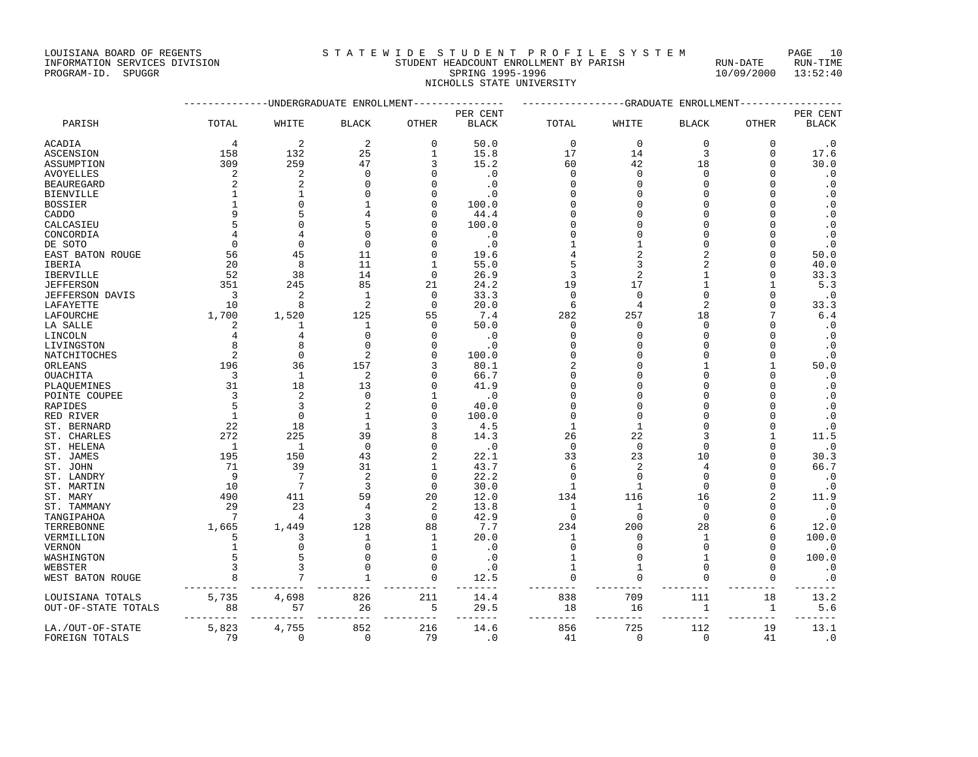## INFORMATION SERVICES DIVISION STUDENT HEADCOUNT ENROLLMENT BY PARISH RUN-DATE RUN-TIME THE ADCOUNT ENROLLMENT BY PARISH THE RUN-DATE RUN-DATE RUN-DATE RUN-TIME RUN-DATE RUN-TIME RUN-TIME RUN-TIME RUN<br>PROGRAM-ID. SPUGGR 13:52:40 NICHOLLS STATE UNIVERSITY

|                     |                         |              | -UNDERGRADUATE ENROLLMENT | ---------       | -----------------GRADUATE ENROLLMENT |                |                           |              |               |                          |
|---------------------|-------------------------|--------------|---------------------------|-----------------|--------------------------------------|----------------|---------------------------|--------------|---------------|--------------------------|
|                     |                         |              |                           |                 | PER CENT                             |                |                           |              |               |                          |
| PARISH              | TOTAL                   | WHITE        | <b>BLACK</b>              | OTHER           | <b>BLACK</b>                         | TOTAL          | WHITE                     | <b>BLACK</b> | OTHER         | PER CENT<br><b>BLACK</b> |
| ACADIA              | 4                       | 2            | 2                         | $\Omega$        | 50.0                                 | $\mathbf 0$    | $\mathbf 0$               | $\Omega$     | $\Omega$      | $\cdot$ 0                |
| <b>ASCENSION</b>    | 158                     | 132          | 25                        | 1               | 15.8                                 | 17             | 14                        | 3            | $\mathbf 0$   | 17.6                     |
| ASSUMPTION          | 309                     | 259          | 47                        | 3               | 15.2                                 | 60             | 42                        | 18           | $\Omega$      | 30.0                     |
| AVOYELLES           | $\overline{c}$          | 2            | $\mathbf 0$               | $\Omega$        | $\cdot$ 0                            | 0              | $\mathbf{0}$              | $\Omega$     | $\Omega$      | $\cdot$ 0                |
| BEAUREGARD          | 2                       | 2            | <sup>0</sup>              |                 | $\cdot$ 0                            | <sup>0</sup>   | O                         |              | U             | $\cdot$ 0                |
| BIENVILLE           |                         |              | $\Omega$                  |                 | . 0                                  |                | ∩                         |              | U             | $\cdot$ 0                |
| BOSSIER             |                         | $\cap$       | $\mathbf{1}$              | ∩               | 100.0                                |                | $\Omega$                  |              | U             | $\cdot$ 0                |
| CADDO               |                         |              |                           | O               | 44.4                                 | O              | O                         |              | U             | $\cdot$ 0                |
| CALCASIEU           |                         |              | 5                         |                 | 100.0                                |                | $\Omega$                  |              | U             | $\cdot$ 0                |
| CONCORDIA           |                         |              | $\Omega$                  |                 | $\cdot$ 0                            |                | $\Omega$                  |              | U             | $\cdot$ 0                |
| DE SOTO             | $\Omega$                | $\Omega$     | $\Omega$                  |                 | $\cdot$ 0                            |                | 1                         |              | U             | $\cdot$ 0                |
| EAST BATON ROUGE    | 56                      | 45           | 11                        |                 | 19.6                                 |                | $\overline{2}$            |              | U             | 50.0                     |
| IBERIA              | 20                      | 8            | 11                        |                 | 55.0                                 | 5              | 3                         |              | U             | 40.0                     |
| IBERVILLE           | - 52                    | 38           | 14                        | $\Omega$        | 26.9                                 | 3              | $\overline{2}$            |              | $\Omega$      | 33.3                     |
| JEFFERSON           | 351                     | 245          | 85                        | 21              | 24.2                                 | 19             | 17                        |              | 1             | 5.3                      |
| JEFFERSON DAVIS     | $\overline{\mathbf{3}}$ | 2            | 1                         | $\Omega$        | 33.3                                 | $\mathbf 0$    | $\mathbf 0$               |              | 0             | $\cdot$ 0                |
| LAFAYETTE           | 10                      | 8            | $\overline{2}$            | $\Omega$        | 20.0                                 | 6              | 4                         |              | $\Omega$      | 33.3                     |
| LAFOURCHE           | 1,700                   | 1,520        | 125                       | 55              | 7.4                                  | 282            | 257                       | 18           | 7             | 6.4                      |
| LA SALLE            | 2                       | 1            | 1                         | $\Omega$        | 50.0                                 | 0              | $\mathbf 0$               | $\Omega$     | U             | $\cdot$ 0                |
| LINCOLN             | 4                       | 4            | $\Omega$                  | ∩               | $\cdot$ 0                            | $\Omega$       | $\Omega$                  |              | U             | $\cdot$ 0                |
| LIVINGSTON          | 8                       |              | $\Omega$                  |                 | $\cdot$ 0                            |                | $\Omega$                  |              | U             | $\cdot$ 0                |
| NATCHITOCHES        | $\overline{2}$          | $\mathbf 0$  | 2                         |                 | 100.0                                | $\Omega$       | O                         |              | U             | $\cdot$ 0                |
| ORLEANS             | 196                     | 36           | 157                       |                 | 80.1                                 | 2              |                           |              | $\mathbf{1}$  | 50.0                     |
| <b>OUACHITA</b>     | $\overline{3}$          | $\mathbf{1}$ | $\overline{2}$            |                 | 66.7                                 | $\Omega$       | $\Omega$                  |              | O             | $\cdot$ 0                |
| PLAQUEMINES         | 31                      | 18           | 13                        |                 | 41.9                                 | O              | O                         |              | U             | $\cdot$ 0                |
| POINTE COUPEE       | 3                       | 2            | $\Omega$                  |                 | $\cdot$ 0                            |                | ∩                         |              | U             | $\cdot$ 0                |
| RAPIDES             | 5                       | 3            | $\overline{c}$            |                 | 40.0                                 |                | O                         |              | U             | $\cdot$ 0                |
| RED RIVER           | 1                       | $\Omega$     | 1                         |                 | 100.0                                | $\Omega$       | $\Omega$                  |              |               | $\cdot$ 0                |
| ST. BERNARD         | 22                      | 18           | $\mathbf{1}$              |                 | 4.5                                  | 1              | 1                         |              | U             | $\cdot$ 0                |
| ST. CHARLES         | 272                     | 225          | 39                        |                 | 14.3                                 | 26             | 22                        |              | 1             | 11.5                     |
| ST. HELENA          | $\overline{1}$          | 1            | $\mathbf 0$               | $\Omega$        | $\cdot$ 0                            | $\Omega$       | $\mathbf 0$               | $\Omega$     | U             | $\cdot$ 0                |
| ST. JAMES           | 195                     | 150          | 43                        | 2               | 22.1                                 | 33             | 23                        | 10           | U             | 30.3                     |
| ST. JOHN            | 71                      | 39           | 31                        |                 | 43.7                                 | 6              | 2                         |              | U             | 66.7                     |
| ST. LANDRY          | 9                       | 7            | $\overline{2}$            | $\Omega$        | 22.2                                 | $\Omega$       | $\mathbf 0$               | $\Omega$     | U             | $\cdot$ 0                |
| ST. MARTIN          | 10                      | 7            | 3                         | $\Omega$        | 30.0                                 | 1              | $\mathbf{1}$              | $\Omega$     | U             | $\cdot$ 0                |
| ST. MARY            | 490                     | 411          | 59                        | 20              | 12.0                                 | 134            | 116                       | 16           | 2             | 11.9                     |
| ST. TAMMANY         | 29                      | 23           |                           | 2               | 13.8                                 | 1              | 1                         | $\Omega$     | U             | $\cdot$ 0                |
| TANGIPAHOA          | $\overline{7}$          | 4            | 3                         | $\Omega$        | 42.9                                 | $\Omega$       | $\Omega$                  | $\Omega$     | $\Omega$      | $\cdot$ 0                |
| TERREBONNE          | 1,665                   | 1,449        | 128                       | 88              | 7.7                                  | 234            | 200                       | 28           | 6             | 12.0                     |
| VERMILLION          | .5                      | 3            | 1                         | 1               | 20.0                                 | 1              | $\Omega$                  | $\mathbf{1}$ | $\Omega$      | 100.0                    |
| VERNON              | $\mathbf{1}$            | $\Omega$     | $\Omega$                  | $\mathbf{1}$    | $\cdot$ 0                            | $\Omega$       | $\Omega$                  | $\Omega$     | $\Omega$      | $\cdot$ 0                |
| WASHINGTON          |                         | 5            | $\Omega$                  | 0               | $\cdot$ 0                            | 1              | $\mathbf 0$               | 1            | 0             | 100.0                    |
| WEBSTER             | 3                       | 3            | $\mathbf 0$               | $\Omega$        | $\cdot$ 0                            |                | 1                         | $\Omega$     | $\Omega$      | $\cdot$ 0                |
| WEST BATON ROUGE    | 8                       | 7            | $\mathbf{1}$              | $\mathbf 0$     | 12.5                                 | $\mathbf 0$    | $\mathbf 0$               | $\Omega$     | $\mathbf 0$   | $\cdot$ 0                |
| LOUISIANA TOTALS    | 5,735                   | 4,698        | 826                       | 211             | 14.4                                 | 838            | 709                       | 111          | 18            | 13.2                     |
| OUT-OF-STATE TOTALS | 88                      | 57           | 26<br>----------          | 5<br>---------- | 29.5<br>-------                      | 18<br>-------- | 16<br>$- - - - - - - - -$ | 1<br>$---$   | 1<br>-------- | 5.6                      |
| LA./OUT-OF-STATE    | 5,823                   | 4,755        | 852                       | 216             | 14.6                                 | 856            | 725                       | 112          | 19            | 13.1                     |

FOREIGN TOTALS 79 0 0 79 .0 41 0 0 41 .0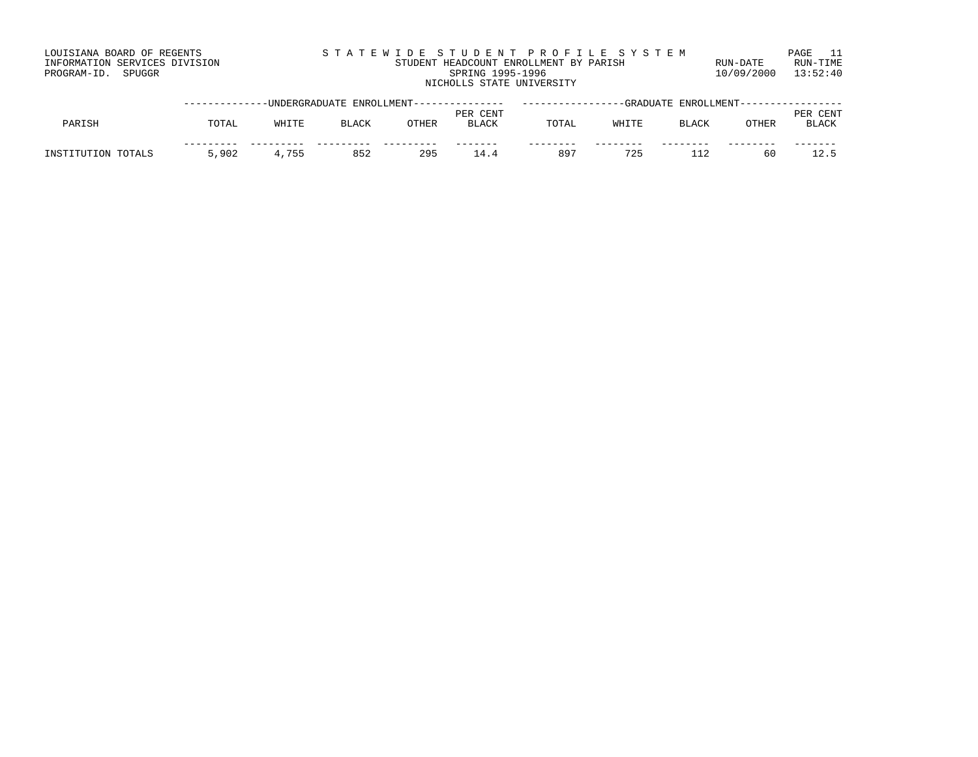|       | STATEWIDE STUDENT PROFILE SYSTEM       |                         | PAGE 11  |
|-------|----------------------------------------|-------------------------|----------|
| SION: | STUDENT HEADCOUNT ENROLLMENT BY PARISH | RIJN-DATE               | RUN-TIME |
|       | SPRING 1995-1996                       | $10/09/2000$ $13:52:40$ |          |
|       | NICHOLLS STATE UNIVERSITY              |                         |          |

|                    |       | -----UNDERGRADUATE ENROLLMENT--------------- |              |       |                          |       | -GRADUATE |              | ENROLLMENT----- |                                      |
|--------------------|-------|----------------------------------------------|--------------|-------|--------------------------|-------|-----------|--------------|-----------------|--------------------------------------|
| PARISH             | TOTAL | WHITE                                        | <b>BLACK</b> | OTHER | PER CENT<br><b>BLACK</b> | TOTAL | WHITE     | <b>BLACK</b> | OTHER           | . CENT<br><b>PER</b><br><b>BLACK</b> |
| INSTITUTION TOTALS | 5,902 | 4,755                                        | 852          | 295   | 144                      | 897   | 725       |              | 60              |                                      |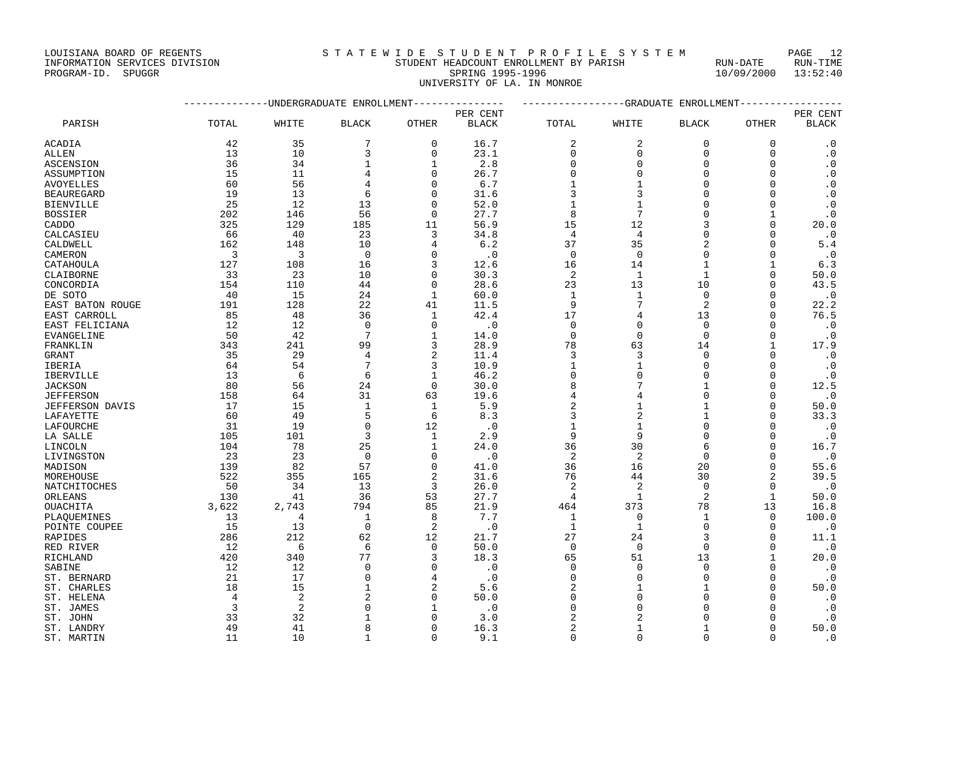UNIVERSITY OF LA. IN MONROE

|                  | --------------DNDERGRADUATE ENROLLMENT--------------- |                |                |                |              | ---------------GRADUATE ENROLLMENT---------------- |                |                |                |              |
|------------------|-------------------------------------------------------|----------------|----------------|----------------|--------------|----------------------------------------------------|----------------|----------------|----------------|--------------|
|                  |                                                       |                |                |                | PER CENT     |                                                    |                |                |                | PER CENT     |
| PARISH           | TOTAL                                                 | WHITE          | <b>BLACK</b>   | OTHER          | <b>BLACK</b> | TOTAL                                              | WHITE          | <b>BLACK</b>   | OTHER          | <b>BLACK</b> |
| ACADIA           | 42                                                    | 35             | 7              | $\mathbf 0$    | 16.7         | 2                                                  | 2              | $\Omega$       | 0              | $\cdot$ 0    |
| ALLEN            | 13                                                    | 10             | 3              | 0              | 23.1         | 0                                                  | $\mathbf 0$    | 0              | $\mathbf 0$    | $\cdot$ 0    |
| ASCENSION        | 36                                                    | 34             | 1              | 1              | 2.8          | $\Omega$                                           | $\Omega$       | $\Omega$       | O              | $\cdot$ 0    |
| ASSUMPTION       | 15                                                    | 11             | $\overline{4}$ | $\Omega$       | 26.7         | $\Omega$                                           | $\Omega$       | $\Omega$       | $\Omega$       | $\cdot$ 0    |
| AVOYELLES        | 60                                                    | 56             | $\overline{4}$ | $\Omega$       | 6.7          |                                                    | $\mathbf{1}$   | $\Omega$       | O              | $\cdot$ 0    |
| BEAUREGARD       | 19                                                    | 13             | 6              | $\Omega$       | 31.6         | 3                                                  | 3              | $\Omega$       | O              | $\cdot$ 0    |
| BIENVILLE        | 25                                                    | 12             | 13             | O              | 52.0         | $\mathbf{1}$                                       | $\mathbf{1}$   | $\Omega$       | O              | $\cdot$ 0    |
| <b>BOSSIER</b>   | 202                                                   | 146            | 56             | $\Omega$       | 27.7         | 8                                                  | 7              | $\Omega$       | $\mathbf{1}$   | $\cdot$ 0    |
| CADDO            | 325                                                   | 129            | 185            | 11             | 56.9         | 15                                                 | 12             |                | U              | 20.0         |
| CALCASIEU        | 66                                                    | 40             | 23             | 3              | 34.8         | 4                                                  | 4              | $\cap$         | U              | $\cdot$ 0    |
| CALDWELL         | 162                                                   | 148            | 10             |                | 6.2          | 37                                                 | 35             |                | $\Omega$       | 5.4          |
| CAMERON          | 3                                                     | 3              | $\mathbf 0$    | $\Omega$       | $\cdot$ 0    | $\mathbf 0$                                        | $\mathbf 0$    | $\Omega$       | $\Omega$       | $\cdot$ 0    |
| CATAHOULA        | 127                                                   | 108            | 16             | २              | 12.6         | 16                                                 | 14             | $\mathbf{1}$   | $\mathbf{1}$   | 6.3          |
| CLAIBORNE        | 33                                                    | 23             | 10             | $\Omega$       | 30.3         | 2                                                  | 1              | $\mathbf{1}$   | $\Omega$       | 50.0         |
| CONCORDIA        | 154                                                   | 110            | 44             | $\Omega$       | 28.6         | 23                                                 | 13             | 10             | $\mathbf 0$    | 43.5         |
| DE SOTO          | 40                                                    | 15             | 24             | $\mathbf{1}$   | 60.0         | $\mathbf{1}$                                       | $\mathbf{1}$   | $\Omega$       | $\Omega$       | $\cdot$ 0    |
| EAST BATON ROUGE | 191                                                   | 128            | 22             | 41             | 11.5         | 9                                                  | 7              | $\overline{a}$ | O              | 22.2         |
| EAST CARROLL     | 85                                                    | 48             | 36             | 1              | 42.4         | 17                                                 | 4              | 13             | U              | 76.5         |
| EAST FELICIANA   | 12                                                    | 12             | $\Omega$       | $\Omega$       | $\cdot$ 0    | $\Omega$                                           | $\Omega$       | $\Omega$       | U              | $\cdot$ 0    |
| EVANGELINE       | 50                                                    | 42             | 7              | $\mathbf{1}$   | 14.0         | $\mathbf 0$                                        | $\mathbf{0}$   | $\Omega$       | $\Omega$       | $\cdot$ 0    |
| FRANKLIN         | 343                                                   | 241            | 99             | २              | 28.9         | 78                                                 | 63             | 14             | 1              | 17.9         |
| GRANT            | 35                                                    | 29             | 4              | $\overline{2}$ | 11.4         | 3                                                  | 3              | $\Omega$       | $\Omega$       | $\cdot$ 0    |
| IBERIA           | 64                                                    | 54             | 7              | 3              | 10.9         | 1                                                  | $\mathbf 1$    | $\Omega$       | O              | $\cdot$ 0    |
| IBERVILLE        | 13                                                    | 6              | 6              | $\mathbf{1}$   | 46.2         | $\mathbf 0$                                        | $\Omega$       | $\Omega$       | $\Omega$       | $\cdot$ 0    |
| JACKSON          | 80                                                    | 56             | 24             | $\Omega$       | 30.0         | 8                                                  | 7              | $\mathbf{1}$   | $\Omega$       | 12.5         |
| JEFFERSON        | 158                                                   | 64             | 31             | 63             | 19.6         | 4                                                  | 4              | $\Omega$       | U              | $\cdot$ 0    |
| JEFFERSON DAVIS  | 17                                                    | 15             | $\mathbf{1}$   | $\mathbf{1}$   | 5.9          | 2                                                  | $\mathbf 1$    | $\mathbf{1}$   | O              | 50.0         |
| LAFAYETTE        | 60                                                    | 49             | 5              | 6              | 8.3          | 3                                                  | $\overline{2}$ | $\mathbf{1}$   | U              | 33.3         |
| LAFOURCHE        | 31                                                    | 19             | $\Omega$       | 12             | $\cdot$ 0    | $\mathbf{1}$                                       | $\mathbf{1}$   | $\Omega$       | O              | $\cdot$ 0    |
| LA SALLE         | 105                                                   | 101            | 3              | 1              | 2.9          | 9                                                  | 9              | $\Omega$       | U              | $\cdot$ 0    |
| LINCOLN          | 104                                                   | 78             | 25             | $\mathbf{1}$   | 24.0         | 36                                                 | 30             | 6              | $\Omega$       | 16.7         |
| LIVINGSTON       | 23                                                    | 23             | $\Omega$       | $\Omega$       | $\cdot$ 0    | $\overline{c}$                                     | $\overline{c}$ | $\Omega$       | $\Omega$       | $\cdot$ 0    |
| MADISON          | 139                                                   | 82             | 57             | $\Omega$       | 41.0         | 36                                                 | 16             | 20             | O              | 55.6         |
| MOREHOUSE        | 522                                                   | 355            | 165            | $\overline{a}$ | 31.6         | 76                                                 | 44             | 30             | $\mathfrak{D}$ | 39.5         |
| NATCHITOCHES     | 50                                                    | 34             | 13             | 3              | 26.0         | 2                                                  | $\overline{2}$ | $\Omega$       | $\Omega$       | $\cdot$ 0    |
| ORLEANS          | 130                                                   | 41             | 36             | 53             | 27.7         | 4                                                  | $\mathbf{1}$   | 2              | $\mathbf{1}$   | 50.0         |
| OUACHITA         | 3,622                                                 | 2,743          | 794            | 85             | 21.9         | 464                                                | 373            | 78             | 13             | 16.8         |
| PLAOUEMINES      | 13                                                    | 4              | $\mathbf{1}$   | 8              | 7.7          | 1                                                  | $\mathbf{0}$   | $\mathbf{1}$   | $\Omega$       | 100.0        |
| POINTE COUPEE    | 15                                                    | 13             | $\mathbf 0$    | 2              | $\cdot$ 0    | 1                                                  | $\mathbf{1}$   | $\Omega$       | $\Omega$       | $\cdot$ 0    |
| RAPIDES          | 286                                                   | 212            | 62             | 12             | 21.7         | 27                                                 | 24             | 3              | $\Omega$       | 11.1         |
| RED RIVER        | 12                                                    | 6              | 6              | $\Omega$       | 50.0         | $\Omega$                                           | $\Omega$       | $\Omega$       | $\Omega$       | $\cdot$ 0    |
| RICHLAND         | 420                                                   | 340            | 77             | २              | 18.3         | 65                                                 | 51             | 13             | 1              | 20.0         |
| SABINE           | 12                                                    | 12             | $\Omega$       | ∩              | $\cdot$ 0    | $\Omega$                                           | $\Omega$       | $\Omega$       | $\Omega$       | $\cdot$ 0    |
| ST. BERNARD      | 21                                                    | 17             | $\Omega$       | 4              | $\cdot$ 0    | $\Omega$                                           | $\Omega$       | $\Omega$       | U              | $\cdot$ 0    |
| ST. CHARLES      | 18                                                    | 15             | $\mathbf{1}$   |                | 5.6          | 2                                                  | $\mathbf{1}$   | $\mathbf{1}$   | $\Omega$       | 50.0         |
| ST. HELENA       | 4                                                     | $\overline{2}$ | $\mathcal{D}$  | $\cap$         | 50.0         | $\Omega$                                           | $\Omega$       |                | U              | $\cdot$ 0    |
| ST. JAMES        | 3                                                     | 2              | $\Omega$       |                | $\cdot$ 0    | $\Omega$                                           | $\Omega$       |                | U              | $\cdot$ 0    |
| ST. JOHN         | 33                                                    | 32             | 1              | $\Omega$       | 3.0          | 2                                                  | $\overline{c}$ | $\Omega$       | $\Omega$       | $\cdot$ 0    |

ST. LANDRY 60 16.3 2 1 1 0 50.0 ST. MARTIN 11 10 1 0 9.1 0 0 0 0 .0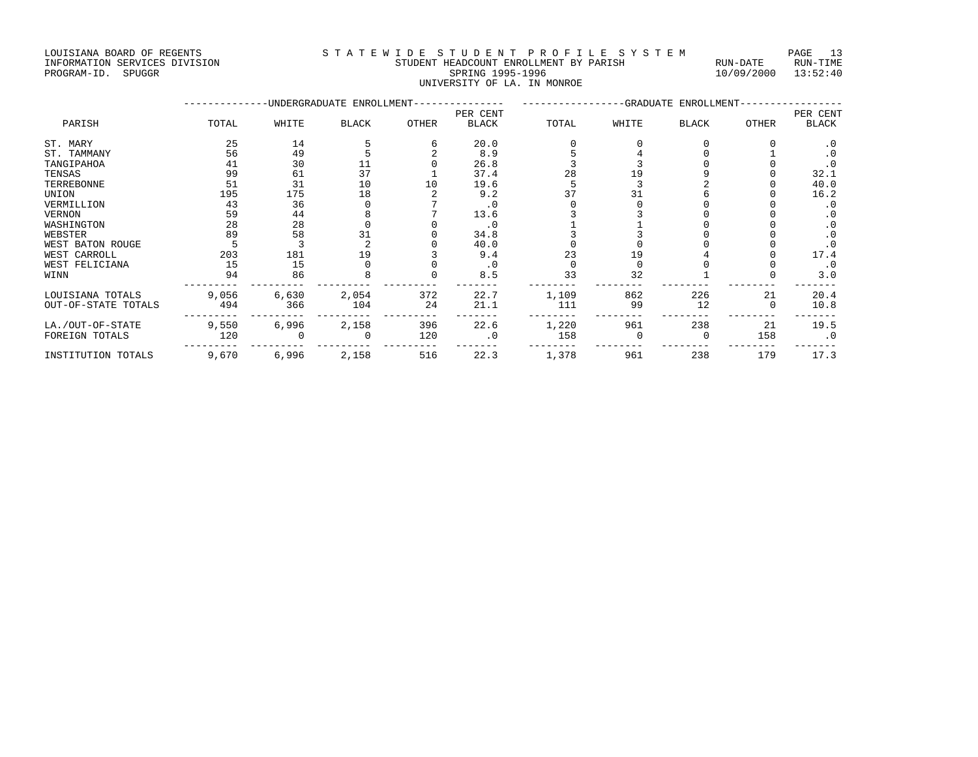## INFORMATION SERVICES DIVISION STUDENT HEADCOUNT ENROLLMENT BY PARISH RUN-DATE RUN-TIME RED INFORMATION SERVICES DIVISION AND STODENT HEADCOUNT ENROLLMENT BY PARISH THE SPUN-DATE RUN-TIME THE SPUGGR<br>PROGRAM-ID. SPUGGR 13:52:40 UNIVERSITY OF LA. IN MONROE

|                     |       |       | -UNDERGRADUATE ENROLLMENT- |       |              |       |       | -GRADUATE ENROLLMENT- |       |           |
|---------------------|-------|-------|----------------------------|-------|--------------|-------|-------|-----------------------|-------|-----------|
|                     |       |       |                            |       | PER CENT     |       |       |                       |       | PER CENT  |
| PARISH              | TOTAL | WHITE | <b>BLACK</b>               | OTHER | <b>BLACK</b> | TOTAL | WHITE | <b>BLACK</b>          | OTHER | BLACK     |
| ST. MARY            | 25    | 14    |                            |       | 20.0         |       |       |                       |       | . 0       |
| ST. TAMMANY         | 56    | 49    |                            |       | 8.9          |       |       |                       |       | $\cdot$ 0 |
| TANGIPAHOA          | 41    | 30    |                            |       | 26.8         |       |       |                       |       | $\cdot$ 0 |
| TENSAS              | 99    | 61    | 37                         |       | 37.4         | 28    |       |                       |       | 32.1      |
| TERREBONNE          | 51    | 31    | 10                         | 10    | 19.6         |       |       |                       |       | 40.0      |
| UNION               | 195   | 175   | 18                         |       | 9.2          |       | 31    |                       |       | 16.2      |
| VERMILLION          | 43    | 36    |                            |       | $\cdot$ 0    |       |       |                       |       | $\cdot$ 0 |
| VERNON              | 59    | 44    |                            |       | 13.6         |       |       |                       |       | $\cdot$ 0 |
| WASHINGTON          | 28    | 28    |                            |       | $\cdot$ 0    |       |       |                       |       | $\cdot$ 0 |
| WEBSTER             | 89    | 58    | 31                         |       | 34.8         |       |       |                       |       | $\cdot$ 0 |
| WEST BATON ROUGE    |       |       |                            |       | 40.0         |       |       |                       |       | $\cdot$ 0 |
| WEST CARROLL        | 203   | 181   | 19                         |       | 9.4          | 23    |       |                       |       | 17.4      |
| WEST FELICIANA      | 15    | 15    |                            |       | $\cdot$ 0    |       |       |                       |       | $\cdot$ 0 |
| WINN                | 94    | 86    |                            |       | 8.5          | 33    | 32    |                       |       | 3.0       |
| LOUISIANA TOTALS    | 9,056 | 6,630 | 2,054                      | 372   | 22.7         | 1,109 | 862   | 226                   | 21    | 20.4      |
| OUT-OF-STATE TOTALS | 494   | 366   | 104                        | 24    | 21.1         | 111   | 99    | 12                    |       | 10.8      |
| LA./OUT-OF-STATE    | 9,550 | 6,996 | 2,158                      | 396   | 22.6         | 1,220 | 961   | 238                   | 21    | 19.5      |
| FOREIGN TOTALS      | 120   |       |                            | 120   | $\cdot$ 0    | 158   |       |                       | 158   | $\cdot$ 0 |
|                     |       |       |                            |       |              |       |       |                       |       |           |

INSTITUTION TOTALS 9,670 6,996 2,158 516 22.3 1,378 961 238 179 17.3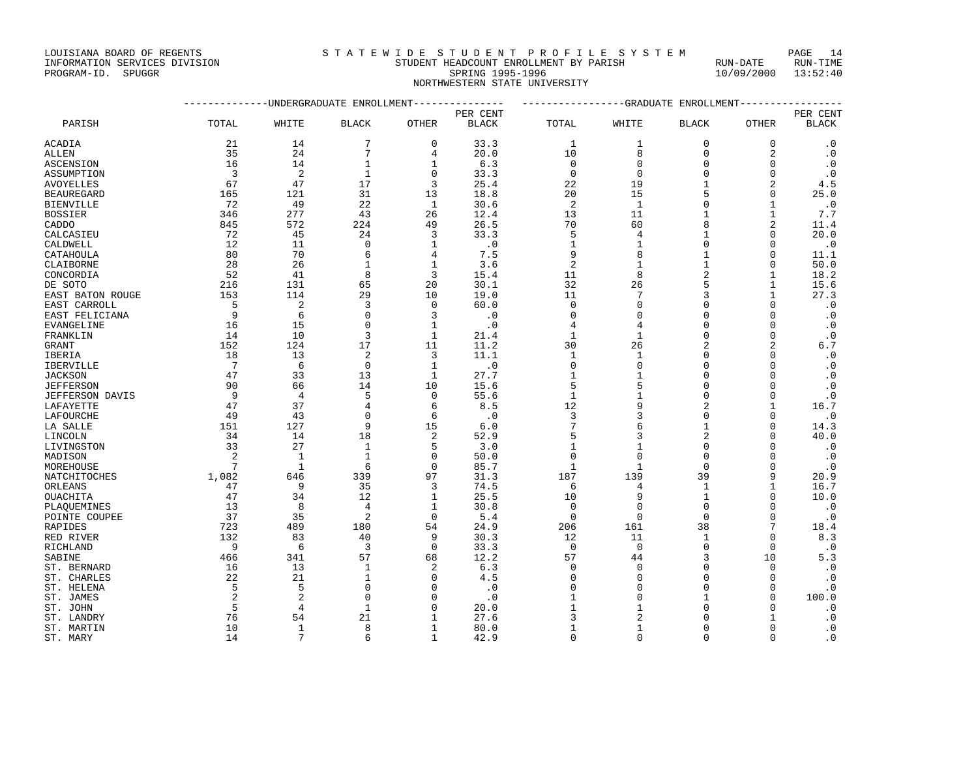## INFORMATION SERVICES DIVISION STUDENT HEADCOUNT ENROLLMENT BY PARISH RUN-DATE RUN-TIME PROGRAM-ID. SPUGGR SPRING 1995-1996 10/09/2000 13:52:40

NORTHWESTERN STATE UNIVERSITY

|                  |                 | -----------DNDERGRADUATE ENROLLMENT--------------- |                |              |              | ---------------GRADUATE ENROLLMENT---------------- |                |                |                |              |
|------------------|-----------------|----------------------------------------------------|----------------|--------------|--------------|----------------------------------------------------|----------------|----------------|----------------|--------------|
|                  |                 |                                                    |                |              | PER CENT     |                                                    |                |                |                | PER CENT     |
| PARISH           | TOTAL           | WHITE                                              | <b>BLACK</b>   | OTHER        | <b>BLACK</b> | TOTAL                                              | WHITE          | <b>BLACK</b>   | <b>OTHER</b>   | <b>BLACK</b> |
| ACADIA           | 21              | 14                                                 | 7              | $\mathbf 0$  | 33.3         | $\mathbf{1}$                                       | 1              | $\mathbf 0$    | $\mathbf 0$    | $\cdot$ 0    |
| ALLEN            | 35              | 24                                                 | 7              | 4            | 20.0         | 10                                                 | 8              | $\Omega$       | $\overline{a}$ | $\cdot$ 0    |
| ASCENSION        | 16              | 14                                                 | $\mathbf{1}$   | 1            | 6.3          | 0                                                  | $\mathbf{0}$   | $\Omega$       | O              | $\cdot$ 0    |
| ASSUMPTION       | $\overline{3}$  | $\overline{2}$                                     | $\mathbf{1}$   | $\Omega$     | 33.3         | $\mathbf 0$                                        | $\mathbf{0}$   | $\Omega$       | $\Omega$       | $\cdot$ 0    |
| AVOYELLES        | 67              | 47                                                 | 17             | 3            | 25.4         | 22                                                 | 19             | $\mathbf{1}$   | 2              | 4.5          |
| BEAUREGARD       | 165             | 121                                                | 31             | 13           | 18.8         | 20                                                 | 15             | 5              | $\Omega$       | 25.0         |
| BIENVILLE        | 72              | 49                                                 | 22             | 1            | 30.6         | 2                                                  | 1              | $\Omega$       | 1              | $\cdot$ 0    |
| BOSSIER          | 346             | 277                                                | 43             | 26           | 12.4         | 13                                                 | 11             | 1              | $\mathbf{1}$   | 7.7          |
| CADDO            | 845             | 572                                                | 224            | 49           | 26.5         | 70                                                 | 60             | 8              | 2              | 11.4         |
| CALCASIEU        | 72              | 45                                                 | 24             | 3            | 33.3         | 5                                                  | 4              | $\mathbf{1}$   | $\Omega$       | 20.0         |
| CALDWELL         | 12              | 11                                                 | $\Omega$       | 1            | $\cdot$ 0    | 1                                                  | $\mathbf{1}$   | $\Omega$       | $\Omega$       | $\cdot$ 0    |
| CATAHOULA        | 80              | 70                                                 | 6              | 4            | 7.5          | 9                                                  | 8              | $\mathbf{1}$   | $\Omega$       | 11.1         |
| CLAIBORNE        | 28              | 26                                                 | 1              | 1            | 3.6          | 2                                                  | 1              | $\mathbf{1}$   | 0              | 50.0         |
| CONCORDIA        | 52              | 41                                                 | 8              | 3            | 15.4         | 11                                                 | 8              |                | $\mathbf{1}$   | 18.2         |
| DE SOTO          | 216             | 131                                                | 65             | 20           | 30.1         | 32                                                 | 26             |                | $\mathbf{1}$   | 15.6         |
| EAST BATON ROUGE | 153             | 114                                                | 29             | 10           | 19.0         | 11                                                 | 7              |                | $\mathbf{1}$   | 27.3         |
| EAST CARROLL     | 5               | 2                                                  | 3              | $\Omega$     | 60.0         | $\Omega$                                           | $\mathbf{0}$   | $\Omega$       | $\Omega$       | $\cdot$ 0    |
| EAST FELICIANA   | 9               | 6                                                  | $\Omega$       | 3            | $\cdot$ 0    | $\Omega$                                           | $\mathbf{0}$   | $\Omega$       | $\Omega$       | $\cdot$ 0    |
| EVANGELINE       | 16              | 15                                                 | $\Omega$       | $\mathbf{1}$ | $\cdot$ 0    | 4                                                  | 4              | $\Omega$       | $\Omega$       | $\cdot$ 0    |
| FRANKLIN         | 14              | 10                                                 | 3              | $\mathbf{1}$ | 21.4         | 1                                                  | $\mathbf{1}$   | $\Omega$       | $\mathbf 0$    | $\cdot$ 0    |
| GRANT            | 152             | 124                                                | 17             | 11           | 11.2         | 30                                                 | 26             | $\overline{c}$ | 2              | 6.7          |
| IBERIA           | 18              | 13                                                 | $\overline{c}$ | 3            | 11.1         | 1                                                  | 1              | $\Omega$       | $\Omega$       | $\cdot$ 0    |
| IBERVILLE        | $7\phantom{.0}$ | 6                                                  | $\mathbf 0$    | $\mathbf{1}$ | $\cdot$ 0    | $\mathbf 0$                                        | $\mathbf{0}$   | $\Omega$       | $\Omega$       | $\cdot$ 0    |
| JACKSON          | 47              | 33                                                 | 13             | 1            | 27.7         | 1                                                  | $\mathbf 1$    | $\Omega$       | 0              | $\cdot$ 0    |
| <b>JEFFERSON</b> | 90              | 66                                                 | 14             | 10           | 15.6         | 5                                                  | 5              | $\Omega$       | $\Omega$       | $\cdot$ 0    |
| JEFFERSON DAVIS  | 9               | $\overline{4}$                                     | 5              | $\Omega$     | 55.6         | $\mathbf{1}$                                       | $\mathbf 1$    | $\Omega$       | $\Omega$       | $\cdot$ 0    |
| LAFAYETTE        | 47              | 37                                                 | 4              | 6            | 8.5          | 12                                                 | 9              | $\overline{c}$ | $\mathbf{1}$   | 16.7         |
| LAFOURCHE        | 49              | 43                                                 | $\Omega$       | 6            | $\cdot$ 0    | 3                                                  | 3              | $\Omega$       | 0              | $\cdot$ 0    |
| LA SALLE         | 151             | 127                                                | 9              | 15           | 6.0          | 7                                                  | 6              | $\mathbf{1}$   | $\Omega$       | 14.3         |
| LINCOLN          | 34              | 14                                                 | 18             | 2            | 52.9         | 5                                                  | 3              |                | U              | 40.0         |
| LIVINGSTON       | 33              | 27                                                 | $\mathbf{1}$   | 5            | 3.0          | $\mathbf{1}$                                       | $\mathbf 1$    | $\Omega$       | $\Omega$       | $\cdot$ 0    |
| MADISON          | 2               | 1                                                  | $\mathbf{1}$   | $\Omega$     | 50.0         | $\mathbf 0$                                        | $\mathbf{0}$   | $\Omega$       | U              | $\cdot$ 0    |
| MOREHOUSE        | 7               | 1                                                  | 6              | $\Omega$     | 85.7         | 1                                                  | 1              | $\Omega$       | $\Omega$       | $\cdot$ 0    |
| NATCHITOCHES     | 1,082           | 646                                                | 339            | 97           | 31.3         | 187                                                | 139            | 39             | 9              | 20.9         |
| ORLEANS          | 47              | 9                                                  | 35             | 3            | 74.5         | 6                                                  | 4              | $\mathbf{1}$   | $\mathbf{1}$   | 16.7         |
| OUACHITA         | 47              | 34                                                 | 12             | 1            | 25.5         | 10                                                 | 9              | 1              | $\Omega$       | 10.0         |
| PLAQUEMINES      | 13              | 8                                                  | $\overline{4}$ | 1            | 30.8         | $\Omega$                                           | $\mathbf{0}$   | $\Omega$       | $\Omega$       | $\cdot$ 0    |
| POINTE COUPEE    | 37              | 35                                                 | $\overline{2}$ | $\Omega$     | 5.4          | $\Omega$                                           | $\mathbf 0$    | $\Omega$       | $\Omega$       | $\cdot$ 0    |
| RAPIDES          | 723             | 489                                                | 180            | 54           | 24.9         | 206                                                | 161            | 38             | 7              | 18.4         |
| RED RIVER        | 132             | 83                                                 | 40             | 9            | 30.3         | 12                                                 | 11             | $\mathbf{1}$   | $\Omega$       | 8.3          |
| RICHLAND         | 9               | 6                                                  | 3              | $\mathbf 0$  | 33.3         | $\mathbf 0$                                        | $\mathbf 0$    | $\Omega$       | 0              | $\cdot$ 0    |
| SABINE           | 466             | 341                                                | 57             | 68           | 12.2         | 57                                                 | 44             | κ              | 10             | 5.3          |
| ST. BERNARD      | 16              | 13                                                 | $\mathbf{1}$   | 2            | 6.3          | $\Omega$                                           | $\Omega$       | $\cap$         | $\Omega$       | $\cdot$ 0    |
| ST. CHARLES      | 22              | 21                                                 | $\mathbf{1}$   | $\Omega$     | 4.5          | <sup>0</sup>                                       | $\mathbf{0}$   | $\Omega$       | $\Omega$       | $\cdot$ 0    |
| ST. HELENA       | 5               | 5                                                  | $\Omega$       | ∩            | $\cdot$ 0    | $\Omega$                                           | $\Omega$       | $\cap$         | $\Omega$       | $\cdot$ 0    |
| ST. JAMES        | 2               | $\overline{2}$                                     | $\Omega$       |              | $\cdot$ 0    |                                                    | $\Omega$       |                | $\Omega$       | 100.0        |
| ST. JOHN         | 5               | $\overline{4}$                                     | 1              | ∩            | 20.0         |                                                    | 1              | $\cap$         | U              | $\cdot$ 0    |
| ST. LANDRY       | 76              | 54                                                 | 21             |              | 27.6         | 3                                                  | $\overline{2}$ |                | 1              | $\cdot$ 0    |
| ST. MARTIN       | 10              | $\mathbf{1}$                                       | 8              | 1            | 80.0         | 1                                                  | 1              | O              | U              | $\cdot$ 0    |
| ST. MARY         | 14              | 7                                                  | 6              |              | 42.9         | $\Omega$                                           | $\Omega$       | $\Omega$       | $\Omega$       | $\cdot$ 0    |
|                  |                 |                                                    |                |              |              |                                                    |                |                |                |              |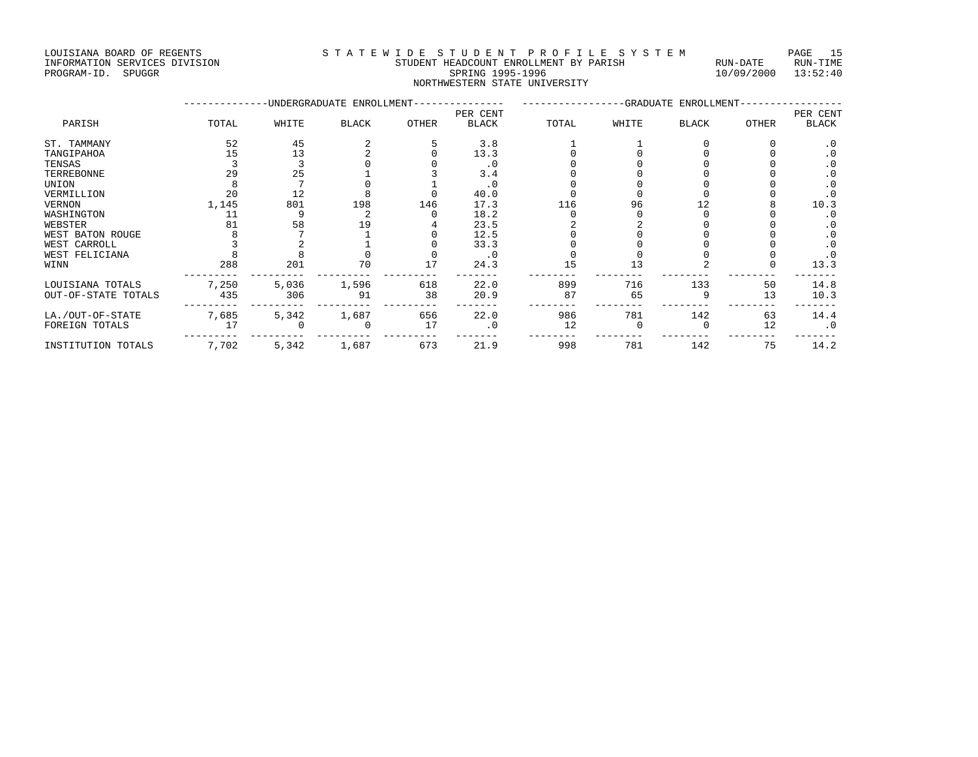LOUISIANA BOARD OF REGENTS S T A T E W I D E S T U D E N T P R O F I L E S Y S T E M PAGE 15

## INFORMATION SERVICES DIVISION SUNTEREDUCER STUDENT HEADCOUNT ENROLLMENT BY PARISH PROGRAM-ID. SPUGGRAM-ID. SUNTEREDUCE RUN-DATE RUN-DATE RUN-DATE RUN-DATE RUN-DATE RUN-TIME RUN-TIME RUN-TIME RUN-TIME RUN-TIME RUN-TIME RUN-NORTHWESTERN STATE UNIVERSITY

|                     |       |       | UNDERGRADUATE ENROLLMENT- |              |              |       |       | -GRADUATE ENROLLMENT- |       |              |
|---------------------|-------|-------|---------------------------|--------------|--------------|-------|-------|-----------------------|-------|--------------|
|                     |       |       |                           |              | PER CENT     |       |       |                       |       | PER CENT     |
| PARISH              | TOTAL | WHITE | <b>BLACK</b>              | <b>OTHER</b> | <b>BLACK</b> | TOTAL | WHITE | <b>BLACK</b>          | OTHER | <b>BLACK</b> |
| ST. TAMMANY         | 52    | 45    |                           |              | 3.8          |       |       |                       |       | . 0          |
| TANGIPAHOA          | 15    | 13    |                           |              | 13.3         |       |       |                       |       | . 0          |
| TENSAS              |       |       |                           |              | $\cdot$ 0    |       |       |                       |       | $\cdot$ 0    |
| TERREBONNE          | 29    | 25    |                           |              | 3.4          |       |       |                       |       | $\cdot$ 0    |
| UNION               |       |       |                           |              | $\cdot$ 0    |       |       |                       |       | $\cdot$ 0    |
| VERMILLION          | 20    | 12    |                           |              | 40.0         |       |       |                       |       | $\cdot$ 0    |
| VERNON              | 1,145 | 801   | 198                       | 146          | 17.3         | 116   | 96    |                       |       | 10.3         |
| WASHINGTON          | 11    |       |                           |              | 18.2         |       |       |                       |       | . 0          |
| WEBSTER             | 81    | 58    | 19                        |              | 23.5         |       |       |                       |       | . 0          |
| WEST BATON ROUGE    |       |       |                           |              | 12.5         |       |       |                       |       | . 0          |
| WEST CARROLL        |       |       |                           |              | 33.3         |       |       |                       |       | $\cdot$ 0    |
| WEST FELICIANA      |       |       |                           |              | $\cdot$ 0    |       |       |                       |       | . 0          |
| WINN                | 288   | 201   | 70                        | 17           | 24.3         | 15    | 13    |                       |       | 13.3         |
| LOUISIANA TOTALS    | 7,250 | 5,036 | 1,596                     | 618          | 22.0         | 899   | 716   | 133                   | 50    | 14.8         |
| OUT-OF-STATE TOTALS | 435   | 306   | 91                        | 38           | 20.9         | 87    | 65    |                       | 13    | 10.3         |
| LA./OUT-OF-STATE    | 7,685 | 5,342 | 1,687                     | 656          | 22.0         | 986   | 781   | 142                   | 63    | 14.4         |
| FOREIGN TOTALS      | 17    |       |                           | 17           | $\cdot$ 0    | 12    |       |                       | 12    | $\cdot$ 0    |
| INSTITUTION TOTALS  | 7,702 | 5,342 | 1,687                     | 673          | 21.9         | 998   | 781   | 142                   | 75    | 14.2         |

 $10/09/2000$   $13:52:40$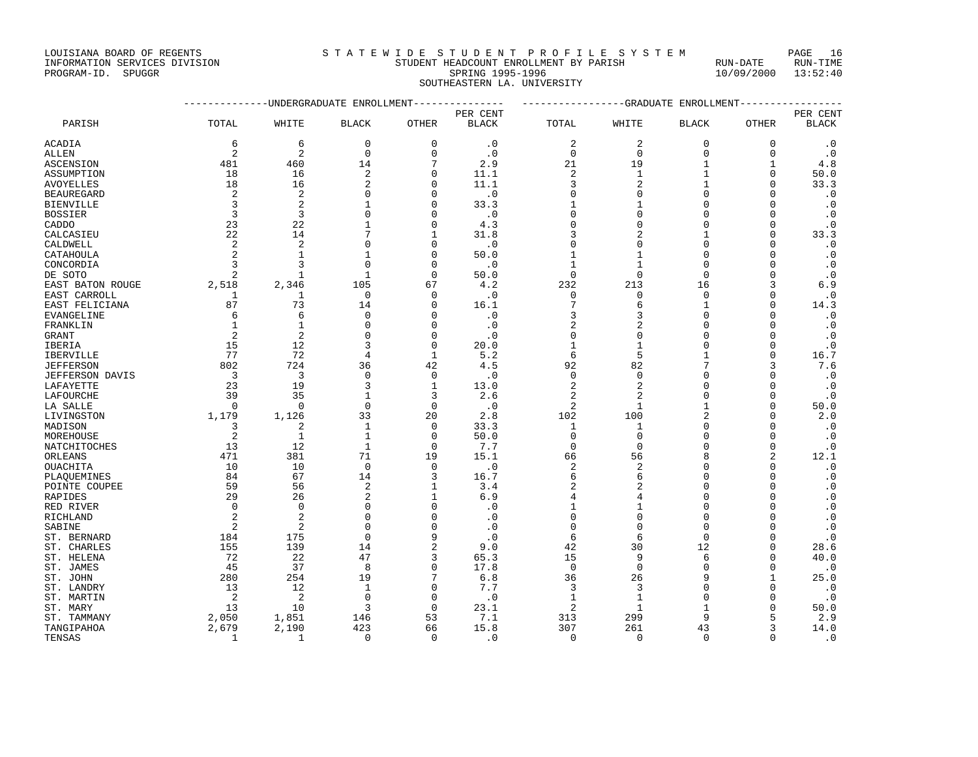## INFORMATION SERVICES DIVISION STUDENT HEADCOUNT ENROLLMENT BY PARISH RUN-DATE RUN-TIME PROGRAM-ID. SPUGGR SPRING 1995-1996 10/09/2000 13:52:40 SOUTHEASTERN LA. UNIVERSITY

|                  | --------------DNDERGRADUATE ENROLLMENT--------------- |                |                |              |              | ----------------GRADUATE ENROLLMENT---------------- |                |              |              |              |
|------------------|-------------------------------------------------------|----------------|----------------|--------------|--------------|-----------------------------------------------------|----------------|--------------|--------------|--------------|
|                  |                                                       |                |                |              | PER CENT     |                                                     |                |              |              | PER CENT     |
| PARISH           | TOTAL                                                 | WHITE          | <b>BLACK</b>   | <b>OTHER</b> | <b>BLACK</b> | TOTAL                                               | WHITE          | <b>BLACK</b> | <b>OTHER</b> | <b>BLACK</b> |
| ACADIA           | 6                                                     | 6              | $\mathbf 0$    | $\mathbf 0$  | $\cdot$ 0    | 2                                                   | $\overline{2}$ | $\mathbf 0$  | 0            | $\cdot$ 0    |
| ALLEN            | 2                                                     | $\overline{2}$ | $\Omega$       | $\Omega$     | $\cdot$ 0    | $\Omega$                                            | $\mathbf 0$    | $\Omega$     | $\Omega$     | $\cdot$ 0    |
| ASCENSION        | 481                                                   | 460            | 14             | 7            | 2.9          | 21                                                  | 19             | $\mathbf{1}$ | 1            | 4.8          |
| ASSUMPTION       | 18                                                    | 16             | $\overline{c}$ | $\Omega$     | 11.1         | 2                                                   | $\mathbf 1$    | $\mathbf{1}$ | $\mathbf 0$  | 50.0         |
| AVOYELLES        | 18                                                    | 16             | $\overline{c}$ | $\Omega$     | 11.1         | 3                                                   | $\overline{a}$ | $\mathbf{1}$ | $\Omega$     | 33.3         |
| BEAUREGARD       | 2                                                     | 2              | $\Omega$       | O            | $\cdot$ 0    | $\Omega$                                            | $\mathbf{0}$   | $\Omega$     | U            | $\cdot$ 0    |
| BIENVILLE        | 3                                                     | $\overline{2}$ | 1              | O            | 33.3         |                                                     | $\mathbf{1}$   | $\Omega$     | O            | $\cdot$ 0    |
| <b>BOSSIER</b>   | 3                                                     | 3              | $\Omega$       | $\Omega$     | $\cdot$ 0    | 0                                                   | $\Omega$       | $\Omega$     | O            | $\cdot$ 0    |
| CADDO            | 23                                                    | 22             | 1              | ∩            | 4.3          | $\Omega$                                            | $\Omega$       | $\Omega$     | U            | $\cdot$ 0    |
| CALCASIEU        | 22                                                    | 14             | 7              |              | 31.8         | 3                                                   | $\overline{2}$ | 1            | $\Omega$     | 33.3         |
| CALDWELL         | 2                                                     | $\overline{2}$ | $\Omega$       | $\Omega$     | $\cdot$ 0    | $\Omega$                                            | $\Omega$       | $\Omega$     | $\mathbf 0$  | $\cdot$ 0    |
| CATAHOULA        | $\overline{2}$                                        | $\mathbf{1}$   | 1              | $\Omega$     | 50.0         | $\mathbf{1}$                                        | $\mathbf 1$    | $\Omega$     | O            | $\cdot$ 0    |
| CONCORDIA        | २                                                     | २              | $\Omega$       | $\cap$       | $\cdot$ 0    |                                                     | 1              | $\Omega$     | U            | $\cdot$ 0    |
| DE SOTO          | $\overline{2}$                                        | 1              | 1              | $\Omega$     | 50.0         | $\mathbf 0$                                         | $\mathbf{0}$   | $\Omega$     | O            | $\cdot$ 0    |
| EAST BATON ROUGE | 2,518                                                 | 2,346          | 105            | 67           | 4.2          | 232                                                 | 213            | 16           | ζ            | $6.9$        |
| EAST CARROLL     | 1                                                     | 1              | $\mathbf 0$    | $\Omega$     | $\cdot$ 0    | 0                                                   | $\mathbf 0$    | $\Omega$     | $\Omega$     | $\cdot$ 0    |
| EAST FELICIANA   | 87                                                    | 73             | 14             | $\Omega$     | 16.1         | 7                                                   | 6              | $\mathbf{1}$ | U            | 14.3         |
| EVANGELINE       | 6                                                     | 6              | $\mathbf 0$    | $\Omega$     | $\cdot$ 0    | 3                                                   | 3              | $\Omega$     | O            | $\cdot$ 0    |
| FRANKLIN         | 1                                                     | $\mathbf{1}$   | $\Omega$       | $\cap$       | $\cdot$ 0    | 2                                                   | $\overline{2}$ | $\Omega$     | O            | $\cdot$ 0    |
| GRANT            | $\overline{2}$                                        | $\overline{c}$ | $\Omega$       | ∩            | $\cdot$ 0    | $\Omega$                                            | $\Omega$       | $\Omega$     | U            | $\cdot$ 0    |
| IBERIA           | 15                                                    | 12             | 3              | $\mathbf 0$  | 20.0         | 1                                                   | $\mathbf{1}$   | $\Omega$     | $\Omega$     | $\cdot$ 0    |
| IBERVILLE        | 77                                                    | 72             | 4              | 1            | 5.2          | 6                                                   | 5              | 1            | 0            | 16.7         |
| JEFFERSON        | 802                                                   | 724            | 36             | 42           | 4.5          | 92                                                  | 82             |              | ζ            | 7.6          |
| JEFFERSON DAVIS  | 3                                                     | 3              | $\Omega$       | $\Omega$     | $\cdot$ 0    | $\mathbf 0$                                         | $\mathbf{0}$   | $\Omega$     | U            | $\cdot$ 0    |
| LAFAYETTE        | 23                                                    | 19             | 3              | 1            | 13.0         | 2                                                   | $\overline{c}$ | $\cap$       | O            | $\cdot$ 0    |
| LAFOURCHE        | 39                                                    | 35             | $\mathbf{1}$   | 3            | 2.6          | 2                                                   | $\overline{2}$ | $\Omega$     | $\Omega$     | $\cdot$ 0    |
| LA SALLE         | $\Omega$                                              | $\Omega$       | $\Omega$       | $\Omega$     | $\cdot$ 0    | 2                                                   | 1              | 1            | $\Omega$     | 50.0         |
| LIVINGSTON       | 1,179                                                 | 1,126          | 33             | 20           | 2.8          | 102                                                 | 100            |              | $\Omega$     | 2.0          |
| MADISON          | 3                                                     | $\overline{2}$ | $\mathbf{1}$   | $\Omega$     | 33.3         | 1                                                   | $\mathbf{1}$   | $\Omega$     | O            | $\cdot$ 0    |
|                  | 2                                                     | -1             | $\mathbf{1}$   | $\Omega$     | 50.0         | $\Omega$                                            | $\Omega$       | $\Omega$     | U            |              |
| MOREHOUSE        | 13                                                    | 12             | $\mathbf{1}$   | $\Omega$     | 7.7          | $\Omega$                                            | $\Omega$       | $\Omega$     | $\Omega$     | $\cdot$ 0    |
| NATCHITOCHES     |                                                       |                |                |              |              |                                                     |                |              | 2            | $\cdot$ 0    |
| ORLEANS          | 471                                                   | 381            | 71             | 19           | 15.1         | 66                                                  | 56             | 8            |              | 12.1         |
| OUACHITA         | 10                                                    | 10             | $\mathbf 0$    | $\Omega$     | $\cdot$ 0    | 2                                                   | $\overline{2}$ | $\cap$       | $\Omega$     | $\cdot$ 0    |
| PLAOUEMINES      | 84                                                    | 67             | 14             | 3            | 16.7         | 6                                                   | 6              | $\cap$       | U            | $\cdot$ 0    |
| POINTE COUPEE    | 59                                                    | 56             | $\overline{2}$ | 1            | 3.4          | 2                                                   | $\overline{2}$ | $\Omega$     | U            | $\cdot$ 0    |
| RAPIDES          | 29                                                    | 26             | $\overline{c}$ | 1            | 6.9          | 4                                                   | 4              | $\Omega$     | O            | $\cdot$ 0    |
| RED RIVER        | $\Omega$                                              | $\Omega$       | $\Omega$       | ∩            | $\cdot$ 0    | 1                                                   | 1              | $\Omega$     | U            | $\cdot$ 0    |
| RICHLAND         | 2                                                     | $\overline{2}$ | $\Omega$       |              | $\cdot$ 0    | $\Omega$                                            | $\Omega$       | $\Omega$     | 0            | $\cdot$ 0    |
| SABINE           | 2                                                     | $\overline{a}$ | $\Omega$       |              | $\cdot$ 0    | $\mathbf 0$                                         | $\mathbf{0}$   | $\Omega$     | O            | $\cdot$ 0    |
| ST. BERNARD      | 184                                                   | 175            | $\Omega$       |              | $\cdot$ 0    | 6                                                   | 6              | $\Omega$     | U            | $\cdot$ 0    |
| ST. CHARLES      | 155                                                   | 139            | 14             | 2            | 9.0          | 42                                                  | 30             | 12           | U            | 28.6         |
| ST. HELENA       | 72                                                    | 22             | 47             | 3            | 65.3         | 15                                                  | 9              | 6            | U            | 40.0         |
| ST. JAMES        | 45                                                    | 37             | 8              | $\Omega$     | 17.8         | $\Omega$                                            | $\mathbf{0}$   | $\Omega$     | $\mathbf 0$  | $\cdot$ 0    |
| ST. JOHN         | 280                                                   | 254            | 19             |              | 6.8          | 36                                                  | 26             | 9            | 1            | 25.0         |
| ST. LANDRY       | 13                                                    | 12             | 1              | $\Omega$     | 7.7          | 3                                                   | 3              | $\Omega$     | U            | $\cdot$ 0    |
| ST. MARTIN       | $\overline{2}$                                        | $\overline{2}$ | $\Omega$       | $\Omega$     | $\cdot$ 0    | 1                                                   | 1              | $\Omega$     | U            | $\cdot$ 0    |
| ST. MARY         | 13                                                    | 10             | 3              | $\Omega$     | 23.1         | 2                                                   | 1              | 1            | U            | 50.0         |
| ST. TAMMANY      | 2,050                                                 | 1,851          | 146            | 53           | 7.1          | 313                                                 | 299            | 9            | 5            | 2.9          |
| TANGIPAHOA       | 2,679                                                 | 2,190          | 423            | 66           | 15.8         | 307                                                 | 261            | 43           | ζ            | 14.0         |
|                  |                                                       |                |                |              |              |                                                     |                |              |              |              |

TENSAS 1 1 1 0 0 .0 0 0 0 0 0 0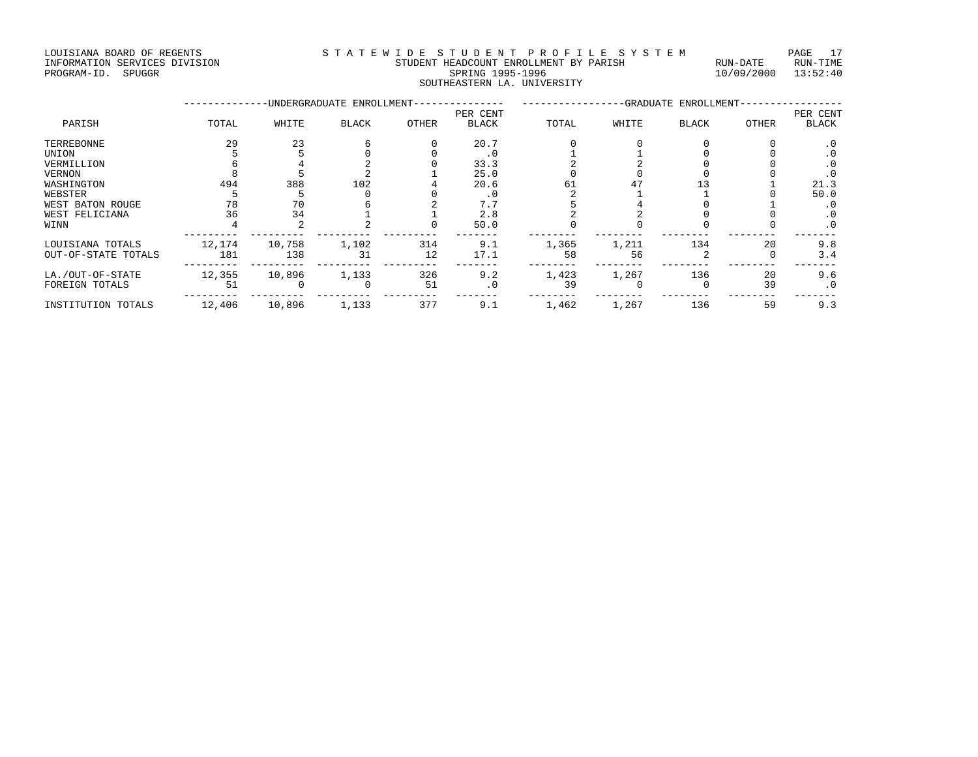LOUISIANA BOARD OF REGENTS STATEWIDE STUDENT PROFILE SYSTEM PAGE 17 INFORMATION SERVICES DIVISION STUDENT HEADCOUNT ENROLLMENT BY PARISH RUN-DATE RUN-TIME

## PROGRAM-ID. SPUGGR SPRING 1995-1996 10/09/2000 13:52:40 SOUTHEASTERN LA. UNIVERSITY

|                     |        |        | -UNDERGRADUATE ENROLLMENT- |       |              |       |       | -GRADUATE ENROLLMENT- |       |              |
|---------------------|--------|--------|----------------------------|-------|--------------|-------|-------|-----------------------|-------|--------------|
|                     |        |        |                            |       | PER CENT     |       |       |                       |       | PER CENT     |
| PARISH              | TOTAL  | WHITE  | <b>BLACK</b>               | OTHER | <b>BLACK</b> | TOTAL | WHITE | <b>BLACK</b>          | OTHER | <b>BLACK</b> |
| TERREBONNE          | 29     | 23     |                            |       | 20.7         |       |       |                       |       | $\cdot$ 0    |
| UNION               |        |        |                            |       | $\cdot$ 0    |       |       |                       |       | . 0          |
| VERMILLION          |        |        |                            |       | 33.3         |       |       |                       |       | . 0          |
| VERNON              |        |        |                            |       | 25.0         |       |       |                       |       | . 0          |
| WASHINGTON          | 494    | 388    | 102                        |       | 20.6         | 61    |       |                       |       | 21.3         |
| WEBSTER             |        |        |                            |       | . 0          |       |       |                       |       | 50.0         |
| WEST BATON ROUGE    | 78     | 70     |                            |       | 7.7          |       |       |                       |       | . 0          |
| WEST FELICIANA      | 36     | 34     |                            |       | 2.8          |       |       |                       |       | $\cdot$ 0    |
| WINN                |        |        |                            |       | 50.0         |       |       |                       |       | $\cdot$ 0    |
| LOUISIANA TOTALS    | 12,174 | 10,758 | 1,102                      | 314   | 9.1          | 1,365 | 1,211 | 134                   | 20    | 9.8          |
| OUT-OF-STATE TOTALS | 181    | 138    | 31                         | 12    | 17.1         | 58    | 56    |                       |       | 3.4          |
| LA./OUT-OF-STATE    | 12,355 | 10,896 | 1,133                      | 326   | 9.2          | 1,423 | 1,267 | 136                   | 20    | 9.6          |
| FOREIGN TOTALS      | 51     |        | $\Omega$                   | 51    | $\cdot$ 0    | 39    |       |                       | 39    | $\cdot$ 0    |
| INSTITUTION TOTALS  | 12,406 | 10,896 | 1,133                      | 377   | 9.1          | 1,462 | 1,267 | 136                   | 59    | 9.3          |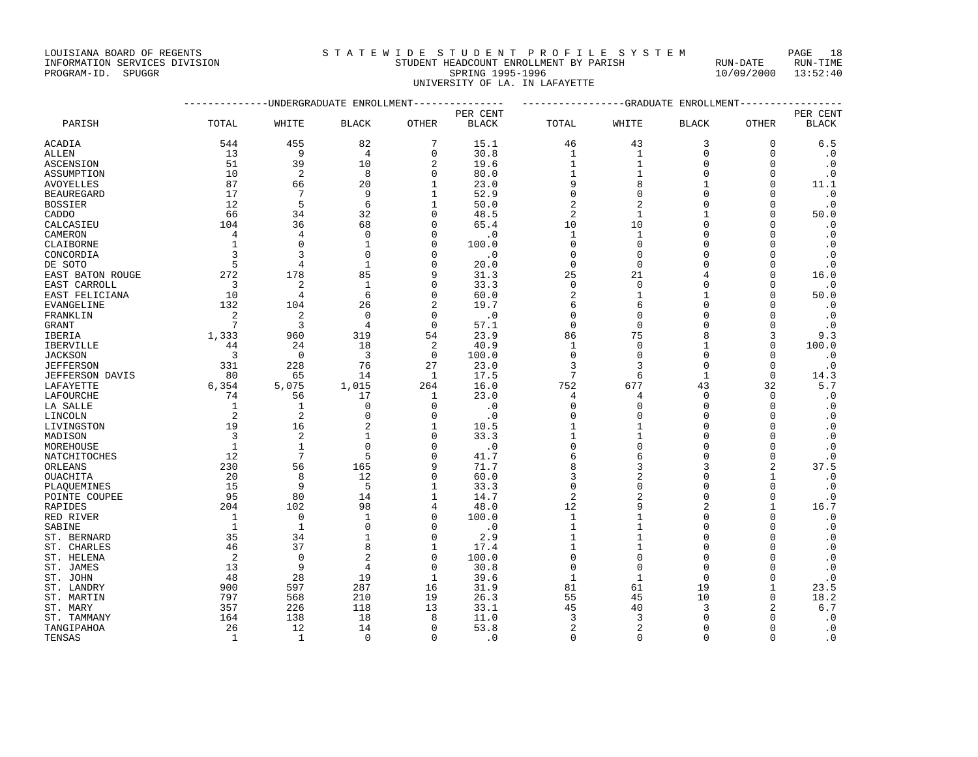## INFORMATION SERVICES DIVISION STUDENT HEADCOUNT ENROLLMENT BY PARISH RUN-DATE RUN-TIME PROGRAM-ID. SPUGGR SPRING 1995-1996 10/09/2000 13:52:40 UNIVERSITY OF LA. IN LAFAYETTE

|                        |                |                 | -----------UNDERGRADUATE ENROLLMENT-------------- |                | ----------------GRADUATE ENROLLMENT- |                |              |              |                |              |
|------------------------|----------------|-----------------|---------------------------------------------------|----------------|--------------------------------------|----------------|--------------|--------------|----------------|--------------|
|                        |                |                 |                                                   |                | PER CENT                             |                |              |              |                | PER CENT     |
| PARISH                 | TOTAL          | WHITE           | <b>BLACK</b>                                      | <b>OTHER</b>   | <b>BLACK</b>                         | TOTAL          | WHITE        | <b>BLACK</b> | <b>OTHER</b>   | <b>BLACK</b> |
| ACADIA                 | 544            | 455             | 82                                                | 7              | 15.1                                 | 46             | 43           | 3            | 0              | 6.5          |
| ALLEN                  | 13             | 9               | 4                                                 | $\mathbf 0$    | 30.8                                 | 1              | 1            | 0            | $\mathbf 0$    | $\cdot$ 0    |
| ASCENSION              | 51             | 39              | 10                                                | $\overline{2}$ | 19.6                                 | $\mathbf{1}$   | 1            | $\mathbf 0$  | $\Omega$       | $\cdot$ 0    |
| ASSUMPTION             | 10             | $\overline{2}$  | 8                                                 | $\Omega$       | 80.0                                 | 1              |              | 0            | $\Omega$       | $\cdot$ 0    |
| AVOYELLES              | 87             | 66              | 20                                                | $\mathbf{1}$   | 23.0                                 | 9              | 8            | 1            | $\Omega$       | 11.1         |
| <b>BEAUREGARD</b>      | 17             | 7               | 9                                                 | $\mathbf{1}$   | 52.9                                 | $\mathbf 0$    | $\Omega$     | $\mathbf 0$  | $\Omega$       | $\cdot$ 0    |
| <b>BOSSIER</b>         | 12             | 5               | 6                                                 | 1              | 50.0                                 | $\overline{2}$ | 2            | $\Omega$     | 0              | $\cdot$ 0    |
| CADDO                  | 66             | 34              | 32                                                | $\Omega$       | 48.5                                 | $\overline{2}$ | $\mathbf{1}$ | $\mathbf{1}$ | $\Omega$       | 50.0         |
| CALCASIEU              | 104            | 36              | 68                                                | $\Omega$       | 65.4                                 | 10             | 10           | $\mathbf 0$  | $\Omega$       | $\cdot$ 0    |
| CAMERON                | 4              | 4               | 0                                                 | $\Omega$       | $\cdot$ 0                            | 1              | 1            | $\Omega$     | n              | $\cdot$ 0    |
| CLAIBORNE              | 1              | $\mathbf{0}$    | $\mathbf{1}$                                      | $\Omega$       | 100.0                                | $\mathbf 0$    | $\mathbf 0$  | $\mathbf 0$  | $\Omega$       | $\cdot$ 0    |
| CONCORDIA              | 3              | 3               | 0                                                 | $\Omega$       | $\cdot$ 0                            | $\mathbf 0$    | $\Omega$     | 0            | $\Omega$       | $\cdot$ 0    |
| DE SOTO                | 5              | $\overline{4}$  | $\mathbf{1}$                                      | $\Omega$       | 20.0                                 | $\mathbf 0$    | $\mathbf 0$  | 0            | $\Omega$       | $\cdot$ 0    |
| EAST BATON ROUGE       | 272            | 178             | 85                                                | 9              | 31.3                                 | 25             | 21           | 4            | $\Omega$       | 16.0         |
| EAST CARROLL           | 3              | 2               | $\mathbf{1}$                                      | 0              | 33.3                                 | $\mathbf 0$    | $\mathbf 0$  | 0            | 0              | $\cdot$ 0    |
| EAST FELICIANA         | 10             | $\overline{4}$  | 6                                                 | $\Omega$       | 60.0                                 | $\overline{2}$ | $\mathbf{1}$ | $\mathbf{1}$ | $\Omega$       | 50.0         |
| EVANGELINE             | 132            | 104             | 26                                                |                | 19.7                                 | 6              | 6            | 0            | $\Omega$       | $\cdot$ 0    |
| FRANKLIN               | 2              | 2               | $\Omega$                                          | $\Omega$       | $\cdot$ 0                            | $\Omega$       | O            | O            | n              | $\cdot$ 0    |
| <b>GRANT</b>           | 7              | 3               | 4                                                 | $\mathbf{0}$   | 57.1                                 | $\mathbf 0$    | $\mathbf{0}$ | 0            | $\Omega$       | $\cdot$ 0    |
| IBERIA                 | 1,333          | 960             | 319                                               | 54             | 23.9                                 | 86             | 75           | 8            | 3              | 9.3          |
| IBERVILLE              | 44             | 24              | 18                                                | $\overline{2}$ | 40.9                                 | 1              | $\mathbf 0$  | 1            | $\mathbf 0$    | 100.0        |
| <b>JACKSON</b>         | 3              | $\Omega$        | 3                                                 | $\mathbf 0$    | 100.0                                | $\Omega$       | $\Omega$     | $\Omega$     | $\Omega$       | $\cdot$ 0    |
| <b>JEFFERSON</b>       | 331            | 228             | 76                                                | 27             | 23.0                                 | 3              | 3            | $\mathbf 0$  | $\Omega$       | $\cdot$ 0    |
| <b>JEFFERSON DAVIS</b> | 80             | 65              | 14                                                | 1              | 17.5                                 | 7              | 6            | $\mathbf{1}$ | $\mathbf 0$    | 14.3         |
| LAFAYETTE              | 6,354          | 5,075           | 1,015                                             | 264            | 16.0                                 | 752            | 677          | 43           | 32             | 5.7          |
| LAFOURCHE              | 74             | 56              | 17                                                | 1              | 23.0                                 | 4              | 4            | 0            | $\Omega$       | $\cdot$ 0    |
| LA SALLE               | 1              | $\mathbf{1}$    | $\Omega$                                          | $\Omega$       | $\cdot$ 0                            | $\mathbf 0$    | $\Omega$     | $\mathbf 0$  | $\Omega$       | $\cdot$ 0    |
| LINCOLN                | $\overline{2}$ | 2               | 0                                                 | $\Omega$       | $\cdot$ 0                            | 0              | $\Omega$     | 0            | $\Omega$       | $\cdot$ 0    |
| LIVINGSTON             | 19             | 16              | 2                                                 | $\mathbf{1}$   | 10.5                                 | 1              |              | $\Omega$     | $\Omega$       | $\cdot$ 0    |
| MADISON                | 3              | 2               | 1                                                 | $\Omega$       | 33.3                                 | 1              |              | 0            | $\Omega$       | $\cdot$ 0    |
| MOREHOUSE              | 1              | $\mathbf{1}$    | 0                                                 | $\Omega$       | $\cdot$ 0                            | $\mathbf 0$    | $\Omega$     | 0            | $\Omega$       | $\cdot$ 0    |
| NATCHITOCHES           | 12             | $7\phantom{.0}$ | 5                                                 | $\Omega$       | 41.7                                 | 6              | 6            | $\mathbf 0$  | $\mathbf 0$    | $\cdot$ 0    |
| ORLEANS                | 230            | 56              | 165                                               | 9              | 71.7                                 | 8              | 3            | 3            | $\overline{2}$ | 37.5         |
| OUACHITA               | 20             | 8               | 12                                                | $\Omega$       | 60.0                                 | 3              | 2            | 0            | 1              | $\cdot$ 0    |
| PLAQUEMINES            | 15             | 9               | 5                                                 | $\mathbf{1}$   | 33.3                                 | $\Omega$       | $\Omega$     | $\Omega$     | $\Omega$       | . 0          |
| POINTE COUPEE          | 95             | 80              | 14                                                | $\mathbf{1}$   | 14.7                                 | 2              | 2            | 0            | $\Omega$       | $\cdot$ 0    |
| RAPIDES                | 204            | 102             | 98                                                | 4              | 48.0                                 | 12             | 9            | 2            | 1              | 16.7         |
| RED RIVER              | 1              | $\mathbf{0}$    | $\mathbf{1}$                                      | $\Omega$       | 100.0                                | $\mathbf{1}$   |              | 0            | $\Omega$       | $\cdot$ 0    |
| SABINE                 | 1              | $\mathbf{1}$    | 0                                                 | $\Omega$       | $\cdot$ 0                            | 1              | 1            | 0            | 0              | $\cdot$ 0    |
| ST. BERNARD            | 35             | 34              | 1                                                 | $\Omega$       | 2.9                                  | 1              | 1            | $\Omega$     | $\Omega$       | $\cdot$ 0    |
| ST. CHARLES            | 46             | 37              | 8                                                 | 1              | 17.4                                 | 1              | 1            | 0            | $\Omega$       | $\cdot$ 0    |
| ST. HELENA             | $\overline{2}$ | $\mathbf 0$     | 2                                                 | $\Omega$       | 100.0                                | $\mathbf 0$    | $\Omega$     | $\mathbf 0$  | $\Omega$       | $\cdot$ 0    |
| ST. JAMES              | 13             | 9               | 4                                                 | $\Omega$       | 30.8                                 | $\Omega$       | $\Omega$     | $\Omega$     | $\Omega$       | $\cdot$ 0    |
| ST. JOHN               | 48             | 28              | 19                                                | $\mathbf{1}$   | 39.6                                 | $\mathbf{1}$   | $\mathbf{1}$ | $\mathbf 0$  | $\Omega$       | $\cdot$ 0    |
| ST. LANDRY             | 900            | 597             | 287                                               | 16             | 31.9                                 | 81             | 61           | 19           | 1              | 23.5         |
| ST. MARTIN             | 797            | 568             | 210                                               | 19             | 26.3                                 | 55             | 45           | 10           | $\Omega$       | 18.2         |
| ST. MARY               | 357            | 226             | 118                                               | 13             | 33.1                                 | 45             | 40           | 3            | 2              | 6.7          |
| ST. TAMMANY            | 164            | 138             | 18                                                | 8              | 11.0                                 | 3              | 3            | $\Omega$     | n              | $\cdot$ 0    |
| TANGIPAHOA             | 26             | 12              | 14                                                | $\Omega$       | 53.8                                 | $\overline{2}$ | 2            | $\mathbf 0$  | $\Omega$       | $\cdot$ 0    |
| TENSAS                 | 1              | -1              | $\Omega$                                          | $\Omega$       | $\cdot$ 0                            | $\Omega$       | $\Omega$     | $\Omega$     | $\Omega$       | $\cdot$ 0    |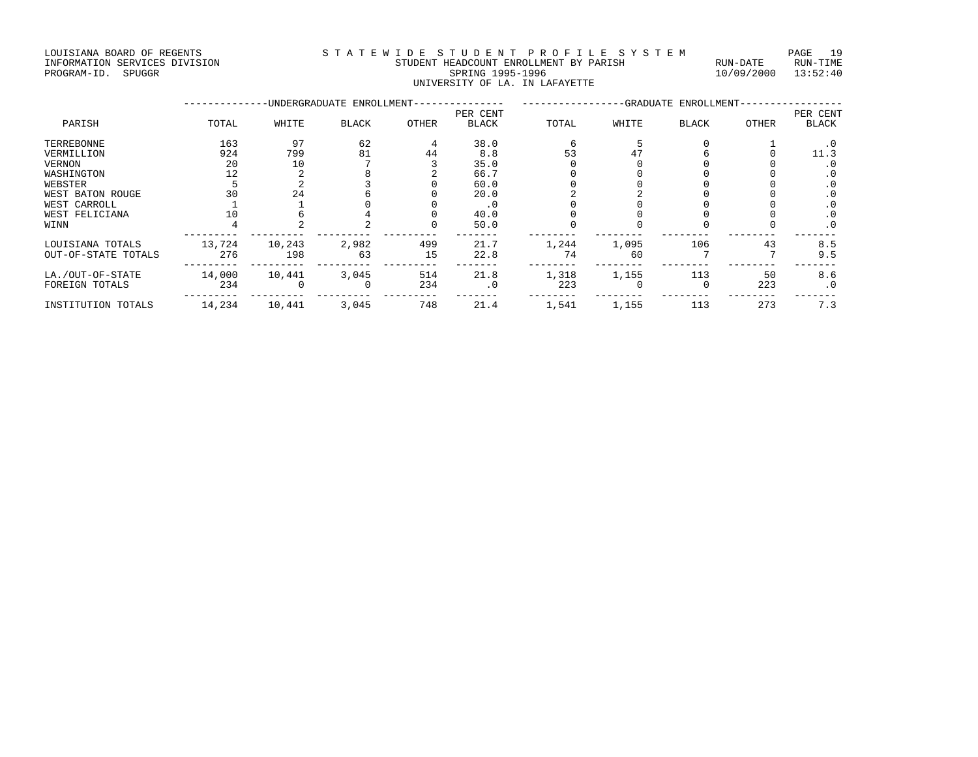LOUISIANA BOARD OF REGENTS S T A T E W I D E S T U D E N T P R O F I L E S Y S T E M PAGE 19 INFORMATION SERVICES DIVISION STUDENT HEADCOUNT ENROLLMENT BY PARISH RUN-DATE RUN-TIME PROGRAM-ID. SPUGGR SPRING 1995-1996 10/09/2000 13:52:40

|          |        |       |                                         |        |                      | UNIVERSITY OF LA. IN LAFAYETTE |        |                                  |        |          |
|----------|--------|-------|-----------------------------------------|--------|----------------------|--------------------------------|--------|----------------------------------|--------|----------|
|          |        |       | -UNDERGRADUATE ENROLLMENT-------------- |        |                      |                                |        | -GRADUATE ENROLLMENT------------ |        |          |
|          |        |       |                                         |        | PER CENT             |                                |        |                                  |        | PER CENT |
| PARISH   | TOTAL  | WHITE | <b>BLACK</b>                            | OTHER  | BLACK                | TOTAL                          | WHITE  | BLACK                            | OTHER  | BLACK    |
| RREBONNE | 163    | 97    | 62                                      | 4      | 38.0                 |                                |        |                                  |        |          |
| RMILLION | 924    | 799   | 81                                      | 44     | 8.8                  | 53                             | 47     |                                  |        |          |
| RNON     | 20     |       |                                         |        | 35.0                 |                                |        |                                  |        |          |
|          | $\sim$ |       | $\sim$                                  | $\sim$ | $\sim$ $\sim$ $\sim$ | $\sim$                         | $\sim$ |                                  | $\sim$ | $\sim$   |

| TERREBONNE          | 163    | 97     | 62       |     | 38.0      |       |       |     |     |           |
|---------------------|--------|--------|----------|-----|-----------|-------|-------|-----|-----|-----------|
| VERMILLION          | 924    | 799    | 81       | 44  | 8.8       | 53    |       |     |     | 11.3      |
| VERNON              | 20     | 10     |          |     | 35.0      |       |       |     |     |           |
| WASHINGTON          | 12     |        |          |     | 66.7      |       |       |     |     |           |
| WEBSTER             |        |        |          |     | 60.0      |       |       |     |     |           |
| WEST BATON ROUGE    | 30     | 24     |          |     | 20.0      |       |       |     |     | . 0       |
| WEST CARROLL        |        |        |          |     | $\cdot$ 0 |       |       |     |     | $\cdot$ 0 |
| WEST FELICIANA      |        |        |          |     | 40.0      |       |       |     |     | $\cdot$ 0 |
| WINN                |        |        |          |     | 50.0      |       |       |     |     | $\cdot$ 0 |
| LOUISIANA TOTALS    | 13,724 | 10,243 | 2,982    | 499 | 21.7      | 1,244 | 1,095 | 106 | 43  | 8.5       |
| OUT-OF-STATE TOTALS | 276    | 198    | 63       | 15  | 22.8      | 74    | 60    |     |     | 9.5       |
| LA./OUT-OF-STATE    | 14,000 | 10,441 | 3,045    | 514 | 21.8      | 1,318 | 1,155 | 113 | 50  | 8.6       |
| FOREIGN TOTALS      | 234    |        | $\Omega$ | 234 | $\cdot$ 0 | 223   |       |     | 223 | $\cdot$ 0 |
| INSTITUTION TOTALS  | 14,234 | 10,441 | 3,045    | 748 | 21.4      | 1,541 | 1,155 | 113 | 273 | 7.3       |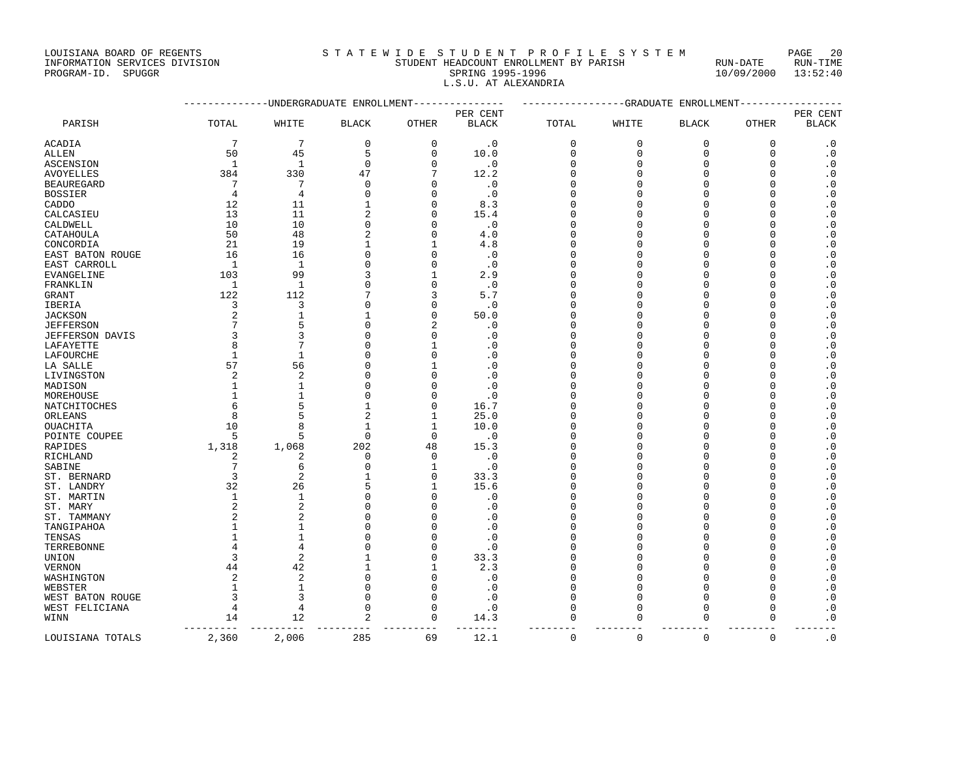## INFORMATION SERVICES DIVISION STUDENT HEADCOUNT ENROLLMENT BY PARISH RUN-DATE RUN-TIME PROGRAM-ID. SPUGGR SERVICES DIVISION AND REALLY AND STUDENT HEADCOUNT ENROLLMENT BY PARISH THAT SAND-DATE RUN<br>PROGRAM-ID. SPUGGR 13:52:40 L.S.U. AT ALEXANDRIA

|                  |                  | ----------UNDERGRADUATE ENROLLMENT--------------- |                          |                          |                   | ----------------GRADUATE ENROLLMENT---------------- |                   |                          |              |                   |
|------------------|------------------|---------------------------------------------------|--------------------------|--------------------------|-------------------|-----------------------------------------------------|-------------------|--------------------------|--------------|-------------------|
|                  |                  |                                                   |                          |                          | PER CENT          |                                                     |                   |                          |              | PER CENT          |
| PARISH           | TOTAL            | WHITE                                             | <b>BLACK</b>             | OTHER                    | <b>BLACK</b>      | TOTAL                                               | WHITE             | <b>BLACK</b>             | <b>OTHER</b> | <b>BLACK</b>      |
| ACADIA           | 7                | $7\phantom{.0}$                                   | $\mathbf 0$              | $\mathbf 0$              | $\cdot$ 0         | 0                                                   | $\mathbf 0$       | $\mathbf 0$              | $\mathbf{0}$ | $\cdot$ 0         |
| ALLEN            | 50               | 45                                                | 5                        | 0                        | 10.0              | 0                                                   | 0                 | 0                        | $\Omega$     | . 0               |
| ASCENSION        | 1                | 1                                                 | $\mathbf 0$              | $\Omega$                 | $\cdot$ 0         | $\Omega$                                            | $\Omega$          | 0                        | $\Omega$     | $\cdot$ 0         |
| AVOYELLES        | 384              | 330                                               | 47                       |                          | 12.2              | 0                                                   | O                 | $\Omega$                 | $\Omega$     | $\cdot$ 0         |
| BEAUREGARD       | 7                | 7                                                 | $\Omega$                 | $\Omega$                 | $\cdot$ 0         | $\Omega$                                            | ∩                 | $\Omega$                 | $\cap$       | . 0               |
| BOSSIER          | 4                | $\overline{4}$                                    | $\Omega$                 | $\Omega$                 | $\cdot$ 0         | $\Omega$                                            | O                 | $\Omega$                 | n            | $\cdot$ 0         |
| CADDO            | 12               | 11                                                | 1                        | $\Omega$                 | 8.3               | $\cap$                                              | ∩                 | U                        |              | $\cdot$ 0         |
| CALCASIEU        | 13               | 11                                                | $\overline{a}$           | $\Omega$                 | 15.4              | $\Omega$                                            | O                 | O                        |              | $\cdot$ 0         |
| CALDWELL         | 10               | 10                                                | $\Omega$                 | $\Omega$                 | $\cdot$ 0         | $\Omega$                                            | ∩                 | O                        | n            | $\cdot$ 0         |
| CATAHOULA        | 50               | 48                                                | $\overline{2}$           | $\Omega$                 | 4.0               | $\Omega$                                            | O                 | O                        | n            | $\cdot$ 0         |
| CONCORDIA        | 21               | 19                                                | $\mathbf{1}$             | $\mathbf{1}$             | 4.8               | $\Omega$                                            | O                 | $\Omega$                 | n            | $\cdot$ 0         |
| EAST BATON ROUGE | 16               | 16                                                | $\mathbf 0$              | $\mathbf{0}$             | $\cdot$ 0         | $\Omega$                                            | O                 | $\Omega$                 |              | $\cdot$ 0         |
| EAST CARROLL     | 1                | 1                                                 | $\Omega$                 | $\Omega$                 | $\cdot$ 0         | $\Omega$                                            | $\cap$            | $\Omega$                 |              | $\cdot$ 0         |
| EVANGELINE       | 103              | 99                                                | 3                        | 1                        | 2.9               | $\Omega$                                            | O                 | $\Omega$                 | U            | $\cdot$ 0         |
| FRANKLIN         | 1                | 1                                                 | $\mathbf 0$              | $\mathbf 0$              | $\cdot$ 0         | $\Omega$                                            | O                 | 0                        | U            | $\cdot$ 0         |
| GRANT            | 122              | 112                                               | 7                        | 3                        | 5.7               | $\Omega$                                            | U                 | $\Omega$                 |              | .0                |
| IBERIA           | 3                | 3                                                 | $\mathbf 0$              | $\mathbf{0}$             | $\cdot$ 0         | $\Omega$                                            | U                 | O                        | n            | $\cdot$ 0         |
| JACKSON          | 2                | $\mathbf{1}$                                      | 1                        | $\Omega$                 | 50.0              | $\Omega$                                            | ∩                 | O                        | n            | $\cdot$ 0         |
| JEFFERSON        | 7                | 5                                                 | $\mathbf 0$              | $\overline{2}$           | $\cdot$ 0         | $\Omega$                                            | $\Omega$          | $\Omega$                 | $\cap$       | $\cdot$ 0         |
| JEFFERSON DAVIS  | 3                | 3                                                 | $\mathbf 0$              | $\Omega$                 | $\cdot$ 0         | $\Omega$                                            | O                 | O                        |              | $\cdot$ 0         |
| LAFAYETTE        | 8                | 7                                                 | $\Omega$                 | $\mathbf{1}$             | $\cdot$ 0         | $\Omega$                                            | U                 | U                        |              | $\cdot$ 0         |
| LAFOURCHE        | $\mathbf{1}$     | 1                                                 | $\Omega$                 | $\Omega$                 | $\cdot$ 0         | $\Omega$                                            | N                 | $\Omega$                 |              | . 0               |
|                  | 57               | 56                                                | $\mathbf 0$              | $\mathbf{1}$             | $\cdot$ 0         | $\Omega$                                            | N                 | 0                        | U            | $\cdot$ 0         |
| LA SALLE         | $\overline{a}$   | 2                                                 | $\mathbf 0$              | $\Omega$                 | $\cdot$ 0         | $\Omega$                                            | ∩                 | $\Omega$                 | $\cap$       |                   |
| LIVINGSTON       |                  | $\mathbf{1}$                                      | $\mathbf 0$              | $\Omega$                 |                   | $\Omega$                                            |                   | O                        |              | $\cdot$ 0         |
| MADISON          | 1                | -1                                                | $\Omega$                 | $\cap$                   | $\cdot$ 0         | $\cap$                                              | ∩                 | U                        | n            | $\cdot$ 0         |
| MOREHOUSE        | 1                | 5                                                 | $\mathbf{1}$             | $\Omega$                 | $\cdot$ 0<br>16.7 | $\Omega$                                            | $\Omega$          | $\Omega$                 | $\Omega$     | . 0               |
| NATCHITOCHES     | 6                |                                                   |                          |                          |                   |                                                     |                   |                          | n            | $\cdot$ 0         |
| ORLEANS          | 8<br>10          | 5                                                 | $\overline{2}$           | 1                        | 25.0              | $\Omega$<br>$\Omega$                                | O<br>Λ            | $\Omega$<br>$\Omega$     |              | $\cdot$ 0         |
| OUACHITA         | 5                | 8                                                 | $\mathbf{1}$<br>$\Omega$ | $\mathbf{1}$<br>$\Omega$ | 10.0              | $\Omega$                                            | U                 | $\Omega$                 | n            | $\cdot$ 0         |
| POINTE COUPEE    |                  | 5                                                 |                          | 48                       | $\cdot$ 0         |                                                     | O                 | O                        |              | $\cdot$ 0         |
| RAPIDES          | 1,318            | 1,068                                             | 202                      |                          | 15.3              | 0<br>$\Omega$                                       | $\Omega$          | $\Omega$                 | $\cap$       | $\cdot$ 0         |
| RICHLAND         | 2                | $\overline{2}$                                    | $\mathbf 0$              | $\Omega$                 | $\cdot$ 0         |                                                     |                   |                          |              | $\cdot$ 0         |
| SABINE           | $7\phantom{.0}$  | 6                                                 | $\mathbf 0$              | $\mathbf{1}$             | $\cdot$ 0         | $\Omega$                                            | N                 | O                        |              | $\cdot$ 0         |
| ST. BERNARD      | 3                | $\overline{2}$                                    | $\mathbf{1}$<br>5        | $\Omega$                 | 33.3              | $\Omega$                                            | N                 | 0                        | U            | $\cdot$ 0         |
| ST. LANDRY       | 32               | 26                                                |                          | $\mathbf{1}$<br>$\Omega$ | 15.6              | $\Omega$                                            | O                 | $\Omega$                 |              | . 0               |
| ST. MARTIN       | $\mathbf{1}$     | $\mathbf{1}$                                      | $\mathbf 0$              |                          | $\cdot$ 0         | 0                                                   | O                 | 0                        | U            | $\cdot$ 0         |
| ST. MARY         | 2                | 2                                                 | $\Omega$                 | $\cap$                   | $\cdot$ 0         | $\Omega$                                            | ∩                 | $\Omega$                 | n            | $\cdot$ 0         |
| ST. TAMMANY      | 2                | $\overline{2}$                                    | $\Omega$                 | $\Omega$                 | $\cdot$ 0         | $\Omega$                                            |                   | O                        |              | $\cdot$ 0         |
| TANGIPAHOA       | 1                | 1                                                 | $\Omega$                 | $\Omega$                 | $\cdot$ 0         | $\Omega$                                            | O                 | O                        | U            | . 0               |
| TENSAS           | $\mathbf{1}$     | $\mathbf{1}$                                      | $\Omega$                 | $\Omega$                 | $\cdot$ 0         | $\Omega$                                            | ∩                 | O                        | n            | $\cdot$ 0         |
| TERREBONNE       | 4                | 4                                                 | $\Omega$                 | $\mathbf{0}$             | $\cdot$ 0         | $\Omega$                                            | ∩                 | O                        | $\cap$       | $\cdot$ 0         |
| UNION            | 3                | $\overline{2}$                                    | 1                        | $\Omega$                 | 33.3              | $\Omega$                                            |                   | $\Omega$                 |              | $\cdot$ 0         |
| VERNON           | 44               | 42                                                | $\mathbf{1}$             | $\mathbf{1}$             | 2.3               | $\cap$                                              | U                 | $\Omega$                 | $\cap$       | $\cdot$ 0         |
| WASHINGTON       | 2                | $\mathbf{2}$                                      | $\mathbf 0$              | $\Omega$                 | $\cdot$ 0         | $\Omega$                                            |                   | $\Omega$                 |              | $\cdot$ 0         |
| WEBSTER          | 1                | -1                                                | 0                        | $\Omega$                 | $\cdot$ 0         | $\Omega$                                            | O                 | 0                        | n            | . 0               |
| WEST BATON ROUGE | 3                | 3                                                 | $\Omega$                 | $\Omega$                 | $\cdot$ 0         | $\Omega$                                            | $\Omega$          | $\Omega$                 | $\Omega$     | .0                |
| WEST FELICIANA   | $\overline{4}$   | $\overline{4}$                                    | 0                        | $\Omega$                 | $\cdot$ 0         | $\Omega$                                            | 0                 | 0                        | ∩            | $\cdot$ 0         |
| WINN             | 14<br>---------- | 12<br>__________                                  | 2<br>----------          | $\Omega$<br>----------   | 14.3              | $\Omega$<br>---------                               | $\Omega$<br>$- -$ | $\mathbf 0$<br>--------- | $\Omega$     | $\cdot$ 0<br>$ -$ |
| LOUISIANA TOTALS | 2,360            | 2,006                                             | 285                      | 69                       | 12.1              | $\mathbf 0$                                         | $\mathbf 0$       | $\mathbf 0$              | $\Omega$     | $\cdot$ 0         |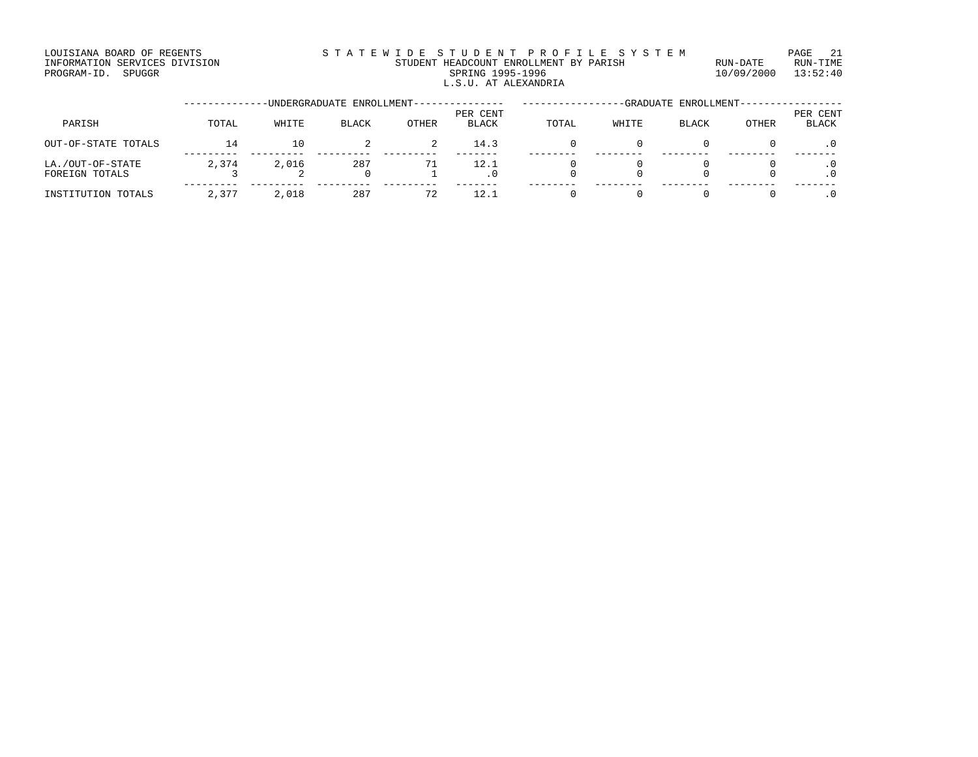### LOUISIANA BOARD OF REGENTS STATEWIDE STUDENT PROFILE SYSTEM PAGE 21 INFORMATION SERVICES DIVISION STUDENT HEADCOUNT ENROLLMENT BY PARISH RUN-DATE RUN-TIME DINFORMATION SERVICES DIVISION <br>
THE ADCOUNT ENROLLMENT BY PARISH RUN-DATE RUN-TIME RUN-TIME<br>
PROGRAM-ID. SPUGGR SPRING 1995-1996 10/09/2000 13:52:40 L.S.U. AT ALEXANDRIA

|                                    |       |       | -UNDERGRADUATE ENROLLMENT-- |       |                          |       |       | -GRADUATE ENROLLMENT- |       |                          |
|------------------------------------|-------|-------|-----------------------------|-------|--------------------------|-------|-------|-----------------------|-------|--------------------------|
| PARISH                             | TOTAL | WHITE | BLACK                       | OTHER | PER CENT<br><b>BLACK</b> | TOTAL | WHITE | <b>BLACK</b>          | OTHER | PER CENT<br><b>BLACK</b> |
| OUT-OF-STATE TOTALS                | 14    | 10    |                             | 2     | 14.3                     |       |       |                       |       |                          |
| LA./OUT-OF-STATE<br>FOREIGN TOTALS | 2,374 | 2,016 | 287<br>0                    | 71    | 12.1                     |       |       |                       |       |                          |
| INSTITUTION TOTALS                 | 2,377 | 2,018 | 287                         | 72    |                          |       |       |                       |       |                          |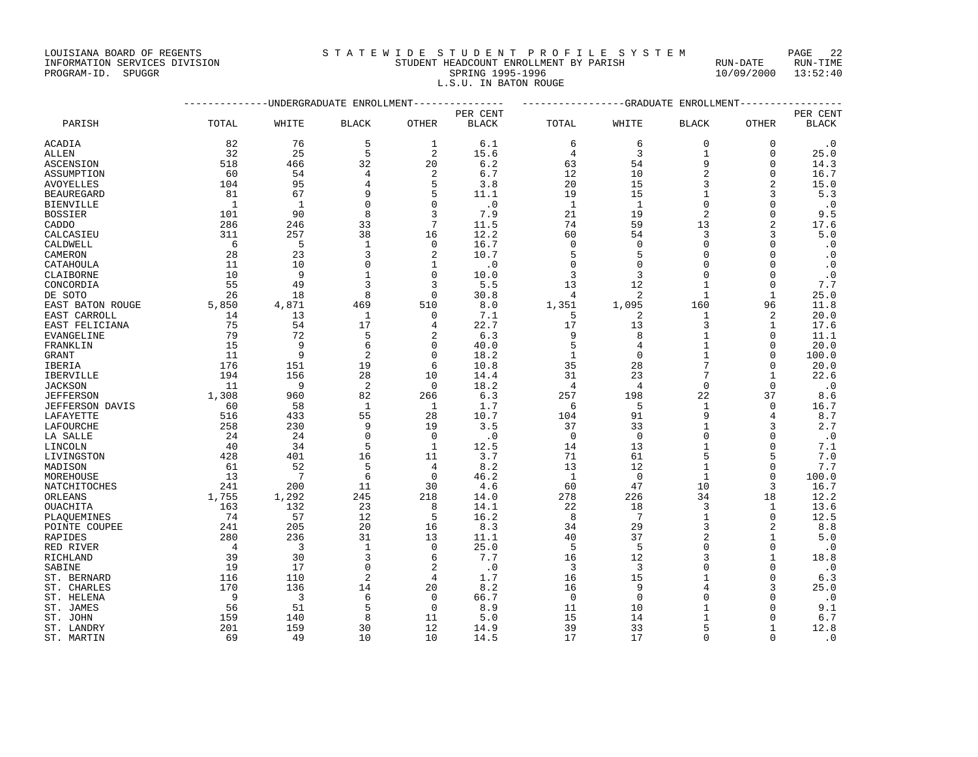## INFORMATION SERVICES DIVISION STUDENT HEADCOUNT ENROLLMENT BY PARISH RUN-DATE RUN-TIME

PROGRAM-ID. SPUGGR DIVISION BERVICES DIVISION COMPANY STUDENT HEADCOUNT ENROLLMENT BY PARISH RUN-DATE RUN-TIME<br>PROGRAM-ID. SPUGGR PROGRAM-ID. SPUGGR PROGRAM-ID. SPUGGRAM-ID. SPUGGRAM-ID. SPUGGRAM-ID. SPUGGRAM-ID. SPUGGRAM<br> L.S.U. IN BATON ROUGE

|                        |                | -GRADUATE ENROLLMENT-   |                           |                |              |                |                 |                |                |              |
|------------------------|----------------|-------------------------|---------------------------|----------------|--------------|----------------|-----------------|----------------|----------------|--------------|
|                        |                |                         | -UNDERGRADUATE ENROLLMENT | PER CENT       |              |                |                 |                |                | PER CENT     |
| PARISH                 | TOTAL          | WHITE                   | <b>BLACK</b>              | OTHER          | <b>BLACK</b> | TOTAL          | WHITE           | <b>BLACK</b>   | <b>OTHER</b>   | <b>BLACK</b> |
| ACADIA                 | 82             | 76                      | 5                         | 1              | 6.1          | 6              | 6               | 0              | 0              | . 0          |
| <b>ALLEN</b>           | 32             | 25                      | 5                         | 2              | 15.6         | 4              | 3               | $\mathbf{1}$   | $\mathbf 0$    | 25.0         |
| ASCENSION              | 518            | 466                     | 32                        | 20             | 6.2          | 63             | 54              | 9              | $\Omega$       | 14.3         |
| ASSUMPTION             | 60             | 54                      | $\overline{4}$            | 2              | 6.7          | 12             | 10              | $\overline{2}$ | $\Omega$       | 16.7         |
| AVOYELLES              | 104            | 95                      | $\overline{4}$            | 5              | 3.8          | 20             | 15              | 3              | $\overline{a}$ | 15.0         |
| <b>BEAUREGARD</b>      | 81             | 67                      | 9                         | 5              | 11.1         | 19             | 15              | $\mathbf 1$    | 3              | 5.3          |
| <b>BIENVILLE</b>       | 1              | 1                       | $\Omega$                  | $\Omega$       | $\cdot$ 0    | $\mathbf{1}$   | 1               | $\Omega$       | $\Omega$       | $\cdot$ 0    |
| <b>BOSSIER</b>         | 101            | 90                      | 8                         | 3              | 7.9          | 21             | 19              | $\overline{2}$ | $\Omega$       | 9.5          |
| CADDO                  | 286            | 246                     | 33                        | 7              | 11.5         | 74             | 59              | 13             |                | 17.6         |
| CALCASIEU              | 311            | 257                     | 38                        | 16             | 12.2         | 60             | 54              | 3              |                | 5.0          |
| CALDWELL               | - 6            | 5                       | $\mathbf{1}$              | $\mathbf 0$    | 16.7         | $\mathbf 0$    | $\mathbf 0$     | $\mathbf 0$    | $\Omega$       | $\cdot$ 0    |
| CAMERON                | 28             | 23                      | 3                         | 2              | 10.7         | 5              | 5               | $\Omega$       | $\Omega$       | $\cdot$ 0    |
| CATAHOULA              | 11             | 10                      | $\mathbf 0$               | 1              | $\cdot$ 0    | $\mathbf 0$    | $\mathbf 0$     | $\Omega$       | $\Omega$       | $\cdot$ 0    |
| CLAIBORNE              | 10             | 9                       | $\mathbf{1}$              | $\Omega$       | 10.0         | 3              | 3               | $\Omega$       | $\Omega$       | $\cdot$ 0    |
| CONCORDIA              | 55             | 49                      | 3                         | 3              | 5.5          | 13             | 12              | $\mathbf{1}$   | $\Omega$       | 7.7          |
| DE SOTO                | 26             | 18                      | 8                         | $\Omega$       | 30.8         | $\overline{4}$ | 2               | 1              | 1              | 25.0         |
| EAST BATON ROUGE       | 5,850          | 4,871                   | 469                       | 510            | 8.0          | 1,351          | 1,095           | 160            | 96             | 11.8         |
| EAST CARROLL           | 14             | 13                      | 1                         | $\mathbf 0$    | 7.1          | 5              | 2               | 1              | 2              | 20.0         |
| EAST FELICIANA         | 75             | 54                      | 17                        | 4              | 22.7         | 17             | 13              | $\mathbf{3}$   | 1              | 17.6         |
| EVANGELINE             | 79             | 72                      | 5                         | 2              | 6.3          | 9              | 8               | $\mathbf{1}$   | $\Omega$       | 11.1         |
| FRANKLIN               | 15             | 9                       | 6                         | $\Omega$       | 40.0         | 5              | 4               | $\mathbf{1}$   | $\Omega$       | 20.0         |
| GRANT                  | 11             | 9                       | 2                         | 0              | 18.2         | $\mathbf{1}$   | $\mathbf 0$     | $\mathbf{1}$   | $\Omega$       | 100.0        |
| IBERIA                 | 176            | 151                     | 19                        | 6              | 10.8         | 35             | 28              | $\overline{7}$ | $\Omega$       | 20.0         |
| IBERVILLE              | 194            | 156                     | 28                        | 10             | 14.4         | 31             | 23              | $\overline{7}$ | 1              | 22.6         |
| <b>JACKSON</b>         | 11             | 9                       | 2                         | $\Omega$       | 18.2         | $\overline{4}$ | $\overline{4}$  | $\Omega$       | $\Omega$       | $\cdot$ 0    |
| <b>JEFFERSON</b>       | 1,308          | 960                     | 82<br>$\mathbf{1}$        | 266            | 6.3          | 257            | 198             | 22             | 37<br>$\Omega$ | 8.6          |
| <b>JEFFERSON DAVIS</b> | 60<br>516      | 58<br>433               | 55                        | 1<br>28        | 1.7          | 6<br>104       | 5<br>91         | 1<br>9         | 4              | 16.7         |
| LAFAYETTE              | 258            | 230                     | 9                         | 19             | 10.7<br>3.5  | 37             | 33              | $\mathbf{1}$   | 3              | 8.7<br>2.7   |
| LAFOURCHE<br>LA SALLE  | 24             | 24                      | $\Omega$                  | $\Omega$       | $\cdot$ 0    | $\Omega$       | $\mathbf 0$     | $\Omega$       | $\Omega$       | $\cdot$ 0    |
| LINCOLN                | 40             | 34                      | 5                         | $\mathbf{1}$   | 12.5         | 14             | 13              | $\mathbf{1}$   | $\Omega$       | 7.1          |
| LIVINGSTON             | 428            | 401                     | 16                        | 11             | 3.7          | 71             | 61              | 5              | 5              | 7.0          |
| MADISON                | 61             | 52                      | 5                         | $\overline{4}$ | 8.2          | 13             | 12              | $\mathbf{1}$   | $\Omega$       | 7.7          |
| MOREHOUSE              | 13             | $7\phantom{.0}$         | 6                         | $\Omega$       | 46.2         | 1              | $\mathbf 0$     | $\mathbf{1}$   | $\Omega$       | 100.0        |
| NATCHITOCHES           | 241            | 200                     | 11                        | 30             | 4.6          | 60             | 47              | 10             | 3              | 16.7         |
| ORLEANS                | 1,755          | 1,292                   | 245                       | 218            | 14.0         | 278            | 226             | 34             | 18             | 12.2         |
| OUACHITA               | 163            | 132                     | 23                        | 8              | 14.1         | 22             | 18              | $\mathbf{3}$   | 1              | 13.6         |
| PLAQUEMINES            | 74             | 57                      | 12                        | 5              | 16.2         | 8              | $7\overline{ }$ | $\mathbf{1}$   | $\Omega$       | 12.5         |
| POINTE COUPEE          | 241            | 205                     | 20                        | 16             | 8.3          | 34             | 29              | 3              | 2              | 8.8          |
| RAPIDES                | 280            | 236                     | 31                        | 13             | 11.1         | 40             | 37              | $\overline{2}$ | $\mathbf{1}$   | 5.0          |
| RED RIVER              | $\overline{4}$ | $\overline{\mathbf{3}}$ | $\mathbf{1}$              | $\mathbf 0$    | 25.0         | 5              | 5               | $\Omega$       | $\mathbf{0}$   | $\cdot$ 0    |
| RICHLAND               | 39             | 30                      | 3                         | 6              | 7.7          | 16             | 12              | 3              | $\mathbf{1}$   | 18.8         |
| SABINE                 | 19             | 17                      | $\Omega$                  | 2              | $\cdot$ 0    | 3              | 3               | $\Omega$       | $\Omega$       | $\cdot$ 0    |
| ST. BERNARD            | 116            | 110                     | 2                         | 4              | 1.7          | 16             | 15              | $\mathbf{1}$   | $\Omega$       | 6.3          |
| ST. CHARLES            | 170            | 136                     | 14                        | 20             | 8.2          | 16             | 9               | $\overline{4}$ |                | 25.0         |
| ST. HELENA             | - 9            | 3                       | 6                         | $\Omega$       | 66.7         | $\Omega$       | $\Omega$        | $\Omega$       |                | $\cdot$ 0    |
| ST. JAMES              | 56             | 51                      | 5                         | $\mathbf 0$    | 8.9          | 11             | 10              | $\mathbf{1}$   | $\Omega$       | 9.1          |
| ST. JOHN               | 159            | 140                     | 8                         | 11             | 5.0          | 15             | 14              | $\mathbf{1}$   | $\Omega$       | 6.7          |
| ST. LANDRY             | 201            | 159                     | 30                        | 12             | 14.9         | 39             | 33              | 5              | $\mathbf{1}$   | 12.8         |
| ST. MARTIN             | 69             | 49                      | 10                        | 10             | 14.5         | 17             | 17              | $\Omega$       | $\Omega$       | $\cdot$ 0    |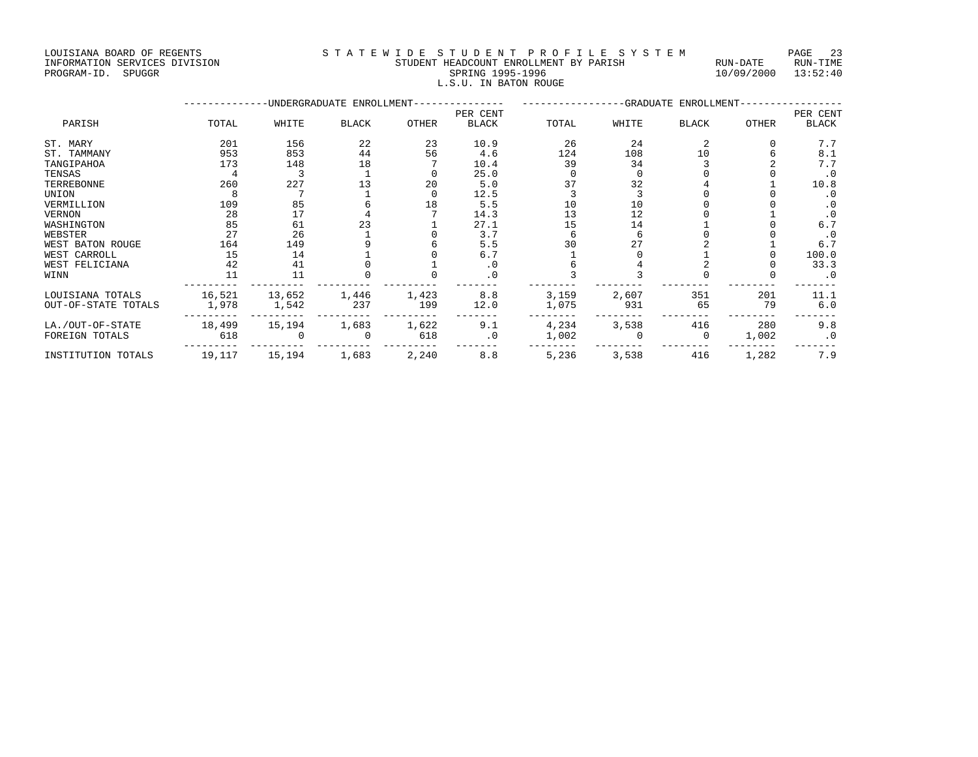LOUISIANA BOARD OF REGENTS STATEWIDE STUDENT PROFILE SYSTEM PAGE 23 INFORMATION SERVICES DIVISION STUDENT HEADCOUNT ENROLLMENT BY PARISH RUN-DATE RUN-TIME

|  |  | STUDENT HEADCOUNT ENROLLMENT BY PARISH |                  |  |                       |  |  |
|--|--|----------------------------------------|------------------|--|-----------------------|--|--|
|  |  |                                        | SPRING 1995-1996 |  |                       |  |  |
|  |  |                                        |                  |  | L.S.U. IN BATON ROUGE |  |  |

## PROGRAM-ID. SPUGGR SPRING 1995-1996 SPRING 1995-1996 10/09/2000 13:52:40 L.S.U. IN BATON ROUGE

|                     |        |        | -UNDERGRADUATE ENROLLMENT- |              | -GRADUATE ENROLLMENT-<br>--------- |       |       |              |              |              |
|---------------------|--------|--------|----------------------------|--------------|------------------------------------|-------|-------|--------------|--------------|--------------|
|                     |        |        |                            |              | PER CENT                           |       |       |              |              | PER CENT     |
| PARISH              | TOTAL  | WHITE  | <b>BLACK</b>               | <b>OTHER</b> | <b>BLACK</b>                       | TOTAL | WHITE | <b>BLACK</b> | <b>OTHER</b> | <b>BLACK</b> |
| ST. MARY            | 201    | 156    | 22                         | 23           | 10.9                               | 26    | 24    |              |              | 7.7          |
| ST. TAMMANY         | 953    | 853    | 44                         | 56           | 4.6                                | 124   | 108   | 10           |              | 8.1          |
| TANGIPAHOA          | 173    | 148    | 18                         |              | 10.4                               | 39    | 34    |              |              | 7.7          |
| TENSAS              |        |        |                            |              | 25.0                               |       |       |              |              | $\cdot$ 0    |
| TERREBONNE          | 260    | 227    | 13                         | 20           | 5.0                                |       | 32    |              |              | 10.8         |
| UNION               |        |        |                            |              | 12.5                               |       |       |              |              | . 0          |
| VERMILLION          | 109    | 85     |                            | 18           | 5.5                                | 10    | 10    |              |              | . 0          |
| VERNON              | 28     | 17     |                            |              | 14.3                               | 13    | 12    |              |              | $\cdot$ 0    |
| WASHINGTON          | 85     | 61     | 23                         |              | 27.1                               | 15    | 14    |              |              | 6.7          |
| WEBSTER             | 27     | 26     |                            |              | 3.7                                |       |       |              |              | $\cdot$ 0    |
| WEST BATON ROUGE    | 164    | 149    |                            |              | 5.5                                |       | 27    |              |              | 6.7          |
| WEST CARROLL        | 15     | 14     |                            |              | 6.7                                |       |       |              |              | 100.0        |
| WEST FELICIANA      | 42     | 41     |                            |              | $\cdot$ 0                          |       |       |              |              | 33.3         |
| WINN                | 11     | 11     |                            |              | $\cdot$ 0                          |       |       |              |              | $\cdot$ 0    |
| LOUISIANA TOTALS    | 16,521 | 13,652 | 1,446                      | 1,423        | 8.8                                | 3,159 | 2,607 | 351          | 201          | 11.1         |
| OUT-OF-STATE TOTALS | 1,978  | 1,542  | 237                        | 199          | 12.0                               | 1,075 | 931   | 65           | 79           | 6.0          |
| LA./OUT-OF-STATE    | 18,499 | 15,194 | 1,683                      | 1,622        | 9.1                                | 4,234 | 3,538 | 416          | 280          | 9.8          |
| FOREIGN TOTALS      | 618    |        |                            | 618          | $\cdot$ 0                          | 1,002 |       | $\Omega$     | 1,002        | $\cdot$ 0    |
|                     |        |        |                            |              |                                    |       |       |              |              |              |

INSTITUTION TOTALS 19,117 15,194 1,683 2,240 8.8 5,236 3,538 416 1,282 7.9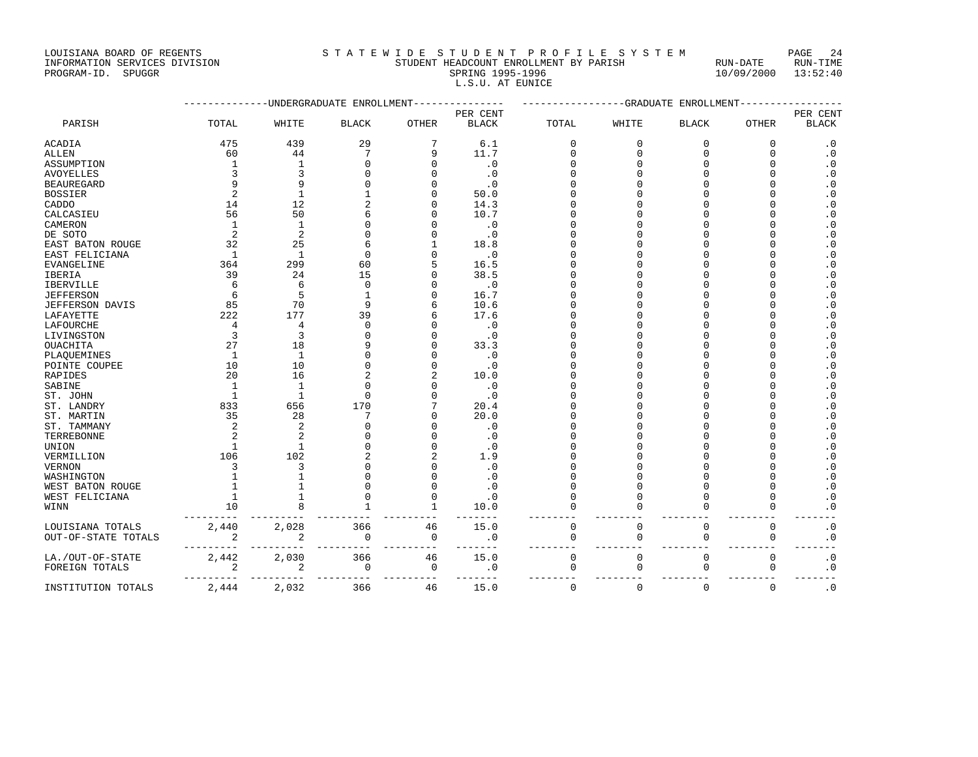LOUISIANA BOARD OF REGENTS SOURCOMENT S T A T E W I D E S T U D E N T P R O F I L E S Y S T E M PAGE 24<br>STUDENT HEADCOUNT ENROLLMENT BY PARISH RUN-DATE RUN-TIME

| POATDTUMU DAUG AL MEASUID     | u in i u i u u i u u i i i i u u i u u i u i u i |            | - ∠⊾∪<br>- - - |
|-------------------------------|--------------------------------------------------|------------|----------------|
| INFORMATION SERVICES DIVISION | STUDENT HEADCOUNT ENROLLMENT BY PARISH           | RUN-DATE   | RUN-TIME       |
| PROGRAM-ID.<br>SPUGGR         | SPRING 1995-1996                                 | 10/09/2000 | 13:52:40       |
|                               | L.S.U. AT EUNICE                                 |            |                |

|                        |                | -UNDERGRADUATE ENROLLMENT | ----------GRADUATE ENROLLMENT |                           |              |             |              |              |              |              |
|------------------------|----------------|---------------------------|-------------------------------|---------------------------|--------------|-------------|--------------|--------------|--------------|--------------|
|                        |                |                           |                               |                           | PER CENT     |             |              |              |              | PER CENT     |
| PARISH                 | TOTAL          | WHITE                     | <b>BLACK</b>                  | ${\small \texttt{OTHER}}$ | <b>BLACK</b> | TOTAL       | WHITE        | <b>BLACK</b> | <b>OTHER</b> | <b>BLACK</b> |
| ACADIA                 | 475            | 439                       | 29                            | 7                         | 6.1          | 0           | $\mathbf 0$  | 0            | 0            | $\cdot$ 0    |
| ALLEN                  | 60             | 44                        | 7                             | 9                         | 11.7         | $\Omega$    | ∩            | $\Omega$     | $\Omega$     | $\cdot$ 0    |
| ASSUMPTION             | $\mathbf{1}$   | $\mathbf{1}$              | $\Omega$                      | n                         | $\cdot$ 0    |             |              | $\Omega$     |              | . 0          |
| <b>AVOYELLES</b>       | 3              | 3                         | $\Omega$                      |                           | $\cdot$ 0    |             |              |              |              | $\cdot$ 0    |
| <b>BEAUREGARD</b>      | q              |                           | $\Omega$                      |                           | $\cdot$ 0    |             |              |              |              | . 0          |
| <b>BOSSIER</b>         | $\mathcal{D}$  | $\mathbf{1}$              | 1                             |                           | 50.0         |             |              |              |              | . 0          |
| CADDO                  | 14             | 12                        | $\overline{2}$                |                           | 14.3         |             |              |              |              | . 0          |
| CALCASIEU              | 56             | 50                        | 6                             |                           | 10.7         |             |              |              |              | . 0          |
| CAMERON                | 1              | $\mathbf{1}$              | $\cap$                        |                           | $\cdot$ 0    |             |              |              |              | . 0          |
| DE SOTO                | $\overline{c}$ | $\overline{2}$            | $\cap$                        |                           | $\cdot$ 0    |             |              |              |              | . 0          |
| EAST BATON ROUGE       | 32             | 25                        | 6                             |                           | 18.8         |             |              |              |              | . 0          |
| EAST FELICIANA         | 1              | $\mathbf{1}$              | $\Omega$                      |                           | $\cdot$ 0    |             |              |              |              | . 0          |
| EVANGELINE             | 364            | 299                       | 60                            |                           | 16.5         |             |              |              |              | . 0          |
| IBERIA                 | 39             | 24                        | 15                            |                           | 38.5         |             |              |              |              | $\cdot$ 0    |
| IBERVILLE              | 6              | $\sqrt{2}$                | $\Omega$                      |                           | $\cdot$ 0    |             |              |              |              | $\cdot$ 0    |
| <b>JEFFERSON</b>       | 6              | 5                         | $\mathbf{1}$                  |                           | 16.7         |             |              |              |              | $\cdot$ 0    |
| <b>JEFFERSON DAVIS</b> | 85             | 70                        | 9                             |                           | 10.6         |             |              |              |              | $\cdot$ 0    |
| LAFAYETTE              | 222            | 177                       | 39                            |                           | 17.6         |             |              |              |              | . 0          |
| LAFOURCHE              | 4              | 4                         | $\Omega$                      |                           | $\cdot$ 0    |             |              |              |              | . 0          |
| LIVINGSTON             | $\overline{3}$ | 3                         | $\mathbf 0$                   |                           | $\cdot$ 0    |             |              |              |              | $\cdot$ 0    |
| OUACHITA               | 27             | 18                        | 9                             |                           | 33.3         |             |              |              |              | $\cdot$ 0    |
| PLAQUEMINES            | $\mathbf{1}$   | 1                         | $\Omega$                      |                           | $\cdot$ 0    |             |              |              |              | . 0          |
| POINTE COUPEE          | 10             | 10                        | $\Omega$                      |                           | $\cdot$ 0    |             |              |              |              | . 0          |
| RAPIDES                | 20             | 16                        | $\overline{2}$                |                           | 10.0         |             |              |              |              | . 0          |
| SABINE                 | $\mathbf{1}$   | $\mathbf{1}$              | $\cap$                        |                           | $\cdot$ 0    |             |              |              |              | . 0          |
| ST. JOHN               | $\mathbf{1}$   | $\mathbf{1}$              | $\Omega$                      |                           | $\cdot$ 0    |             |              |              |              | . 0          |
| ST. LANDRY             | 833            | 656                       | 170                           |                           | 20.4         |             |              |              |              | . 0          |
| ST. MARTIN             | 35             | 28                        | 7                             |                           | 20.0         |             |              |              |              | . 0          |
| ST. TAMMANY            | $\overline{c}$ | $\overline{c}$            | $\Omega$                      |                           | $\cdot$ 0    |             |              |              |              | $\cdot$ 0    |
| TERREBONNE             |                | $\overline{a}$            | $\Omega$                      |                           | $\cdot$ 0    |             |              |              |              | . 0          |
| UNION                  |                |                           | $\Omega$                      |                           | $\cdot$ 0    |             |              |              |              | . 0          |
| VERMILLION             | 106            | 102                       | $\overline{a}$                |                           | 1.9          |             |              |              |              | . 0          |
| <b>VERNON</b>          | 3              | 3                         | $\Omega$                      |                           | $\cdot$ 0    |             |              |              |              | $\cdot$ 0    |
| WASHINGTON             |                |                           | $\Omega$                      |                           | $\cdot$ 0    |             |              |              |              | $\cdot$ 0    |
| WEST BATON ROUGE       |                |                           | $\Omega$                      |                           | $\cdot$ 0    |             |              | $\Omega$     |              | . 0          |
| WEST FELICIANA         | 1              |                           | $\Omega$                      |                           | $\cdot$ 0    | $\Omega$    |              | $\Omega$     | $\Omega$     | $\cdot$ 0    |
| WINN                   | 10             |                           | $\mathbf{1}$                  | $\mathbf{1}$              | 10.0         | $\Omega$    |              | $\Omega$     | $\Omega$     | . 0          |
| LOUISIANA TOTALS       | 2,440          | 2,028                     | 366                           | 46                        | 15.0         | $\mathbf 0$ | $\mathbf{0}$ | $\mathbf 0$  | $\mathbf 0$  | $\cdot$ 0    |
| OUT-OF-STATE TOTALS    | $\overline{2}$ | $\overline{2}$            | $\Omega$                      | 0                         | $\cdot$ 0    | $\mathbf 0$ | $\mathbf 0$  | 0            | $\mathbf 0$  | $\cdot$ 0    |
| LA./OUT-OF-STATE       | 2,442          | 2,030                     | 366                           | 46                        | 15.0         | $\mathbf 0$ | $\mathbf{0}$ | $\mathbf 0$  | $\mathbf 0$  | $\cdot$ 0    |
| FOREIGN TOTALS         | 2              | 2                         | 0                             | 0                         | $\cdot$ 0    | 0           | 0            | 0            | 0            | $\cdot$ 0    |
| INSTITUTION TOTALS     | 2,444          | 2,032                     | 366                           | 46                        | 15.0         | $\mathbf 0$ | $\mathbf{0}$ | $\Omega$     | $\Omega$     | $\cdot$ 0    |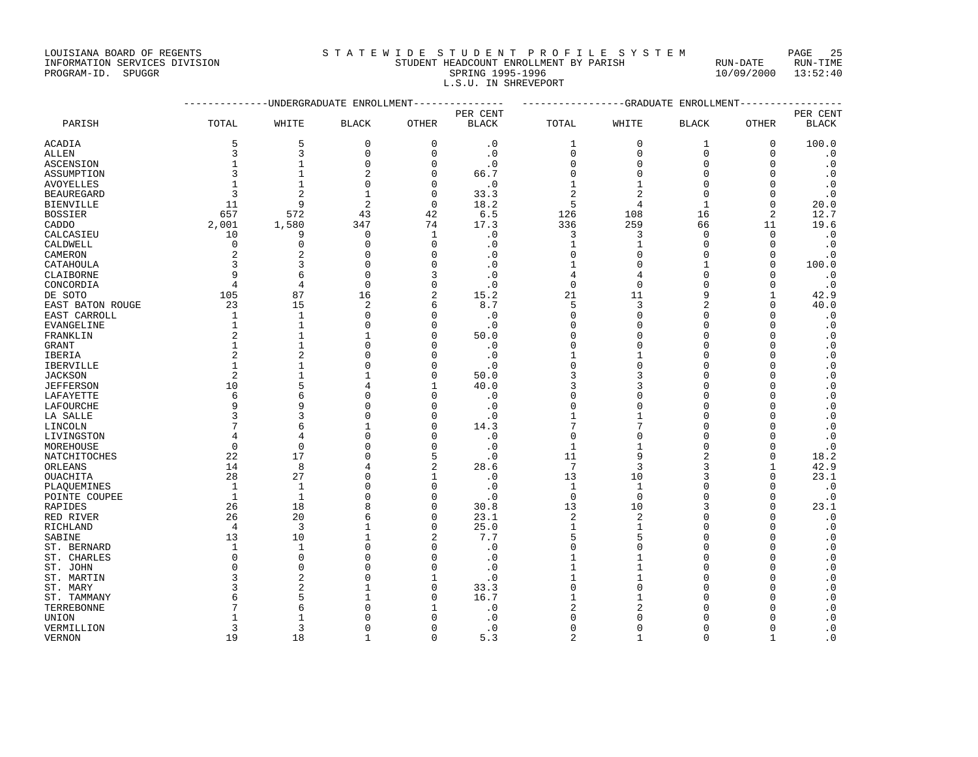### INFORMATION SERVICES DIVISION STUDENT HEADCOUNT ENROLLMENT BY PARISH RUN-DATE RUN-TIME PROGRAM-ID. SPUGGR SPRING 1995-1996 10/09/2000 13:52:40 L.S.U. IN SHREVEPORT

|                         |                | -----------UNDERGRADUATE ENROLLMENT | ---------------GRADUATE ENROLLMENT---------------- |                |                   |                |                |                     |                          |              |
|-------------------------|----------------|-------------------------------------|----------------------------------------------------|----------------|-------------------|----------------|----------------|---------------------|--------------------------|--------------|
|                         |                |                                     |                                                    |                | PER CENT          |                |                |                     |                          | PER CENT     |
| PARISH                  | TOTAL          | WHITE                               | <b>BLACK</b>                                       | OTHER          | <b>BLACK</b>      | TOTAL          | WHITE          | <b>BLACK</b>        | <b>OTHER</b>             | <b>BLACK</b> |
| <b>ACADIA</b>           | 5              | 5                                   | 0                                                  | 0              | $\cdot$ 0         | 1              | $\mathbf 0$    | 1                   | 0                        | 100.0        |
| ALLEN                   | 3              | 3                                   | $\mathbf 0$                                        | 0              | $\cdot$ 0         | $\Omega$       | $\mathbf{0}$   | $\mathbf 0$         | $\mathbf 0$              | $\cdot$ 0    |
| ASCENSION               | $\mathbf{1}$   | $\mathbf{1}$                        | $\Omega$                                           | $\Omega$       | $\cdot$ 0         | $\Omega$       | $\Omega$       | $\Omega$            | $\Omega$                 | $\cdot$ 0    |
| ASSUMPTION              | 3              | $\mathbf{1}$                        | $\overline{a}$                                     | 0              | 66.7              | $\Omega$       | $\Omega$       | $\Omega$            | $\Omega$                 | $\cdot$ 0    |
| <b>AVOYELLES</b>        |                | $\mathbf{1}$                        | $\Omega$                                           | $\Omega$       | $\cdot$ 0         | 1              | -1             | $\Omega$            | $\Omega$                 | $\cdot$ 0    |
| <b>BEAUREGARD</b>       | 3              | $\overline{2}$                      | $\mathbf{1}$                                       | 0              | 33.3              | $\overline{2}$ | $\overline{c}$ | $\Omega$            | $\Omega$                 | $\cdot$ 0    |
| <b>BIENVILLE</b>        | 11             | 9                                   | $\overline{2}$                                     | $\mathbf 0$    | 18.2              | 5              | 4              | $\mathbf{1}$        | $\Omega$                 | 20.0         |
| <b>BOSSIER</b>          | 657            | 572                                 | 43                                                 | 42             | 6.5               | 126            | 108            | 16                  | $\overline{c}$           | 12.7         |
| CADDO                   | 2,001          | 1,580                               | 347                                                | 74             | 17.3              | 336            | 259            | 66                  | 11                       | 19.6         |
| CALCASIEU               | 10             | 9                                   | $\mathbf{0}$                                       | $\mathbf{1}$   | $\cdot$ 0         | 3              | 3              | $\mathbf 0$         | $\Omega$                 | $\cdot$ 0    |
| CALDWELL                | $\mathbf 0$    | $\Omega$                            | $\mathbf{0}$                                       | $\Omega$       | . 0               | $\mathbf{1}$   | -1             | $\Omega$            | $\Omega$                 | $\cdot$ 0    |
| CAMERON                 | 2              | $\overline{2}$                      | $\Omega$                                           | $\Omega$       | . 0               | $\Omega$       | $\Omega$       | $\Omega$            | $\Omega$                 | $\cdot$ 0    |
| CATAHOULA               | 3              | 3                                   | $\mathbf{0}$                                       | $\Omega$       | $\cdot$ 0         | 1              | $\Omega$       | 1                   | $\Omega$                 | 100.0        |
| CLAIBORNE               | 9              | 6                                   | $\Omega$                                           | ζ              | $\cdot$ 0         | 4              | 4              | $\Omega$            | O                        | $\cdot$ 0    |
| CONCORDIA               | 4              | $\overline{4}$                      | $\mathbf{0}$                                       | O              | $\cdot$ 0         | $\mathbf{0}$   | $\Omega$       | $\Omega$            | $\Omega$                 | $\cdot$ 0    |
| DE SOTO                 | 105            | 87                                  | 16                                                 | 2              | 15.2              | 21             | 11             | 9                   | 1                        | 42.9         |
| EAST BATON ROUGE        | 23             | 15                                  | $\overline{2}$                                     | 6              | 8.7               | 5              | 3              | $\overline{2}$      | $\Omega$                 | 40.0         |
| EAST CARROLL            | 1              | 1                                   | $\Omega$                                           | $\Omega$       | $\cdot$ 0         | $\Omega$       | $\Omega$       | $\Omega$            | $\Omega$                 | . 0          |
| EVANGELINE              | $\mathbf{1}$   | $\mathbf{1}$                        | $\mathbf{0}$                                       | $\Omega$       | $\cdot$ 0         | $\Omega$       | $\Omega$       | $\Omega$            | $\Omega$                 | $\cdot$ 0    |
| FRANKLIN                | 2              | $\mathbf{1}$                        | 1                                                  | $\Omega$       | 50.0              | $\Omega$       | O              | $\Omega$            | $\Omega$                 | $\cdot$ 0    |
| GRANT                   | $\mathbf{1}$   | $\mathbf{1}$                        | $\Omega$                                           | $\Omega$       | $\cdot$ 0         | $\Omega$       | $\Omega$       | $\Omega$            | $\Omega$                 | $\cdot$ 0    |
| IBERIA                  | $\overline{2}$ | $\overline{2}$                      | $\Omega$                                           | $\Omega$       | $\cdot$ 0         | 1              |                | $\Omega$            | $\Omega$                 | $\cdot$ 0    |
| IBERVILLE               | $\mathbf{1}$   | $\overline{1}$                      | $\Omega$                                           | $\Omega$       | $\cdot$ 0         | $\Omega$       | $\Omega$       | $\Omega$            | $\Omega$                 | $\cdot$ 0    |
| <b>JACKSON</b>          | 2              | $\mathbf{1}$                        | $\mathbf{1}$                                       | $\Omega$       | 50.0              | 3              | 3              | $\Omega$            | O                        | $\cdot$ 0    |
| <b>JEFFERSON</b>        | 10             | 5                                   | 4                                                  | 1              | 40.0              | 3              | 3              | $\Omega$            | $\Omega$                 | $\cdot$ 0    |
| LAFAYETTE               | 6              | 6                                   | $\mathbf{0}$                                       | 0              | $\cdot$ 0         | $\Omega$       | $\Omega$       | $\Omega$            | $\Omega$                 | $\cdot$ 0    |
| LAFOURCHE               | 9              | 9                                   | $\Omega$                                           | $\Omega$       | $\cdot$ 0         | $\Omega$       | O              | $\Omega$            | $\Omega$                 | $\cdot$ 0    |
| LA SALLE                | 3              | 3                                   | $\Omega$                                           | $\Omega$       | $\cdot$ 0         | $\mathbf{1}$   |                | $\Omega$            | $\Omega$                 | $\cdot$ 0    |
| LINCOLN                 | 7              | 6                                   | $\mathbf{1}$                                       | $\Omega$       | 14.3              | 7              | 7              | $\Omega$            | U                        | $\cdot$ 0    |
| LIVINGSTON              | 4              | $\overline{4}$                      | $\mathbf{0}$<br>$\Omega$                           | $\Omega$       | $\cdot$ 0         | $\Omega$       | $\Omega$       | $\Omega$            | $\Omega$                 | $\cdot$ 0    |
| MOREHOUSE               | 0              | $\mathbf 0$                         | $\Omega$                                           | $\Omega$       | $\cdot$ 0         | 1              | -1<br>9        | $\Omega$            | $\Omega$<br>$\Omega$     | $\cdot$ 0    |
| NATCHITOCHES            | 22             | 17                                  |                                                    | 5<br>2         | $\cdot$ 0         | 11<br>7        | 3              | $\overline{a}$<br>3 |                          | 18.2         |
| ORLEANS                 | 14<br>28       | 8<br>27                             | 4<br>$\Omega$                                      | $\mathbf{1}$   | 28.6<br>$\cdot$ 0 | 13             | 10             | 3                   | $\mathbf{1}$<br>$\Omega$ | 42.9<br>23.1 |
| OUACHITA<br>PLAQUEMINES | 1              | 1                                   | $\Omega$                                           | 0              | $\cdot$ 0         | 1              | 1              | $\Omega$            | $\Omega$                 | $\cdot$ 0    |
| POINTE COUPEE           | $\mathbf{1}$   | $\mathbf{1}$                        | $\Omega$                                           | $\mathbf 0$    | $\cdot$ 0         | $\mathbf 0$    | $\mathbf{0}$   | $\Omega$            | $\Omega$                 | $\cdot$ 0    |
| RAPIDES                 | 26             | 18                                  | 8                                                  | $\Omega$       | 30.8              | 13             | 10             | 3                   | $\Omega$                 | 23.1         |
| RED RIVER               | 26             | 20                                  | 6                                                  | $\Omega$       | 23.1              | $\overline{2}$ | $\overline{2}$ | $\Omega$            | $\Omega$                 | $\cdot$ 0    |
| RICHLAND                | $\overline{4}$ | 3                                   | $\mathbf{1}$                                       | $\mathbf 0$    | 25.0              | $\mathbf{1}$   | 1              | $\Omega$            | $\Omega$                 | $\cdot$ 0    |
| SABINE                  | 13             | 10                                  | $\mathbf{1}$                                       | $\overline{2}$ | 7.7               | 5              | 5              | $\Omega$            | $\Omega$                 | $\cdot$ 0    |
| ST. BERNARD             | $\mathbf{1}$   | $\mathbf{1}$                        | $\Omega$                                           | $\Omega$       | $\cdot$ 0         | $\circ$        | $\Omega$       | $\Omega$            | $\Omega$                 | $\cdot$ 0    |
| ST. CHARLES             | $\Omega$       | $\Omega$                            | $\Omega$                                           | $\Omega$       | $\cdot$ 0         | $\mathbf{1}$   | 1              | $\Omega$            | $\Omega$                 | $\cdot$ 0    |
| ST. JOHN                | $\Omega$       | $\Omega$                            | $\Omega$                                           | $\Omega$       | . 0               | 1              | $\mathbf{1}$   | $\Omega$            | $\Omega$                 | . 0          |
| ST. MARTIN              | κ              | $\overline{a}$                      | $\Omega$                                           | $\mathbf{1}$   | $\cdot$ 0         | $\mathbf{1}$   | $\mathbf{1}$   | $\Omega$            | U                        | $\cdot$ 0    |
| ST. MARY                | 3              | $\overline{c}$                      | $\mathbf{1}$                                       | 0              | 33.3              | $\Omega$       | $\Omega$       | $\Omega$            | O                        | $\cdot$ 0    |
| ST. TAMMANY             | б              | 5                                   | 1                                                  | $\Omega$       | 16.7              | 1              |                | $\Omega$            | O                        | . 0          |
| TERREBONNE              |                | 6                                   | $\Omega$                                           | 1              | . 0               | $\overline{c}$ | $\overline{2}$ | $\Omega$            | U                        | $\cdot$ 0    |
| UNION                   |                | 1                                   | $\Omega$                                           | O              | $\cdot$ 0         | $\Omega$       | $\Omega$       | $\Omega$            |                          | $\cdot$ 0    |
| VERMILLION              | 3              | 3                                   | $\Omega$                                           | $\Omega$       | $\cdot$ 0         | $\Omega$       | $\Omega$       | $\Omega$            | O                        | $\cdot$ 0    |
| VERNON                  | 19             | 18                                  | $\mathbf{1}$                                       | $\Omega$       | 5.3               | $\overline{2}$ | $\mathbf{1}$   | $\Omega$            | 1                        | $\cdot$ 0    |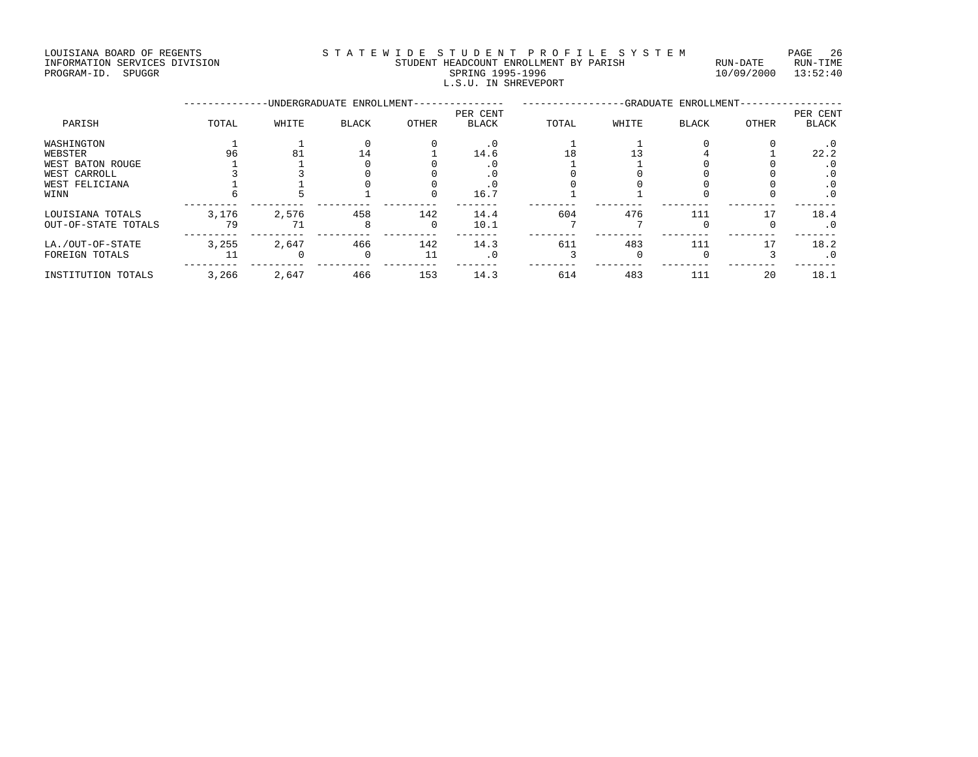LOUISIANA BOARD OF REGENTS STATEWIDE STUDENT PROFILE SYSTEM PAGE 26 INFORMATION SERVICES DIVISION STUDENT HEADCOUNT ENROLLMENT BY PARISH RUN-DATE RUN-TIME PROGRAM-ID. SPUGGR SPRING 1995-1996 10/09/2000 13:52:40 SPRING 1995-1996<br>L.S.U. IN SHREVEPORT

|                     |       |       | -UNDERGRADUATE ENROLLMENT- |          | -GRADUATE ENROLLMENT- |       |       |              |       |              |
|---------------------|-------|-------|----------------------------|----------|-----------------------|-------|-------|--------------|-------|--------------|
|                     |       |       |                            |          | PER CENT              |       |       |              |       | PER CENT     |
| PARISH              | TOTAL | WHITE | <b>BLACK</b>               | OTHER    | <b>BLACK</b>          | TOTAL | WHITE | <b>BLACK</b> | OTHER | <b>BLACK</b> |
| WASHINGTON          |       |       |                            |          |                       |       |       |              |       | $\cdot$ 0    |
| WEBSTER             | 96    | 81    | 14                         |          | 14.6                  | 18    |       |              |       | 22.2         |
| WEST BATON ROUGE    |       |       |                            |          |                       |       |       |              |       | . 0          |
| WEST CARROLL        |       |       |                            |          |                       |       |       |              |       | . 0          |
| WEST FELICIANA      |       |       |                            |          |                       |       |       |              |       | . 0          |
| WINN                |       |       |                            | O        | 16.7                  |       |       |              |       | $\cdot$ 0    |
| LOUISIANA TOTALS    | 3,176 | 2,576 | 458                        | 142      | 14.4                  | 604   | 476   | 111          | 17    | 18.4         |
| OUT-OF-STATE TOTALS | 79    | 71    | 8                          | $\Omega$ | 10.1                  |       |       |              |       | $\cdot$ 0    |
| LA./OUT-OF-STATE    | 3,255 | 2,647 | 466                        | 142      | 14.3                  | 611   | 483   | 111          |       | 18.2         |
| FOREIGN TOTALS      |       |       |                            | 11       |                       |       |       |              |       | $\cdot$ 0    |
| INSTITUTION TOTALS  | 3,266 | 2,647 | 466                        | 153      | 14.3                  | 614   | 483   | 111          | 20    | 18.1         |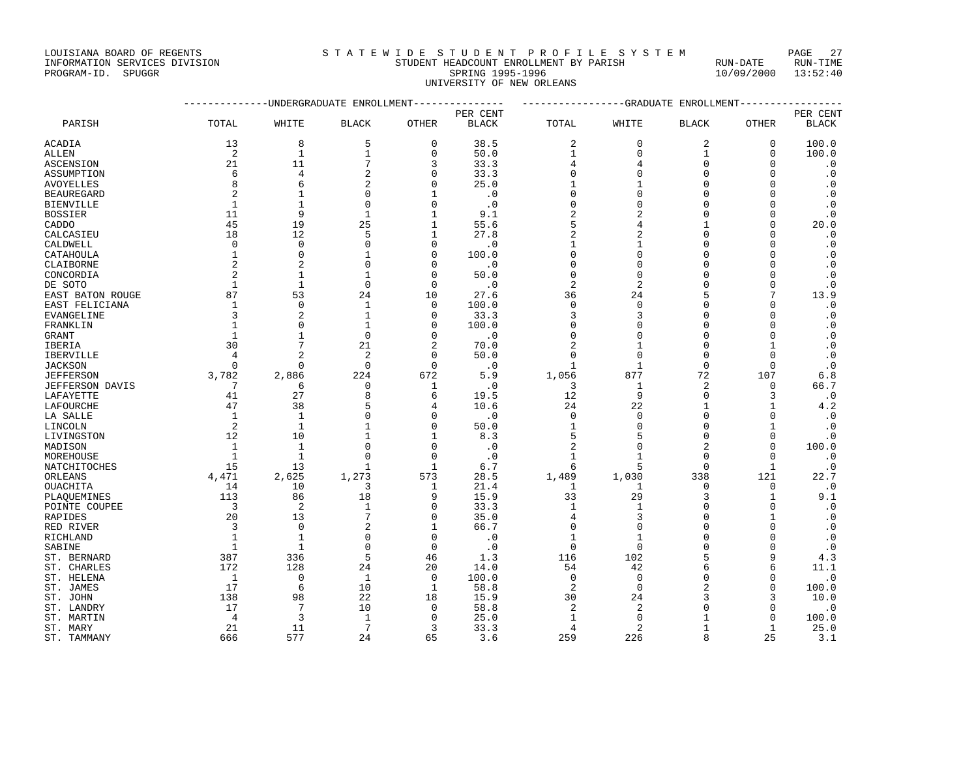UNIVERSITY OF NEW ORLEANS

--------------UNDERGRADUATE ENROLLMENT--------------- -----------------GRADUATE ENROLLMENT----------------- PER CENT PER CENT PARISH TOTAL WHITE BLACK OTHER BLACK TOTAL WHITE BLACK OTHER BLACK ACADIA 13 8 5 0 38.5 2 0 2 0 100.0 ALLEN 2 1 1 0 50.0 1 0 100.0 ASCENSION 21 21 11 7 3 33.3 4 4 0 0 .0 ASSUMPTION 6 4 2 0 33.3 0 0 0 0 .0 AVOYELLES 8 6 2 0 25.0 1 1 0 0 0 BEAUREGARD 2 1 0 1 .0 0 0 0 0 .0 BIENVILLE 1 1 0 0 .0 0 0 0 0 .0 BOSSIER 11 9 1 1 9.1 2 2 0 0 .0 CADDO 45 19 25 1 55.6 5 4 1 0 20.0 CALCASIEU 18 12 5 1 27.8 2 2 0 0 .0 CALDWELL 0 0 0 0 .0 1 1 0 0 .0 CATAHOULA 1 0 1 0 100.0 0 0 0 0 .0 CLAIBORNE 2 2 0 0 .0 0 0 0 0 .0 CONCORDIA 2 1 1 0 50.0 0 0 0 0 0<br>
DE SOTO 1 1 0 0 .0<br>
EAST BATON ROUGE 87 53 24 10 27.6 36 24 5 7 13.9<br>
FACT EFIICIANA DE SOTO 1 1 0 0 .0 2 2 0 0 .0 EAST BATON ROUGE 87 53 24 10 27.6 36 24 5 7 13.9 EAST FELICIANA 1 0 1 0 100.0 0 0 0 0 .0 EVANGELINE 3 2 1 0 33.3 3 3 0 0 .0 FRANKLIN 1 0 1 0 100.0 0 0 0 0 .0 GRANT 1 1 0 0 .0 0 0 0 0 .0 IBERIA 30 7 21 2 70.0 2 1 0 1 .0 IBERVILLE 4 2 2 0 50.0 0 0 0 0 .0 JACKSON 0 0 0 0 .0 1 1 0 0 .0 JEFFERSON 3,782 2,886 224 672 5.9 1,056 877 72 107 6.8 JEFFERSON DAVIS 7 6 0 1 .0 3 1 2 0 66.7 LAFAYETTE 41 27 8 6 19.5 12 9 0 3 .0 LAFOURCHE 47 38 5 4 10.6 24 22 1 1 4.2 LA SALLE 1 1 0 0 .0 0 0 0 0 .0 LINCOLN 2 1 1 0 50.0 1 0 0 1 .0 LIVINGSTON 12 10 1 1 8.3 5 5 0 0 .0 MADISON 1 1 0 0 .0 2 0 2 0 100.0 MOREHOUSE 1 1 0 0 .0 1 1 0 0 .0 NATCHITOCHES 15 13 1 1 6.7 6 5 0 1 .0 ORLEANS 4,471 2,625 1,273 573 28.5 1,489 1,030 338 121 22.7 OUACHITA 14 10 3 1 21.4 1 1 0 0 .0 PLAQUEMINES 113 86 18 9 15.9 33 29 3 1 9.1 POINTE COUPEE 3 3 2 1 0 33.3 1 1 0 0 0 .0 RAPIDES 20 13 7 0 35.0 4 3 0 1 .0 RED RIVER 3 0 2 1 66.7 0 0 0 0 .0 RICHLAND 1 1 0 0 .0 1 1 0 0 .0 SABINE 1 1 0 0 .0 0 0 0 0 .0 ST. BERNARD 387 336 5 46 1.3 116 102 5 9 4.3 ST. CHARLES 172 128 24 20 14.0 54 42 6 6 11.1 ST. HELENA 1 0 1 0 100.0 0 0 0 0 .0 ST. JAMES 17 6 10 1 58.8 2 0 2 0 100.0 ST. JOHN 138 98 22 18 15.9 30 24 3 3 10.0 ST. LANDRY 17 7 10 0 58.8 2 2 0 0 .0 3RINE<br>
ST. BERNARD 1 1 0 0 0 0 0 0 0<br>
ST. GHARLES 172 128 24 20 14.0 16 102 5 9 4.3<br>
ST. HELENA 1 0 1 0 100.0 0 0 0 0 0<br>
ST. JAMES 17 6 10 1 58.8 2 0 2 0 100.0<br>
ST. JAMES 17 6 10 1 58.8 2 0 2 0 100.0<br>
ST. JAMENY 138 98 22 ST. MARY 21 11 7 3 33.3 4 2 1 1 25.0

ST. TAMMANY 666 577 24 65 3.6 259 226 8 25 3.1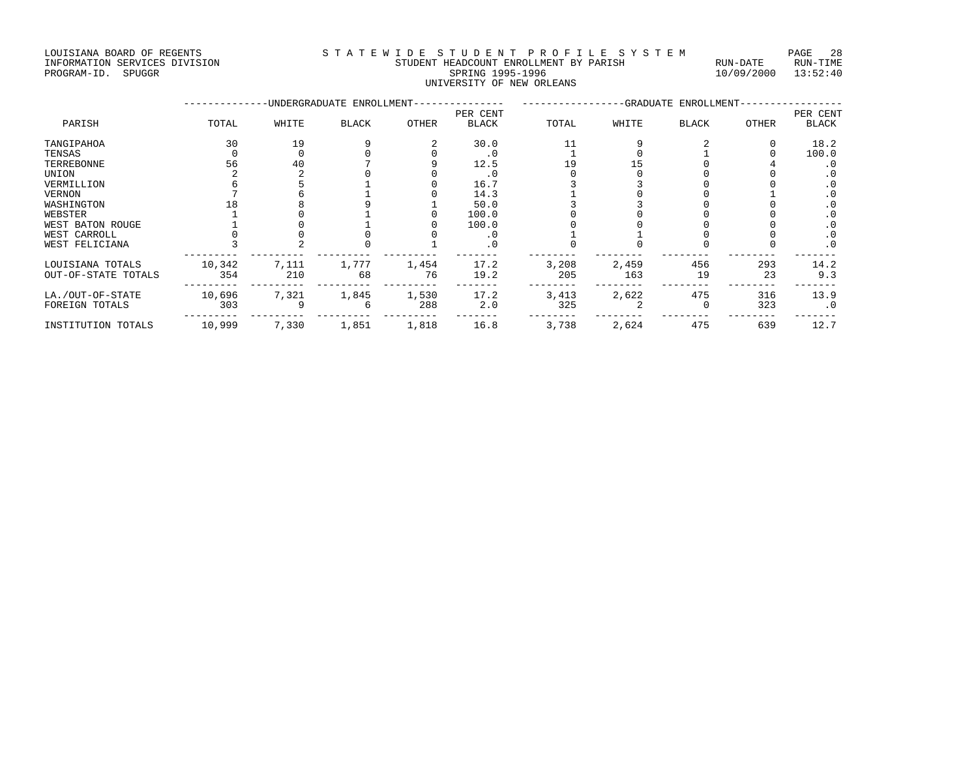LOUISIANA BOARD OF REGENTS STATEWIDE STUDENT PROFILE SYSTEM PAGE 28 INFORMATION SERVICES DIVISION STUDENT HEADCOUNT ENROLLMENT BY PARISH RUN-DATE RUN-TIME PROGRAM-ID. SPUGGR SPUISION FORMATION SERVICES DIVISION STRANGER STUDENT HEADCOUNT ENROLLMENT BY PARISH RUN-DATE RUN-TIME<br>PROGRAM-ID. SPUGGR SPUISION SERVICES SOLUTION SERVICES DIVISION SERVICES DIVISION SERVICES DIVISION

# UNIVERSITY OF NEW ORLEANS

|                                         |               |              | -UNDERGRADUATE ENROLLMENT- |              | -GRADUATE ENROLLMENT- |              |              |              |           |              |
|-----------------------------------------|---------------|--------------|----------------------------|--------------|-----------------------|--------------|--------------|--------------|-----------|--------------|
|                                         |               |              |                            |              | PER CENT              |              |              |              |           | PER CENT     |
| PARISH                                  | TOTAL         | WHITE        | <b>BLACK</b>               | <b>OTHER</b> | <b>BLACK</b>          | TOTAL        | WHITE        | <b>BLACK</b> | OTHER     | <b>BLACK</b> |
| TANGIPAHOA                              | 30            | 19           |                            |              | 30.0                  | 11           |              |              |           | 18.2         |
| TENSAS                                  |               |              |                            |              | $\cdot$ 0             |              |              |              |           | 100.0        |
| TERREBONNE                              | 56            | 40           |                            |              | 12.5                  |              |              |              |           | . 0          |
| UNION                                   |               |              |                            |              |                       |              |              |              |           | $\cdot$ 0    |
| VERMILLION                              |               |              |                            |              | 16.7                  |              |              |              |           | $\cdot$ 0    |
| <b>VERNON</b>                           |               |              |                            |              | 14.3                  |              |              |              |           | . 0          |
| WASHINGTON                              |               |              |                            |              | 50.0                  |              |              |              |           | $\cdot$ 0    |
| WEBSTER                                 |               |              |                            |              | 100.0                 |              |              |              |           | $\cdot$ 0    |
| WEST BATON ROUGE                        |               |              |                            |              | 100.0                 |              |              |              |           | $\cdot$ 0    |
| WEST CARROLL                            |               |              |                            |              |                       |              |              |              |           | $\cdot$ 0    |
| WEST FELICIANA                          |               |              |                            |              | . 0                   |              |              |              |           | $\cdot$ 0    |
| LOUISIANA TOTALS<br>OUT-OF-STATE TOTALS | 10,342<br>354 | 7,111<br>210 | 1,777<br>68                | 1,454<br>76  | 17.2<br>19.2          | 3,208<br>205 | 2,459<br>163 | 456<br>19    | 293<br>23 | 14.2<br>9.3  |
|                                         |               |              |                            |              |                       |              |              |              |           |              |
| LA./OUT-OF-STATE                        | 10,696        | 7,321        | 1,845                      | 1,530        | 17.2                  | 3,413        | 2,622        | 475          | 316       | 13.9         |
| FOREIGN TOTALS                          | 303           |              |                            | 288          | 2.0                   | 325          |              |              | 323       | $\cdot$ 0    |
| INSTITUTION TOTALS                      | 10,999        | 7,330        | 1,851                      | 1,818        | 16.8                  | 3,738        | 2,624        | 475          | 639       | 12.7         |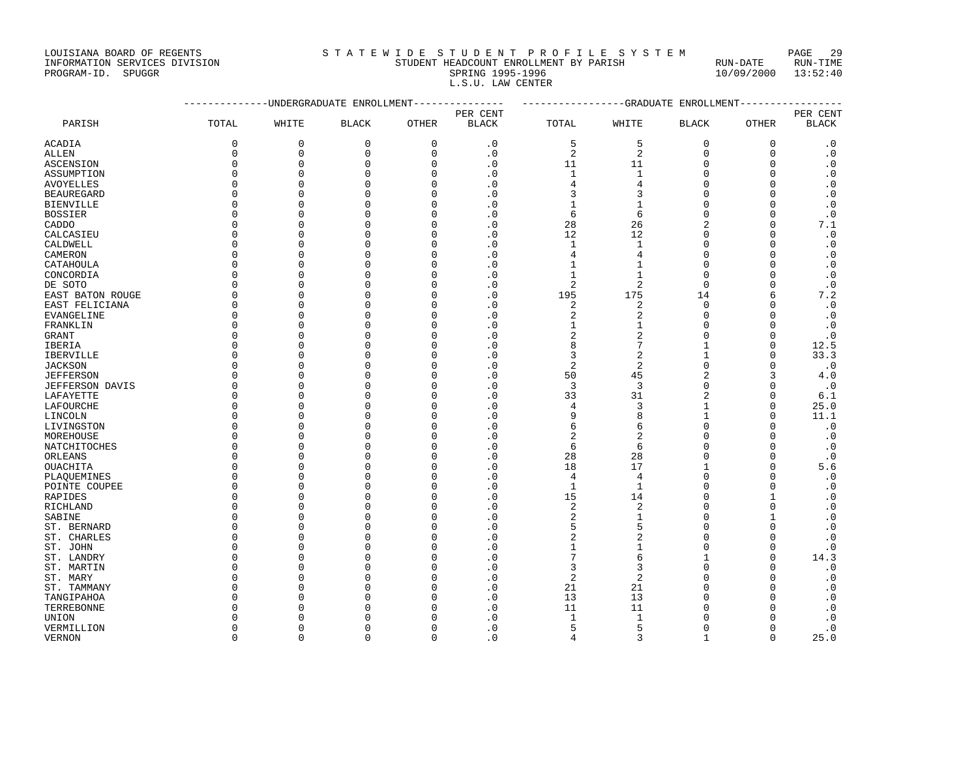LOUISIANA BOARD OF REGENTS S T A T E W I D E S T U D E N T P R O F I L E S Y S T E M PAGE 29

### INFORMATION SERVICES DIVISION STUDENT HEADCOUNT ENROLLMENT BY PARISH RUN-DATE RUN-TIME PROGRAM-ID. SPUGGR SPRING 1995-1996 10/09/2000 13:52:40 L.S.U. LAW CENTER

|                        |              |             | UNDERGRADUATE ENROLLMENT |              | -GRADUATE ENROLLMENT       |                |                |                |              |                        |
|------------------------|--------------|-------------|--------------------------|--------------|----------------------------|----------------|----------------|----------------|--------------|------------------------|
|                        |              |             |                          |              |                            | PER CENT       |                |                |              |                        |
| PARISH                 | TOTAL        | WHITE       | <b>BLACK</b>             | OTHER        | PER CENT<br><b>BLACK</b>   | TOTAL          | WHITE          | <b>BLACK</b>   | OTHER        | <b>BLACK</b>           |
| ACADIA                 | $\mathbf 0$  | $\mathbf 0$ | $\mathbf 0$              | $\mathbf{0}$ | $\cdot$ 0                  | 5              | 5              | $\mathbf 0$    | 0            | $\cdot$ 0              |
| <b>ALLEN</b>           | $\mathbf{0}$ | $\mathbf 0$ | $\mathbf 0$              | $\mathbf{0}$ | $\cdot$ 0                  | 2              | $\overline{a}$ | $\mathbf 0$    | $\mathbf{0}$ | $\cdot$ 0              |
| ASCENSION              | $\mathbf 0$  | $\mathbf 0$ | $\Omega$                 | $\mathbf 0$  | $\cdot$ 0                  | 11             | 11             | $\mathbf 0$    | $\Omega$     | $\cdot$ 0              |
| ASSUMPTION             | $\Omega$     | $\Omega$    | $\Omega$                 | $\Omega$     | $\overline{\phantom{0}}$ . | $\mathbf{1}$   | $1\,$          | $\Omega$       | $\Omega$     | .0                     |
| <b>AVOYELLES</b>       | $\Omega$     | $\mathbf 0$ | $\mathbf 0$              | 0            | $\cdot$ 0                  | 4              | 4              | $\mathbf 0$    | $\Omega$     | $\cdot$ 0              |
| <b>BEAUREGARD</b>      | $\Omega$     | $\Omega$    | $\Omega$                 | O            | $\cdot$ 0                  | 3              | 3              | $\overline{0}$ | $\Omega$     | $\cdot$ 0              |
| <b>BIENVILLE</b>       | $\Omega$     | $\Omega$    | $\Omega$                 | O            | $\cdot$ 0                  | $\mathbf{1}$   | $\mathbf{1}$   | $\Omega$       | $\Omega$     | $\cdot$ 0              |
| <b>BOSSIER</b>         | $\cap$       | $\Omega$    | $\Omega$                 | $\Omega$     | $\cdot$ 0                  | 6              | 6              | $\Omega$       | $\Omega$     | $\cdot$ 0              |
| CADDO                  | $\Omega$     | $\Omega$    | $\Omega$                 | $\Omega$     | $\cdot$ 0                  | 28             | 26             | $\overline{2}$ | $\Omega$     | 7.1                    |
| CALCASIEU              | $\Omega$     | $\Omega$    | $\Omega$                 | $\Omega$     | $\cdot$ 0                  | 12             | 12             | $\Omega$       | $\Omega$     | $\boldsymbol{\cdot}$ 0 |
| CALDWELL               | $\Omega$     | $\Omega$    | $\Omega$                 | $\Omega$     | $\cdot$ 0                  | $\mathbf{1}$   | $\mathbf{1}$   | $\mathbf 0$    | $\Omega$     | $\cdot$ 0              |
| CAMERON                | $\Omega$     | $\mathbf 0$ | $\Omega$                 | O            | $\cdot$ 0                  | 4              | 4              | $\overline{0}$ | $\Omega$     | $\cdot$ 0              |
| CATAHOULA              | $\Omega$     | $\Omega$    | $\Omega$                 | $\Omega$     | $\cdot$ 0                  | $\mathbf{1}$   | $\mathbf{1}$   | $\overline{0}$ | $\Omega$     | .0                     |
| CONCORDIA              | $\Omega$     | $\mathbf 0$ | $\mathbf 0$              | $\mathbf 0$  | $\cdot$ 0                  | $\mathbf{1}$   | $\mathbf{1}$   | $\mathbf 0$    | $\Omega$     | $\cdot$ 0              |
| DE SOTO                | $\Omega$     | $\Omega$    | $\Omega$                 | $\Omega$     | $\cdot$ 0                  | $\overline{2}$ | 2              | $\Omega$       | $\Omega$     | $\cdot$ 0              |
| EAST BATON ROUGE       | $\Omega$     | 0           | $\Omega$                 | $\Omega$     | $\cdot$ 0                  | 195            | 175            | 14             | 6            | 7.2                    |
| EAST FELICIANA         | $\Omega$     | $\Omega$    | $\Omega$                 | $\Omega$     | $\cdot$ 0                  | 2              | 2              | $\mathbf 0$    | $\Omega$     | $\boldsymbol{\cdot}$ 0 |
| EVANGELINE             | $\Omega$     | $\Omega$    | $\mathbf 0$              | $\Omega$     | $\cdot$ 0                  | 2              | 2              | $\overline{0}$ | $\Omega$     | $\cdot$ 0              |
| FRANKLIN               | $\Omega$     | $\Omega$    | $\Omega$                 | O            | $\cdot$ 0                  | $\mathbf{1}$   | $\mathbf{1}$   | $\mathbf 0$    | $\Omega$     | $\boldsymbol{\cdot}$ 0 |
| <b>GRANT</b>           | $\Omega$     | $\Omega$    | $\Omega$                 | O            | . 0                        | $\sqrt{2}$     | 2              | $\Omega$       | $\Omega$     | $\cdot$ 0              |
| IBERIA                 | $\Omega$     | $\mathbf 0$ | $\Omega$                 | $\Omega$     | $\overline{\phantom{0}}$ . | 8              | 7              | $\mathbf{1}$   | $\Omega$     | 12.5                   |
| IBERVILLE              | $\Omega$     | $\Omega$    | 0                        | $\mathbf 0$  | $\cdot$ 0                  | 3              | 2              | 1              | $\Omega$     | 33.3                   |
| <b>JACKSON</b>         | $\Omega$     | $\Omega$    | $\Omega$                 | $\Omega$     | $\cdot$ 0                  | $\overline{2}$ | 2              | $\Omega$       | $\Omega$     | $\cdot$ 0              |
| <b>JEFFERSON</b>       | $\Omega$     | $\Omega$    | $\Omega$                 | $\Omega$     | $\cdot$ 0                  | 50             | 45             | $\overline{c}$ | 3            | 4.0                    |
| <b>JEFFERSON DAVIS</b> | $\Omega$     | $\Omega$    | $\Omega$                 | O            | $\cdot$ 0                  | 3              | 3              | $\overline{0}$ | $\Omega$     | $\cdot$ 0              |
| LAFAYETTE              | $\Omega$     | $\mathbf 0$ | $\mathbf 0$              | $\Omega$     | $\cdot$ 0                  | 33             | 31             | $\overline{c}$ | $\Omega$     | 6.1                    |
| LAFOURCHE              | $\Omega$     | $\Omega$    | $\Omega$                 | $\Omega$     | $\cdot$ 0                  | 4              | 3              | $\mathbf{1}$   | $\Omega$     | 25.0                   |
| LINCOLN                | $\Omega$     | $\Omega$    | $\Omega$                 | $\Omega$     | $\cdot$ 0                  | 9              | 8              | $\mathbf{1}$   | $\Omega$     | 11.1                   |
| LIVINGSTON             | $\Omega$     | $\Omega$    | $\Omega$                 | 0            | $\cdot$ 0                  | 6              | б              | $\mathbf 0$    | $\Omega$     | $\cdot$ 0              |
| MOREHOUSE              | $\Omega$     | $\Omega$    | $\Omega$                 | $\Omega$     | $\overline{\phantom{0}}$ . | $\overline{2}$ | 2              | $\Omega$       | $\Omega$     | $\cdot$ 0              |
| NATCHITOCHES           | $\Omega$     | $\Omega$    | $\mathbf 0$              | $\mathbf 0$  | $\cdot$ 0                  | 6              | 6              | $\Omega$       | $\Omega$     | $\cdot$ 0              |
| ORLEANS                | $\Omega$     | $\Omega$    | $\Omega$                 | O            | $\cdot$ 0                  | 28             | 28             | $\overline{0}$ | $\Omega$     | $\cdot$ 0              |
| <b>OUACHITA</b>        | $\Omega$     | $\Omega$    | $\Omega$                 | $\Omega$     | $\cdot$ 0                  | 18             | 17             | $\mathbf{1}$   | $\Omega$     | 5.6                    |
| PLAOUEMINES            | $\Omega$     | $\Omega$    | $\Omega$                 | $\Omega$     | $\cdot$ 0                  | 4              | 4              | $\overline{0}$ | $\cap$       | $\cdot$ 0              |
| POINTE COUPEE          | $\Omega$     | $\Omega$    | $\mathbf 0$              | $\Omega$     | $\cdot$ 0                  | $\mathbf{1}$   | $\mathbf{1}$   | $\overline{0}$ | $\Omega$     | $\cdot$ 0              |
| RAPIDES                | $\Omega$     | $\mathbf 0$ | $\mathbf 0$              | $\mathbf 0$  | $\cdot$ 0                  | 15             | 14             | $\mathbf 0$    | 1            | $\cdot$ 0              |
| RICHLAND               | $\Omega$     | $\Omega$    | $\Omega$                 | $\Omega$     | $\overline{\phantom{0}}$ . | $\overline{2}$ | 2              | $\overline{0}$ | $\Omega$     | $\boldsymbol{\cdot}$ 0 |
| SABINE                 | $\Omega$     | $\Omega$    | $\Omega$                 | O            | $\cdot$ 0                  | 2              | $\mathbf{1}$   | $\overline{0}$ |              | $\cdot$ 0              |
| ST. BERNARD            | $\Omega$     | $\Omega$    | $\Omega$                 | $\Omega$     | $\cdot$ 0                  | 5              | 5              | $\Omega$       | $\Omega$     | .0                     |
| ST. CHARLES            | $\Omega$     | $\Omega$    | $\Omega$                 | $\mathbf 0$  | $\cdot$ 0                  | $\overline{2}$ | 2              | $\overline{0}$ | $\Omega$     | $\cdot$ 0              |
| ST. JOHN               | $\Omega$     | $\Omega$    | $\Omega$                 | U            | $\cdot$ 0                  | $\mathbf{1}$   | 1              | $\Omega$       | $\Omega$     | $\cdot$ 0              |
| ST. LANDRY             | $\Omega$     | $\Omega$    | $\Omega$                 | $\Omega$     | $\cdot$ 0                  | 7              | б              | $\mathbf{1}$   | $\Omega$     | 14.3                   |
| ST. MARTIN             | $\Omega$     | $\Omega$    | $\Omega$                 | $\Omega$     | $\cdot$ 0                  | 3              | 3              | $\overline{0}$ | $\Omega$     | $\cdot$ 0              |
| ST. MARY               | $\Omega$     | $\Omega$    | $\Omega$                 | $\Omega$     | $\cdot$ 0                  | $\overline{2}$ | $\overline{a}$ | $\Omega$       | $\Omega$     | $\cdot$ 0              |
| ST. TAMMANY            | $\Omega$     | $\mathbf 0$ | $\Omega$                 | 0            | $\cdot$ 0                  | 21             | 21             | $\overline{0}$ | $\Omega$     | $\cdot$ 0              |
| TANGIPAHOA             | $\Omega$     | $\Omega$    | $\Omega$                 | U            | $\cdot$ 0                  | 13             | 13             | $\Omega$       | $\Omega$     | $\cdot$ 0              |
| TERREBONNE             | $\Omega$     | $\Omega$    | $\Omega$                 | U            | $\cdot$ 0                  | 11             | 11             | $\Omega$       | $\Omega$     | $\cdot$ 0              |
| UNION                  | $\Omega$     | $\Omega$    | $\Omega$                 | U            | $\cdot$ 0                  | $\mathbf{1}$   | $\mathbf{1}$   | $\Omega$       | $\Omega$     | $\cdot$ 0              |
| VERMILLION             | $\Omega$     | $\Omega$    | $\mathbf 0$              | O            | $\cdot$ 0                  | 5              | 5              | $\mathbf 0$    | $\Omega$     | $\cdot$ 0              |
| VERNON                 | $\Omega$     | $\Omega$    | $\Omega$                 | $\Omega$     | $\cdot$ 0                  | 4              | 3              | $\mathbf{1}$   | $\Omega$     | 25.0                   |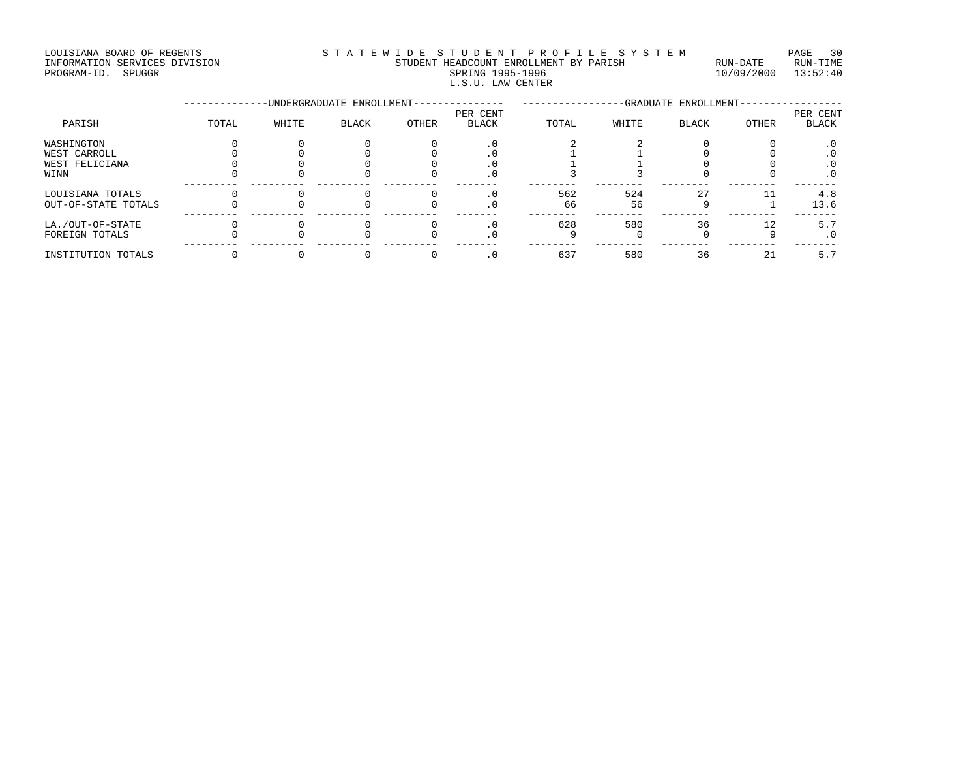LOUISIANA BOARD OF REGENTS STATEWIDE STUDENT PROFILE SYSTEM PAGE 30 INFORMATION SERVICES DIVISION STUDENT HEADCOUNT ENROLLMENT BY PARISH RUN-DATE RUN-TIME ENTERNATION SERVICES DIVISION <br>
FILE STUDENT HEADCOUNT ENROLLMENT BY PARISH RUN-DATE RUN-TIME<br>
PROGRAM-ID. SPUGGR SPRING 1995-1996 10/09/2000 13:52:40 L.S.U. LAW CENTER

|                     |       |       | -UNDERGRADUATE ENROLLMENT- |       | -GRADUATE ENROLLMENT- |       |       |              |       |              |
|---------------------|-------|-------|----------------------------|-------|-----------------------|-------|-------|--------------|-------|--------------|
|                     |       |       |                            |       | PER CENT              |       |       |              |       | PER CENT     |
| PARISH              | TOTAL | WHITE | BLACK                      | OTHER | <b>BLACK</b>          | TOTAL | WHITE | <b>BLACK</b> | OTHER | <b>BLACK</b> |
| WASHINGTON          |       |       |                            |       |                       |       |       |              |       | . 0          |
| WEST CARROLL        |       |       |                            |       |                       |       |       |              |       | . 0          |
| WEST FELICIANA      |       |       |                            |       |                       |       |       |              |       | $\cdot$ 0    |
| WINN                |       |       |                            |       | . v                   |       |       |              |       | $\cdot$ 0    |
| LOUISIANA TOTALS    |       |       |                            |       |                       | 562   | 524   | 27           |       | 4.8          |
| OUT-OF-STATE TOTALS |       |       |                            |       | . U                   | 66    | 56    |              |       | 13.6         |
| LA./OUT-OF-STATE    |       |       |                            |       |                       | 628   | 580   | 36           | 12    | 5.7          |
| FOREIGN TOTALS      |       |       |                            |       | . U                   |       |       |              |       | $\cdot$ 0    |
| INSTITUTION TOTALS  |       |       |                            |       |                       | 637   | 580   | 36           | 21    | 5.7          |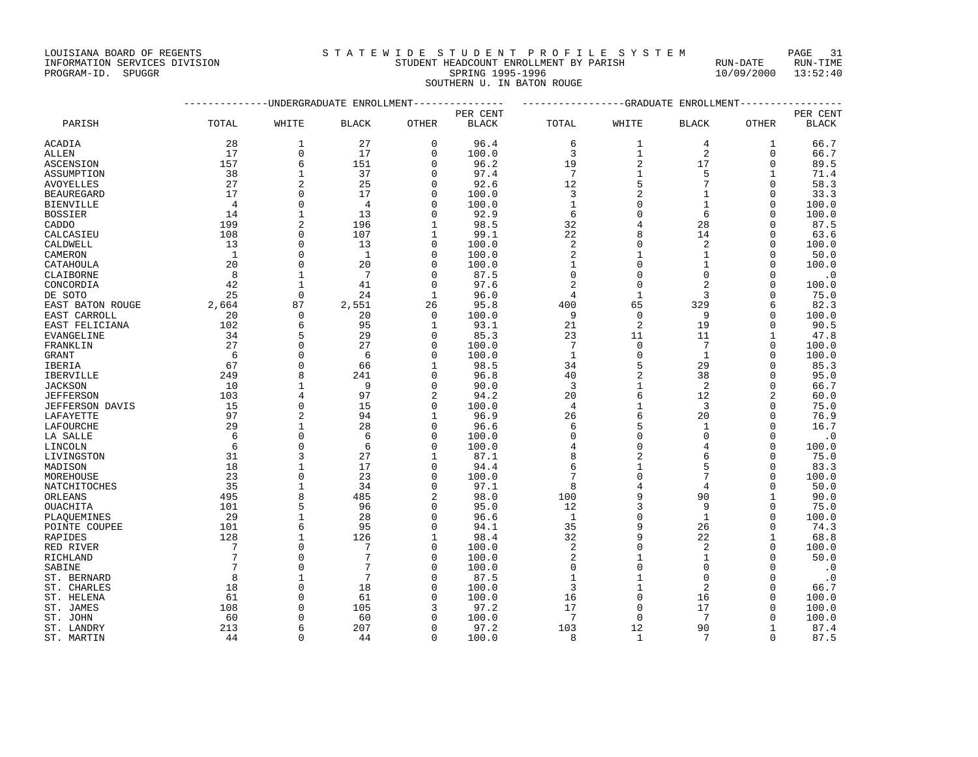|                    | INFORMATION SERVICES DIVISION | STUDENT HEADCOUNT ENROLLMENT BY PARISH |                            | RUN-DATE                | RUN-TIME |
|--------------------|-------------------------------|----------------------------------------|----------------------------|-------------------------|----------|
| PROGRAM-ID. SPUGGR |                               |                                        | SPRING 1995-1996           | $10/09/2000$ $13:52:40$ |          |
|                    |                               |                                        | SOUTHERN U. IN BATON ROUGE |                         |          |

|                  | ----------     | ----------------GRADUATE ENROLLMENT |                           |              |              |                 |                |                 |              |           |
|------------------|----------------|-------------------------------------|---------------------------|--------------|--------------|-----------------|----------------|-----------------|--------------|-----------|
|                  |                |                                     | -UNDERGRADUATE ENROLLMENT |              | PER CENT     |                 |                |                 |              | PER CENT  |
| PARISH           | TOTAL          | WHITE                               | <b>BLACK</b>              | OTHER        | <b>BLACK</b> | TOTAL           | WHITE          | <b>BLACK</b>    | OTHER        | BLACK     |
| ACADIA           | 28             | 1                                   | 27                        | $\Omega$     | 96.4         | 6               | 1              | 4               | 1            | 66.7      |
| ALLEN            | 17             | $\mathbf 0$                         | 17                        | $\Omega$     | 100.0        | 3               | $\mathbf{1}$   | $\overline{2}$  | 0            | 66.7      |
| ASCENSION        | 157            | 6                                   | 151                       | 0            | 96.2         | 19              | 2              | 17              | 0            | 89.5      |
| ASSUMPTION       | 38             | $\mathbf{1}$                        | 37                        | $\Omega$     | 97.4         | $7\phantom{.0}$ | $\mathbf{1}$   | 5               | $\mathbf{1}$ | 71.4      |
| AVOYELLES        | 27             | $\mathbf{2}$                        | 25                        | $\mathbf 0$  | 92.6         | 12              | 5              | $7\phantom{.0}$ | 0            | 58.3      |
| BEAUREGARD       | 17             | $\Omega$                            | 17                        | $\Omega$     | 100.0        | 3               | 2              | $\mathbf{1}$    | $\Omega$     | 33.3      |
| BIENVILLE        | $\overline{4}$ | $\Omega$                            | $\overline{4}$            | O            | 100.0        | $\mathbf{1}$    | 0              | 1               | $\Omega$     | 100.0     |
| BOSSIER          | 14             | $\mathbf{1}$                        | 13                        | $\Omega$     | 92.9         | 6               | 0              | 6               | $\Omega$     | 100.0     |
| CADDO            | 199            | 2                                   | 196                       | $\mathbf{1}$ | 98.5         | 32              | $\overline{4}$ | 28              | $\Omega$     | 87.5      |
| CALCASIEU        | 108            | $\Omega$                            | 107                       | 1            | 99.1         | 22              | 8              | 14              | 0            | 63.6      |
| CALDWELL         | 13             | $\Omega$                            | 13                        | $\Omega$     | 100.0        | $\overline{a}$  | $\mathbf 0$    | $\overline{2}$  | $\Omega$     | 100.0     |
| CAMERON          | <sup>1</sup>   | $\Omega$                            | 1                         | O            | 100.0        | 2               | 1              | $\mathbf{1}$    | $\Omega$     | 50.0      |
| CATAHOULA        | 20             | $\Omega$                            | 20                        | $\Omega$     | 100.0        | 1               | $\Omega$       | $\mathbf{1}$    | $\Omega$     | 100.0     |
| CLAIBORNE        | 8              | 1                                   | 7                         | O            | 87.5         | $\mathbf 0$     | 0              | $\Omega$        | $\Omega$     | . 0       |
| CONCORDIA        | 42             | $\mathbf{1}$                        | 41                        | $\Omega$     | 97.6         | 2               | $\Omega$       |                 | $\Omega$     | 100.0     |
| DE SOTO          | 25             | $\mathbf 0$                         | 24                        | $\mathbf{1}$ | 96.0         | 4               | $\mathbf{1}$   | 3               | $\Omega$     | 75.0      |
| EAST BATON ROUGE | 2,664          | 87                                  | 2,551                     | 26           | 95.8         | 400             | 65             | 329             | 6            | 82.3      |
| EAST CARROLL     | 20             | $\mathbf 0$                         | 20                        | $\mathbf 0$  | 100.0        | 9               | $\mathbf 0$    | 9               | $\Omega$     | 100.0     |
| EAST FELICIANA   | 102            | 6                                   | 95                        | 1            | 93.1         | 21              | 2              | 19              | $\Omega$     | 90.5      |
| EVANGELINE       | 34             | 5                                   | 29                        | $\Omega$     | 85.3         | 23              | 11             | 11              | 1            | 47.8      |
| FRANKLIN         | 27             | $\Omega$                            | 27                        | $\Omega$     | 100.0        | $7\phantom{.0}$ | $\mathbf 0$    | $7\phantom{.0}$ | $\Omega$     | 100.0     |
| GRANT            | 6              | $\mathbf 0$                         | 6                         | $\mathbf 0$  | 100.0        | $\mathbf{1}$    | 0              | 1               | $\Omega$     | 100.0     |
| IBERIA           | 67             | $\Omega$                            | 66                        | $\mathbf{1}$ | 98.5         | 34              | 5              | 29              | $\Omega$     | 85.3      |
| IBERVILLE        | 249            | 8                                   | 241                       | $\Omega$     | 96.8         | 40              | 2              | 38              | 0            | 95.0      |
| JACKSON          | 10             |                                     | 9                         | $\Omega$     | 90.0         | 3               | 1              | 2               | $\Omega$     | 66.7      |
| <b>JEFFERSON</b> | 103            | $\overline{4}$                      | 97                        | 2            | 94.2         | 20              | 6              | 12              | 2            | 60.0      |
| JEFFERSON DAVIS  | 15             | $\Omega$                            | 15                        | $\Omega$     | 100.0        | 4               | 1              | 3               | $\Omega$     | 75.0      |
| LAFAYETTE        | 97             | $\overline{2}$                      | 94                        | $\mathbf{1}$ | 96.9         | 26              | 6              | 20              | $\Omega$     | 76.9      |
| LAFOURCHE        | 29             |                                     | 28                        | $\mathbf 0$  | 96.6         | 6               | 5              | 1               | 0            | 16.7      |
| LA SALLE         | 6              | $\Omega$                            | 6                         | U            | 100.0        | $\Omega$        | $\Omega$       | $\Omega$        | $\Omega$     | $\cdot$ 0 |
| LINCOLN          | 6              | $\mathbf{0}$                        | 6                         | $\mathbf 0$  | 100.0        | 4               | 0              | 4               | 0            | 100.0     |
| LIVINGSTON       | 31             | 3                                   | 27                        | 1            | 87.1         | 8               | $\overline{2}$ | 6               | O            | 75.0      |
| MADISON          | 18             | $\mathbf{1}$                        | 17                        | $\Omega$     | 94.4         | 6               | 1              | 5               | $\Omega$     | 83.3      |
| MOREHOUSE        | 23             | $\Omega$                            | 23                        | O            | 100.0        | 7               | 0              | $7\phantom{.0}$ | $\Omega$     | 100.0     |
| NATCHITOCHES     | 35             | $\mathbf{1}$                        | 34                        | $\Omega$     | 97.1         | 8               | $\overline{4}$ | $\overline{4}$  | $\Omega$     | 50.0      |
| ORLEANS          | 495            | 8                                   | 485                       | 2            | 98.0         | 100             | 9              | 90              | 1            | 90.0      |
| OUACHITA         | 101            | 5                                   | 96                        | $\Omega$     | 95.0         | 12              | 3              | 9               | $\Omega$     | 75.0      |
| PLAOUEMINES      | 29             |                                     | 28                        | O            | 96.6         | $\mathbf{1}$    | 0              | $\mathbf{1}$    | $\Omega$     | 100.0     |
| POINTE COUPEE    | 101            | 6                                   | 95                        | $\Omega$     | 94.1         | 35              | 9              | 26              | $\Omega$     | 74.3      |
| RAPIDES          | 128            | $\mathbf{1}$                        | 126                       | 1            | 98.4         | 32              | 9              | 22              | $\mathbf{1}$ | 68.8      |
| RED RIVER        | 7              | $\Omega$                            | 7                         | $\Omega$     | 100.0        | 2               | $\mathbf 0$    | $\overline{2}$  | $\Omega$     | 100.0     |
| RICHLAND         | $\overline{7}$ | $\Omega$                            | 7                         | $\Omega$     | 100.0        | 2               | $\mathbf{1}$   | $\mathbf{1}$    | $\Omega$     | 50.0      |
| SABINE           | 7              | $\Omega$                            | 7                         | O            | 100.0        | $\Omega$        | 0              | $\Omega$        | $\Omega$     | $\cdot$ 0 |
| ST. BERNARD      | 8              | $\mathbf{1}$                        | 7                         | $\Omega$     | 87.5         | $\mathbf{1}$    | $\mathbf{1}$   | $\Omega$        | $\Omega$     | $\cdot$ 0 |
| ST. CHARLES      | 18             | $\mathbf{0}$                        | 18                        | O            | 100.0        | 3               | $\mathbf{1}$   | $\overline{c}$  | 0            | 66.7      |
| ST. HELENA       | 61             | $\Omega$                            | 61                        | U            | 100.0        | 16              | $\Omega$       | 16              | $\Omega$     | 100.0     |
| ST. JAMES        | 108            | $\Omega$                            | 105                       | 3            | 97.2         | 17              | 0              | 17              | $\Omega$     | 100.0     |
| ST. JOHN         | 60             |                                     | 60                        |              | 100.0        | 7               | $\Omega$       | 7               | U            | 100.0     |
| ST. LANDRY       | 213            | 6                                   | 207                       | O            | 97.2         | 103             | 12             | 90              | $\mathbf{1}$ | 87.4      |
| ST. MARTIN       | 44             | $\Omega$                            | 44                        | U            | 100.0        | 8               | -1             | 7               | $\Omega$     | 87.5      |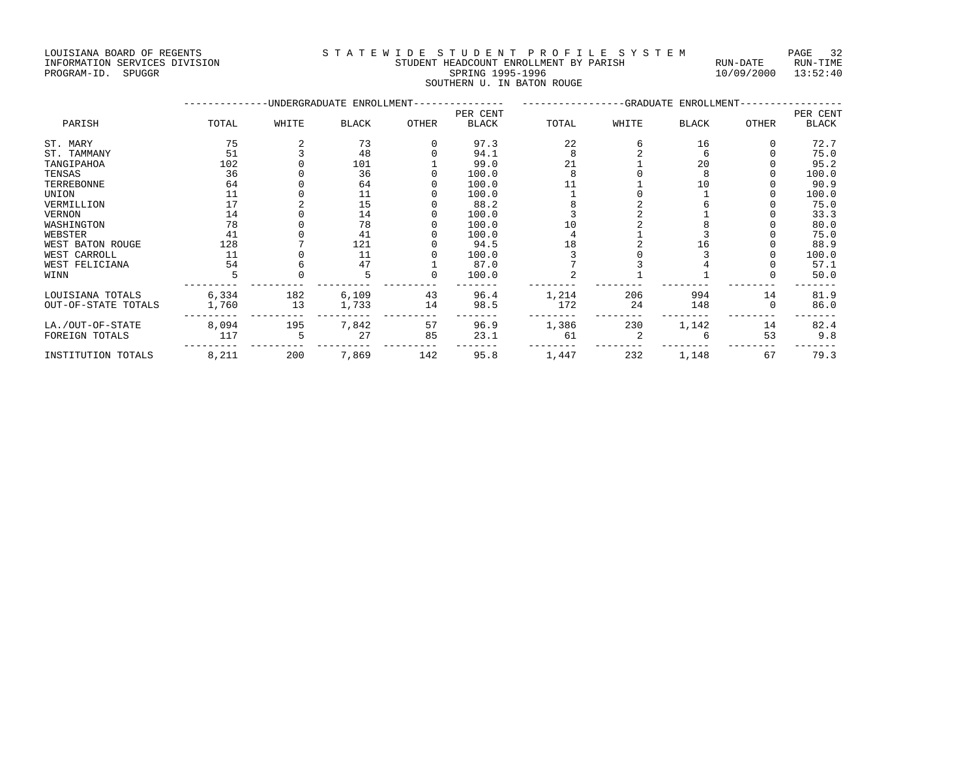LOUISIANA BOARD OF REGENTS STRITE WIDE STUDENT HEADCOUNT ENROLLMENT BY STRISH AUN-DATE RUN-TIME SUPPORMATION SERVICES DIVISION

## INFORMATION SERVICES DIVISION STUDENT STUDENT HEADCOUNT ENROLLMENT BY PARISH THEORMATION SERVICES DIVISION STUDENT STUDENT HEADCOUNT ENROLLMENT BY PARISH SOUTHERN U. IN BATON ROUGE

|                     |       |       | -UNDERGRADUATE ENROLLMENT- |       |              |       | -GRADUATE ENROLLMENT- |              |       |          |
|---------------------|-------|-------|----------------------------|-------|--------------|-------|-----------------------|--------------|-------|----------|
|                     |       |       |                            |       | PER CENT     |       |                       |              |       | PER CENT |
| PARISH              | TOTAL | WHITE | <b>BLACK</b>               | OTHER | <b>BLACK</b> | TOTAL | WHITE                 | <b>BLACK</b> | OTHER | BLACK    |
| ST. MARY            | 75    |       | 73                         |       | 97.3         | 22    |                       | 16           |       | 72.7     |
| ST. TAMMANY         | 51    |       | 48                         |       | 94.1         |       |                       |              |       | 75.0     |
| TANGIPAHOA          | 102   |       | 101                        |       | 99.0         | 21    |                       | 20           |       | 95.2     |
| TENSAS              | 36    |       | 36                         |       | 100.0        |       |                       |              |       | 100.0    |
| TERREBONNE          | 64    |       | 64                         |       | 100.0        |       |                       | 10           |       | 90.9     |
| UNION               | 11    |       | 11                         |       | 100.0        |       |                       |              |       | 100.0    |
| VERMILLION          |       |       | 15                         |       | 88.2         |       |                       |              |       | 75.0     |
| VERNON              | 14    |       | 14                         |       | 100.0        |       |                       |              |       | 33.3     |
| WASHINGTON          | 78    |       | 78                         |       | 100.0        |       |                       |              |       | 80.0     |
| WEBSTER             | 41    |       | 41                         |       | 100.0        |       |                       |              |       | 75.0     |
| WEST BATON ROUGE    | 128   |       | 121                        |       | 94.5         | 18    |                       | 16           |       | 88.9     |
| WEST CARROLL        | 11    |       | 11                         |       | 100.0        |       |                       |              |       | 100.0    |
| WEST FELICIANA      | 54    |       | 47                         |       | 87.0         |       |                       |              |       | 57.1     |
| WINN                |       |       |                            |       | 100.0        |       |                       |              |       | 50.0     |
| LOUISIANA TOTALS    | 6,334 | 182   | 6,109                      | 43    | 96.4         | 1,214 | 206                   | 994          | 14    | 81.9     |
| OUT-OF-STATE TOTALS | 1,760 | 13    | 1,733                      | 14    | 98.5         | 172   | 24                    | 148          |       | 86.0     |
| LA./OUT-OF-STATE    | 8,094 | 195   | 7,842                      | 57    | 96.9         | 1,386 | 230                   | 1,142        | 14    | 82.4     |
| FOREIGN TOTALS      | 117   |       | 27                         | 85    | 23.1         | 61    |                       |              | 53    | 9.8      |
| INSTITUTION TOTALS  | 8,211 | 200   | 7,869                      | 142   | 95.8         | 1,447 | 232                   | 1,148        | 67    | 79.3     |
|                     |       |       |                            |       |              |       |                       |              |       |          |

10/09/2000 13:52:40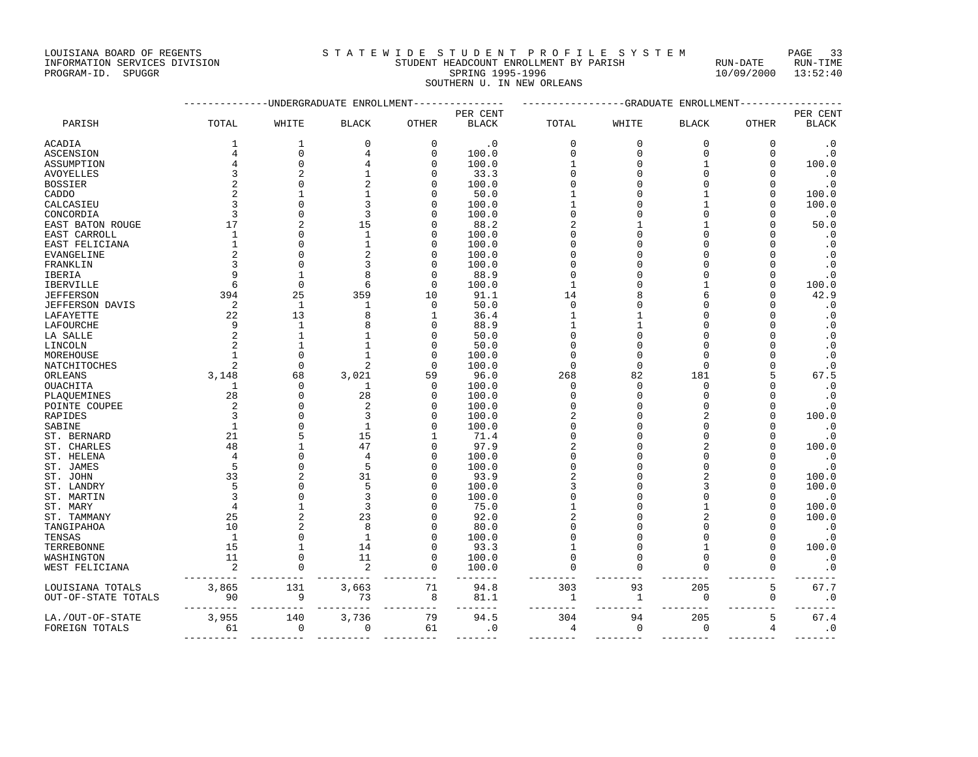| _ _ _ _ _ _ _ _ _ _ _ _ _ _ _ _ _ _ |                                        |            | --------<br>____ |
|-------------------------------------|----------------------------------------|------------|------------------|
| INFORMATION SERVICES DIVISION       | STUDENT HEADCOUNT ENROLLMENT BY PARISH | RUN-DATE   | RUN-TIME         |
| PROGRAM-ID.<br>SPUGGR               | SPRING 1995-1996                       | 10/09/2000 | 13:52:40         |
|                                     | SOUTHERN U. IN NEW ORLEANS             |            |                  |
|                                     |                                        |            |                  |

|                     |                |                | ----------UNDERGRADUATE ENROLLMENT |              | -------------          |              |              | -------------GRADUATE ENROLLMENT- |              |                      |
|---------------------|----------------|----------------|------------------------------------|--------------|------------------------|--------------|--------------|-----------------------------------|--------------|----------------------|
|                     |                |                |                                    |              | PER CENT               |              |              |                                   |              | PER CENT             |
| PARISH              | TOTAL          | WHITE          | <b>BLACK</b>                       | <b>OTHER</b> | <b>BLACK</b>           | TOTAL        | WHITE        | <b>BLACK</b>                      | <b>OTHER</b> | <b>BLACK</b>         |
| ACADIA              | 1              | 1              | $\mathbf 0$                        | 0            | $\cdot$ 0              | $\mathbf 0$  | $\mathbf{0}$ | $\mathbf 0$                       | 0            | $\cdot$ 0            |
| <b>ASCENSION</b>    | 4              | $\Omega$       | 4                                  | $\Omega$     | 100.0                  | $\Omega$     | $\Omega$     | $\Omega$                          | $\Omega$     | $\cdot$ 0            |
| ASSUMPTION          | 4              | $\mathbf{0}$   | 4                                  | $\Omega$     | 100.0                  |              | $\Omega$     | 1                                 | 0            | 100.0                |
| AVOYELLES           | 3              | $\overline{2}$ | 1                                  | ∩            | 33.3                   | O            | $\Omega$     | $\Omega$                          | U            | $\cdot$ 0            |
| BOSSIER             | 2              | $\Omega$       | $\overline{c}$                     | O            | 100.0                  | O            | $\Omega$     | $\Omega$                          | $\Omega$     | $\cdot$ 0            |
| CADDO               | $\overline{c}$ | 1              | 1                                  |              | 50.0                   |              | $\Omega$     | $\mathbf{1}$                      | $\mathbf 0$  | 100.0                |
| CALCASIEU           | 3              | $\cap$         | 3                                  |              | 100.0                  |              | $\Omega$     |                                   | $\Omega$     | 100.0                |
| CONCORDIA           | 3              | $\Omega$       | 3                                  |              | 100.0                  | $\Omega$     | $\Omega$     |                                   | U            | $\cdot$ 0            |
| EAST BATON ROUGE    | 17             | $\overline{2}$ | 15                                 |              | 88.2                   | 2            |              |                                   | U            | 50.0                 |
| EAST CARROLL        | 1              | $\cap$         | 1                                  |              | 100.0                  | n            | $\cap$       | U                                 | U            | $\cdot$ 0            |
| EAST FELICIANA      | $\mathbf{1}$   | $\cap$         | 1                                  | ∩            | 100.0                  |              | $\cap$       | $\cap$                            | U            | $\cdot$ 0            |
| EVANGELINE          |                | $\Omega$       | $\overline{c}$                     | O            | 100.0                  |              | $\Omega$     | $\Omega$                          | 0            | $\cdot$ 0            |
| FRANKLIN            |                | $\Omega$       | 3                                  | O            | 100.0                  | n            | $\Omega$     |                                   | U            | $\cdot$ 0            |
| IBERIA              |                |                | 8                                  | $\Omega$     | 88.9                   | $\Omega$     | $\Omega$     |                                   | O            | $\cdot$ 0            |
| IBERVILLE           | 6              | $\Omega$       | 6                                  | $\Omega$     | 100.0                  | 1            | $\Omega$     | $\mathbf{1}$                      | O            | 100.0                |
| JEFFERSON           | 394            | 25             | 359                                | 10           | 91.1                   | 14           | 8            | б                                 | U            | 42.9                 |
| JEFFERSON DAVIS     | 2              | $\mathbf{1}$   | $\mathbf{1}$                       | $\Omega$     | 50.0                   | $\Omega$     | O            |                                   | U            | $\cdot$ 0            |
| LAFAYETTE           | 22             | 13             | 8                                  | 1            | 36.4                   |              | 1            |                                   | U            | $\cdot$ 0            |
| LAFOURCHE           | 9              | 1              | 8                                  | ∩            | 88.9                   |              |              |                                   | U            | $\cdot$ 0            |
| LA SALLE            | $\overline{c}$ | $\mathbf{1}$   | 1                                  | O            | 50.0                   | $\Omega$     | $\Omega$     |                                   | O            | $\cdot$ 0            |
| LINCOLN             |                |                | 1                                  | O            | 50.0                   | <sup>0</sup> | $\Omega$     | $\Omega$                          | U            | $\cdot$ 0            |
| MOREHOUSE           | 1              | $\Omega$       | $\mathbf{1}$                       | O            | 100.0                  | <sup>0</sup> | $\Omega$     | $\Omega$                          | U            | $\cdot$ 0            |
| NATCHITOCHES        | $\overline{c}$ | $\Omega$       | 2                                  | $\Omega$     | 100.0                  | $\Omega$     | $\Omega$     | $\Omega$                          | O            | $\cdot$ 0            |
| ORLEANS             | 3,148          | 68             | 3,021                              | 59           | 96.0                   | 268          | 82           | 181                               | 5            | 67.5                 |
| OUACHITA            | 1              | $\Omega$       | 1                                  | $\Omega$     | 100.0                  | $\Omega$     | $\Omega$     | $\Omega$                          | U            | $\cdot$ 0            |
| PLAOUEMINES         | 28             | O              | 28                                 | O            | 100.0                  | <sup>0</sup> | $\Omega$     | $\Omega$                          | U            | $\cdot$ 0            |
| POINTE COUPEE       | $\overline{2}$ | ∩              | $\overline{2}$                     | ∩            | 100.0                  | $\Omega$     | $\Omega$     | C                                 | U            | $\cdot$ 0            |
| RAPIDES             | २              | $\cap$         | 3                                  |              | 100.0                  | 2            | $\cap$       |                                   | $\Omega$     | 100.0                |
| SABINE              | 1              | $\Omega$       | $\mathbf{1}$                       |              | 100.0                  | <sup>0</sup> | $\Omega$     | $\cap$                            | $\Omega$     | $\cdot$ 0            |
| ST. BERNARD         | 21             |                | 15                                 |              | 71.4                   | $\Omega$     | $\Omega$     |                                   | 0            | $\cdot$ 0            |
| ST. CHARLES         | 48             |                | 47                                 |              | 97.9                   |              | $\Omega$     |                                   | $\Omega$     | 100.0                |
| ST. HELENA          | $\overline{4}$ | $\Omega$       | $\overline{4}$                     | $\Omega$     | 100.0                  | $\Omega$     | $\Omega$     |                                   | O            | $\cdot$ 0            |
| ST. JAMES           | 5              | $\cap$         | 5                                  | ∩            | 100.0                  | $\Omega$     | $\cap$       |                                   | O            | $\cdot$ 0            |
| ST. JOHN            | 33             | 2              | 31                                 |              | 93.9                   | 2            | ∩            |                                   | $\Omega$     | 100.0                |
| ST. LANDRY          | 5              | O              | 5                                  | n            | 100.0                  | 3            | $\Omega$     |                                   | U            | 100.0                |
| ST. MARTIN          | २              |                | 3                                  |              | 100.0                  | ∩            | $\Omega$     |                                   | U            | $\cdot$ 0            |
| ST. MARY            | 4              |                | 3                                  |              | 75.0                   |              | $\cap$       |                                   | U            | 100.0                |
| ST. TAMMANY         | 25             | 2              | 23                                 |              | 92.0                   |              | $\Omega$     |                                   | O            | 100.0                |
| TANGIPAHOA          | 10             |                | 8                                  | O            | 80.0                   |              | O            |                                   | U            | $\cdot$ 0            |
| TENSAS              | $\mathbf{1}$   | $\Omega$       | $\mathbf{1}$                       | ∩            | 100.0                  |              | $\Omega$     | $\Omega$                          | $\Omega$     | $\cdot$ 0            |
| TERREBONNE          | 15             | 1              | 14                                 | $\Omega$     | 93.3                   |              | $\Omega$     | $\mathbf{1}$                      | $\Omega$     | 100.0                |
| WASHINGTON          | 11             | $\Omega$       | 11                                 | $\Omega$     | 100.0                  | $\Omega$     | $\mathbf{0}$ | $\Omega$                          | $\Omega$     | $\cdot$ 0            |
| WEST FELICIANA      | 2              | $\Omega$       | 2                                  | $\Omega$     | 100.0<br>$\frac{1}{2}$ | $\Omega$     | $\Omega$     | $\Omega$                          | 0            | $\cdot$ 0<br>$- - -$ |
| LOUISIANA TOTALS    | 3,865          | 131            | 3,663                              | 71           | 94.8                   | 303          | 93           | 205                               | 5            | 67.7                 |
| OUT-OF-STATE TOTALS | 90             | 9              | 73                                 | 8            | 81.1<br>$- - - -$      | 1            | 1            | 0                                 | $\mathbf 0$  | $\cdot$ 0<br>$- - -$ |
| LA./OUT-OF-STATE    | 3,955          | 140            | 3,736                              | 79           | 94.5                   | 304          | 94           | 205                               | 5            | 67.4                 |
| FOREIGN TOTALS      | 61             | $\Omega$       | $\Omega$                           | 61           | $\cdot$ 0              | 4            | $\Omega$     | $\Omega$                          | 4            | $\cdot$ 0            |

--------- --------- --------- --------- ------- -------- -------- -------- -------- -------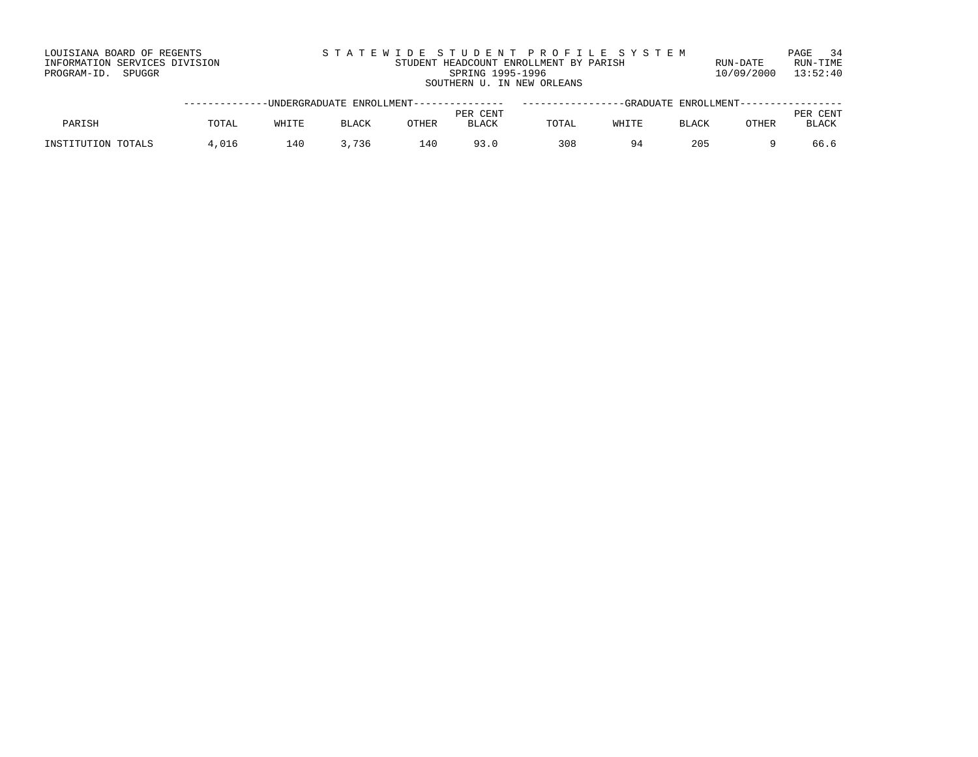| LOUISIANA BOARD OF REGENTS    | STATEWIDE STUDENT PROFILE SYSTEM       |            | PAGE 34  |
|-------------------------------|----------------------------------------|------------|----------|
| INFORMATION SERVICES DIVISION | STUDENT HEADCOUNT ENROLLMENT BY PARISH | RUN-DATE   | RUN-TIME |
| PROGRAM-ID. SPUGGR            | SPRING 1995-1996                       | 10/09/2000 | 13:52:40 |
|                               | SOUTHERN U. IN NEW ORLEANS             |            |          |

|                    |       |       | -UNDERGRADUATE ENROLLMENT--------------- |       |              |       |              | -GRADUATE ENROLLMENT----------------- |              |              |
|--------------------|-------|-------|------------------------------------------|-------|--------------|-------|--------------|---------------------------------------|--------------|--------------|
|                    |       |       |                                          |       | PER CENT     |       |              |                                       |              | CENT<br>PER  |
| PARISH             | TOTAL | WHITF | BLACK                                    | OTHER | <b>BLACK</b> | TOTAL | WHITE        | <b>BLACK</b>                          | <b>OTHER</b> | <b>BLACK</b> |
|                    |       |       |                                          |       |              |       |              |                                       |              |              |
| INSTITUTION TOTALS | .016  | 140   | 736                                      | 140   |              | 308   | $Q_{\Delta}$ | 205                                   |              | 66.6         |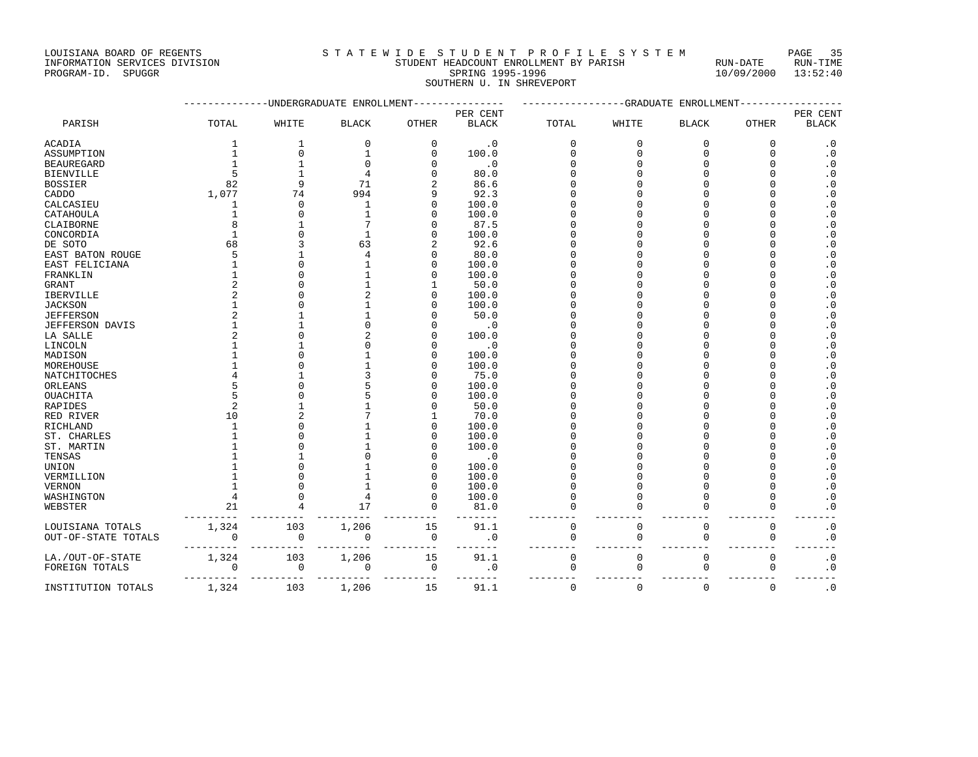LOUISIANA BOARD OF REGENTS<br>
S T A T E W I D E S T U D E N T P R O F I L E S Y S T E M PAGE 35<br>
STUDENT HEADCOUNT ENROLLMENT BY PARISH<br>
STUDENT HEADCOUNT ENROLLMENT BY PARISH<br>
STUDENT ENROLLMENT BY PARISH INFORMATION SERVICES DIVISION STUDENT HEADCOUNT ENROLLMENT BY PARISH PROGRAM-ID. SPUGGRAM-ID. SERVICES PARISH

|  |  |  |  | STATEWIDE STUDENT PROFILE SYS                     |  |  |  |  |  |  |  |  |  |
|--|--|--|--|---------------------------------------------------|--|--|--|--|--|--|--|--|--|
|  |  |  |  | $A$ min min in in dainm min at throw mit pipe air |  |  |  |  |  |  |  |  |  |

SOUTHERN U. IN SHREVEPORT

|                        |              |              | -UNDERGRADUATE ENROLLMENT |              |              |             | -GRADUATE    | ENROLLMENT   |              |                            |
|------------------------|--------------|--------------|---------------------------|--------------|--------------|-------------|--------------|--------------|--------------|----------------------------|
|                        |              |              |                           |              | PER CENT     |             |              |              |              | PER CENT                   |
| PARISH                 | TOTAL        | WHITE        | <b>BLACK</b>              | <b>OTHER</b> | <b>BLACK</b> | TOTAL       | WHITE        | <b>BLACK</b> | <b>OTHER</b> | <b>BLACK</b>               |
| <b>ACADIA</b>          | 1            | 1            | $\mathbf 0$               | $\mathbf{0}$ | $\cdot$ 0    | $\Omega$    | $\mathbf 0$  | $\mathbf 0$  | $\mathbf 0$  | $\cdot$ 0                  |
| ASSUMPTION             |              | $\Omega$     | $\mathbf{1}$              | $\cap$       | 100.0        | U           | $\mathbf{0}$ | $\cap$       | $\mathbf 0$  | $\cdot$ 0                  |
| <b>BEAUREGARD</b>      |              | 1            | $\Omega$                  |              | $\cdot$ 0    |             | $\Omega$     |              | $\Omega$     | $\cdot$ 0                  |
| <b>BIENVILLE</b>       | 5            | $\mathbf{1}$ | 4                         |              | 80.0         |             |              |              | $\Omega$     | $\cdot$ 0                  |
| <b>BOSSIER</b>         | 82           | 9            | 71                        |              | 86.6         |             |              |              | $\Omega$     | $\cdot$ 0                  |
| CADDO                  | 1,077        | 74           | 994                       |              | 92.3         |             |              |              | $\Omega$     | $\overline{\phantom{0}}$ . |
| CALCASIEU              | $\mathbf{1}$ | 0            | 1                         |              | 100.0        |             |              |              | $\Omega$     | $\cdot$ 0                  |
| CATAHOULA              |              | $\Omega$     | $\mathbf{1}$              |              | 100.0        |             |              |              | $\cap$       | $\cdot$ 0                  |
| CLAIBORNE              |              |              | 7                         |              | 87.5         |             |              |              | $\Omega$     | $\cdot$ 0                  |
| CONCORDIA              |              | $\Omega$     | $\mathbf{1}$              |              | 100.0        |             |              |              | $\Omega$     | $\cdot$ 0                  |
| DE SOTO                | 68           | 3            | 63                        |              | 92.6         |             |              |              | $\Omega$     | $\cdot$ 0                  |
| EAST BATON ROUGE       | 5            |              | $\overline{4}$            |              | 80.0         |             |              |              | $\cap$       | $\cdot$ 0                  |
| EAST FELICIANA         |              | $\Omega$     |                           |              | 100.0        |             |              |              | $\cap$       | $\cdot$ 0                  |
| FRANKLIN               |              | $\Omega$     |                           |              | 100.0        |             |              |              | $\Omega$     | $\overline{\phantom{0}}$ . |
| <b>GRANT</b>           |              | U            |                           |              | 50.0         |             |              |              | O            | $\cdot$ 0                  |
| <b>IBERVILLE</b>       |              | $\Omega$     |                           |              | 100.0        |             |              |              | $\Omega$     | $\cdot$ 0                  |
| <b>JACKSON</b>         |              | $\Omega$     |                           |              | 100.0        |             |              |              | $\Omega$     | $\cdot$ 0                  |
| <b>JEFFERSON</b>       |              |              |                           |              | 50.0         |             |              |              | $\Omega$     | $\cdot$ 0                  |
| <b>JEFFERSON DAVIS</b> |              |              |                           |              | $\cdot$ 0    |             |              |              | $\Omega$     | $\cdot$ 0                  |
| LA SALLE               |              | $\Omega$     |                           |              | 100.0        |             |              |              | $\cap$       | $\cdot$ 0                  |
| LINCOLN                |              |              |                           |              | $\cdot$ 0    |             |              |              | $\Omega$     | $\cdot$ 0                  |
| MADISON                |              | O            |                           |              | 100.0        |             |              |              | $\Omega$     | $\cdot$ 0                  |
| MOREHOUSE              |              | $\Omega$     |                           |              | 100.0        |             |              |              | $\Omega$     | $\cdot$ 0                  |
| NATCHITOCHES           |              |              |                           |              | 75.0         |             |              |              | $\Omega$     | $\cdot$ 0                  |
| ORLEANS                |              | $\Omega$     |                           |              | 100.0        |             |              |              | $\Omega$     | $\cdot$ 0                  |
| OUACHITA               |              | $\Omega$     |                           |              | 100.0        |             |              |              | $\Omega$     | $\cdot$ 0                  |
| RAPIDES                |              |              |                           |              | 50.0         |             |              |              | $\Omega$     | $\cdot$ 0                  |
| RED RIVER              | 10           | 2            |                           |              | 70.0         |             |              |              | $\Omega$     | $\cdot$ 0                  |
| RICHLAND               |              | $\Omega$     |                           |              | 100.0        |             |              |              | $\Omega$     | $\cdot$ 0                  |
| ST. CHARLES            |              | O            |                           |              | 100.0        |             |              |              | $\cap$       | $\cdot$ 0                  |
| ST. MARTIN             |              | $\Omega$     |                           |              | 100.0        |             |              |              | $\Omega$     | $\cdot$ 0                  |
| TENSAS                 |              |              |                           |              | $\cdot$ 0    |             |              |              | $\Omega$     | $\cdot$ 0                  |
| UNION                  |              | $\Omega$     |                           |              | 100.0        |             |              |              | $\Omega$     | $\cdot$ 0                  |
| VERMILLION             |              | $\Omega$     | $\mathbf{1}$              |              | 100.0        |             |              |              | $\Omega$     | $\cdot$ 0                  |
| VERNON                 |              | $\Omega$     | $\mathbf{1}$              |              | 100.0        |             | $\cap$       |              | $\Omega$     | $\cdot$ 0                  |
| WASHINGTON             |              | $\Omega$     | $\overline{4}$            |              | 100.0        | U           | $\Omega$     | $\Omega$     | $\Omega$     | $\cdot$ 0                  |
| WEBSTER                | 21           | 4            | 17                        | $\Omega$     | 81.0         |             | $\Omega$     | $\cap$       | $\mathbf 0$  | $\cdot$ 0                  |
| LOUISIANA TOTALS       | 1,324        | 103          | 1,206                     | 15           | 91.1         | $\mathbf 0$ | $\mathbb O$  | $\mathbf 0$  | $\mathsf 0$  | $\boldsymbol{\cdot}$ 0     |
| OUT-OF-STATE TOTALS    | $\Omega$     | $\mathbf 0$  | 0                         | $\mathbf 0$  | $\cdot$ 0    | $\Omega$    | $\Omega$     | $\Omega$     | $\mathbf 0$  | $\boldsymbol{\cdot}$ 0     |
| LA./OUT-OF-STATE       | 1,324        | 103          | 1,206                     | 15           | 91.1         | $\mathbf 0$ | 0            | 0            | 0            | $\cdot$ 0                  |
| FOREIGN TOTALS         | $\mathbf 0$  | $\mathbf 0$  | 0                         | 0            | $\cdot$ 0    | $\mathbf 0$ | 0            | $\mathbf 0$  | 0            | $\cdot$ 0                  |
| INSTITUTION TOTALS     | 1,324        | 103          | 1,206                     | 15           | 91.1         | $\mathbf 0$ | $\Omega$     | $\Omega$     | $\Omega$     | $\cdot$ 0                  |

 $P_{\text{2}}$   $P_{\text{2}}$   $P_{\text{2}}$   $P_{\text{2}}$   $P_{\text{2}}$   $P_{\text{3}}$   $P_{\text{3}}$   $P_{\text{4}}$   $P_{\text{5}}$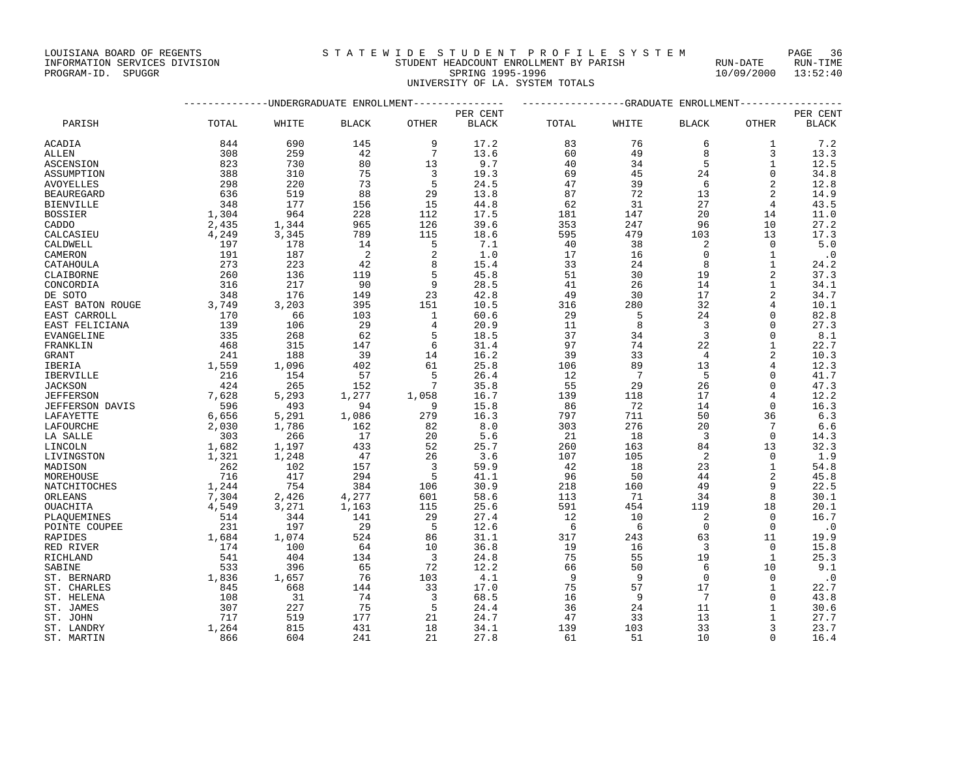## INFORMATION SERVICES DIVISION STUDENT HEADCOUNT ENROLLMENT BY PARISH RUN-DATE RUN-TIME PROGRAM-ID. SPUGGR SPRING 1995-1996 10/09/2000 13:52:40 UNIVERSITY OF LA. SYSTEM TOTALS

|                   |       | ----------UNDERGRADUATE ENROLLMENT |              |                 |              |       |                 | ------------GRADUATE ENROLLMENT- |                |              |
|-------------------|-------|------------------------------------|--------------|-----------------|--------------|-------|-----------------|----------------------------------|----------------|--------------|
|                   |       |                                    |              |                 | PER CENT     |       |                 |                                  |                | PER CENT     |
| PARISH            | TOTAL | WHITE                              | <b>BLACK</b> | OTHER           | <b>BLACK</b> | TOTAL | WHITE           | <b>BLACK</b>                     | <b>OTHER</b>   | <b>BLACK</b> |
| ACADIA            | 844   | 690                                | 145          | 9               | 17.2         | 83    | 76              | 6                                | 1              | 7.2          |
| ALLEN             | 308   | 259                                | 42           | $7\phantom{.0}$ | 13.6         | 60    | 49              | $\mathsf{R}$                     | 3              | 13.3         |
| <b>ASCENSION</b>  | 823   | 730                                | 80           | 13              | 9.7          | 40    | 34              | 5                                | $\mathbf{1}$   | 12.5         |
| ASSUMPTION        | 388   | 310                                | 75           | 3               | 19.3         | 69    | 45              | 24                               | $\Omega$       | 34.8         |
|                   | 298   | 220                                | 73           | 5               | 24.5         | 47    | 39              | 6                                | $\overline{a}$ | 12.8         |
| AVOYELLES         |       |                                    |              |                 |              |       |                 |                                  | 2              |              |
| <b>BEAUREGARD</b> | 636   | 519                                | 88           | 29              | 13.8         | 87    | 72              | 13                               |                | 14.9         |
| <b>BIENVILLE</b>  | 348   | 177                                | 156          | 15              | 44.8         | 62    | 31              | 27                               | $\overline{4}$ | 43.5         |
| <b>BOSSIER</b>    | 1,304 | 964                                | 228          | 112             | 17.5         | 181   | 147             | 20                               | 14             | 11.0         |
| CADDO             | 2,435 | 1,344                              | 965          | 126             | 39.6         | 353   | 247             | 96                               | 10             | 27.2         |
| CALCASIEU         | 4,249 | 3,345                              | 789          | 115             | 18.6         | 595   | 479             | 103                              | 13             | 17.3         |
| CALDWELL          | 197   | 178                                | 14           | 5               | 7.1          | 40    | 38              | 2                                | $\Omega$       | 5.0          |
| CAMERON           | 191   | 187                                | 2            | 2               | 1.0          | 17    | 16              | $\Omega$                         | $\mathbf{1}$   | $\cdot$ 0    |
| CATAHOULA         | 273   | 223                                | 42           | 8               | 15.4         | 33    | 24              | 8                                |                | 24.2         |
| CLAIBORNE         | 260   | 136                                | 119          | 5               | 45.8         | 51    | 30              | 19                               | 2              | 37.3         |
| CONCORDIA         | 316   | 217                                | 90           | 9               | 28.5         | 41    | 26              | 14                               | $\mathbf{1}$   | 34.1         |
| DE SOTO           | 348   | 176                                | 149          | 23              | 42.8         | 49    | 30              | 17                               | $\overline{a}$ | 34.7         |
| EAST BATON ROUGE  | 3,749 | 3,203                              | 395          | 151             | 10.5         | 316   | 280             | 32                               | $\overline{4}$ | 10.1         |
| EAST CARROLL      | 170   | 66                                 | 103          | 1               | 60.6         | 29    | - 5             | 24                               |                | 82.8         |
| EAST FELICIANA    | 139   | 106                                | 29           | $\overline{4}$  | 20.9         | 11    | 8               | $\overline{3}$                   |                | 27.3         |
| <b>EVANGELINE</b> | 335   | 268                                | 62           | 5               | 18.5         | 37    | 34              | $\overline{3}$                   | $\Omega$       | 8.1          |
| FRANKLIN          | 468   | 315                                | 147          | 6               | 31.4         | 97    | 74              | 22                               |                | 22.7         |
|                   | 241   | 188                                | 39           | 14              | 16.2         | 39    | 33              | $\overline{4}$                   |                | 10.3         |
| GRANT             |       |                                    |              |                 |              |       |                 |                                  |                |              |
| IBERIA            | 1,559 | 1,096                              | 402          | 61              | 25.8         | 106   | 89              | 13                               |                | 12.3         |
| IBERVILLE         | 216   | 154                                | 57           | 5               | 26.4         | 12    | $7\phantom{.0}$ | 5                                | $\Omega$       | 41.7         |
| <b>JACKSON</b>    | 424   | 265                                | 152          | $7\phantom{.0}$ | 35.8         | 55    | 29              | 26                               | $\Omega$       | 47.3         |
| <b>JEFFERSON</b>  | 7,628 | 5,293                              | 1,277        | 1,058           | 16.7         | 139   | 118             | 17                               | $\overline{4}$ | 12.2         |
| JEFFERSON DAVIS   | 596   | 493                                | 94           | 9               | 15.8         | 86    | 72              | 14                               | $\Omega$       | 16.3         |
| LAFAYETTE         | 6,656 | 5,291                              | 1,086        | 279             | 16.3         | 797   | 711             | 50                               | 36             | 6.3          |
| LAFOURCHE         | 2,030 | 1,786                              | 162          | 82              | 8.0          | 303   | 276             | 20                               | 7              | 6.6          |
| LA SALLE          | 303   | 266                                | 17           | 20              | 5.6          | 21    | 18              | $\overline{3}$                   | $\Omega$       | 14.3         |
| LINCOLN           | 1,682 | 1,197                              | 433          | 52              | 25.7         | 260   | 163             | 84                               | 13             | 32.3         |
| LIVINGSTON        | 1,321 | 1,248                              | 47           | 26              | 3.6          | 107   | 105             | 2                                | $\Omega$       | 1.9          |
| MADISON           | 262   | 102                                | 157          | $\overline{3}$  | 59.9         | 42    | 18              | 23                               | $\mathbf{1}$   | 54.8         |
| MOREHOUSE         | 716   | 417                                | 294          | 5               | 41.1         | 96    | 50              | 44                               | $\overline{a}$ | 45.8         |
| NATCHITOCHES      | 1,244 | 754                                | 384          | 106             | 30.9         | 218   | 160             | 49                               | 9              | 22.5         |
| ORLEANS           | 7,304 | 2,426                              | 4,277        | 601             | 58.6         | 113   | 71              | 34                               | 8              | 30.1         |
| OUACHITA          | 4,549 | 3,271                              | 1,163        | 115             | 25.6         | 591   | 454             | 119                              | 18             | 20.1         |
| PLAOUEMINES       | 514   | 344                                | 141          | 29              | 27.4         | 12    | 10              | 2                                | $\Omega$       | 16.7         |
| POINTE COUPEE     | 231   | 197                                | 29           | - 5             | 12.6         | 6     | 6               | $\Omega$                         | $\Omega$       | $\cdot$ 0    |
| RAPIDES           | 1,684 | 1,074                              | 524          | 86              | 31.1         | 317   | 243             | 63                               | 11             | 19.9         |
| RED RIVER         | 174   | 100                                | 64           | 10              | 36.8         | 19    | 16              | $\overline{3}$                   | $\Omega$       | 15.8         |
| RICHLAND          | 541   | 404                                | 134          | $\overline{3}$  | 24.8         | 75    | 55              | 19                               | 1              | 25.3         |
| SABINE            | 533   | 396                                | 65           | 72              | 12.2         | 66    | 50              | 6                                | 10             | 9.1          |
| ST. BERNARD       | 1,836 | 1,657                              | 76           | 103             | 4.1          | 9     | -9              | $\Omega$                         | $\Omega$       |              |
|                   |       |                                    |              |                 |              |       |                 |                                  |                | $\cdot$ 0    |
| ST. CHARLES       | 845   | 668                                | 144          | 33              | 17.0         | 75    | 57              | 17                               | 1              | 22.7         |
| ST. HELENA        | 108   | 31                                 | 74           | $\overline{3}$  | 68.5         | 16    | 9               | $7\phantom{.0}$                  | $\Omega$       | 43.8         |
| ST. JAMES         | 307   | 227                                | 75           | 5               | 24.4         | 36    | 24              | 11                               |                | 30.6         |
| ST. JOHN          | 717   | 519                                | 177          | 21              | 24.7         | 47    | 33              | 13                               | $\mathbf{1}$   | 27.7         |
| ST. LANDRY        | 1,264 | 815                                | 431          | 18              | 34.1         | 139   | 103             | 33                               | 3              | 23.7         |
| ST. MARTIN        | 866   | 604                                | 241          | 21              | 27.8         | 61    | 51              | 10                               | $\Omega$       | 16.4         |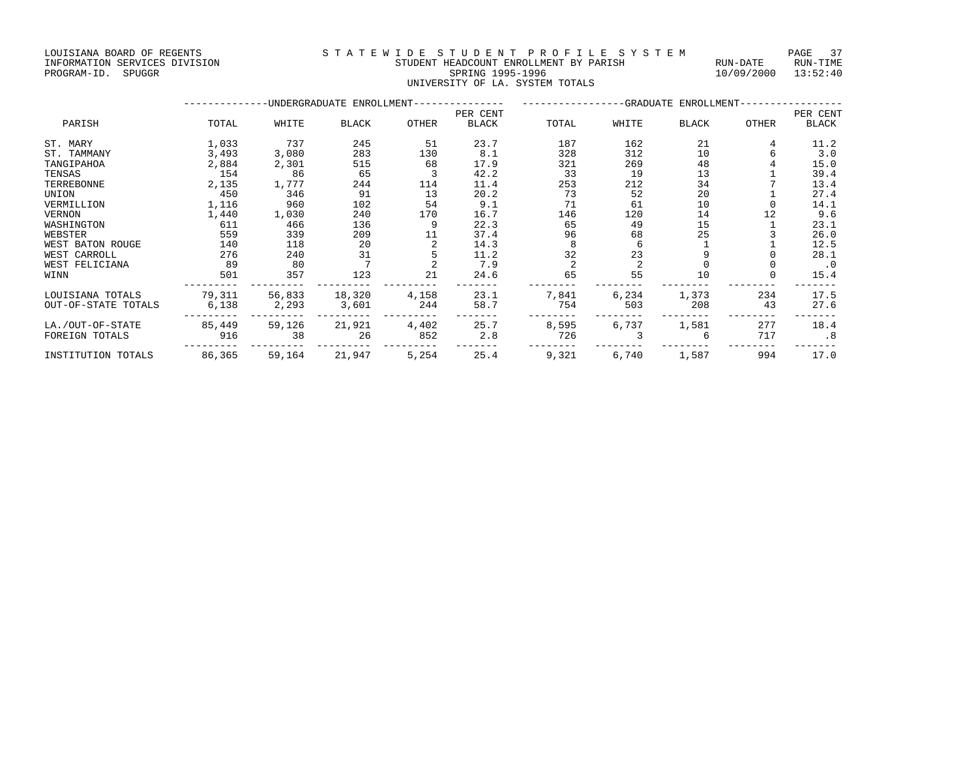### INFORMATION SERVICES DIVISION STUDENT HEADCOUNT ENROLLMENT BY PARISH RUN-DATE RUN-TIME ENTERNATION SERVICES DIVISION **EXAMPLE SPACE ASSAULT AND STUDENT HEADCOUNT ENROLLMENT** BY PARISH FOR THE RUN-DATE<br>PROGRAM-ID. SPUGGR SPRING 1995-1996 SPRING 1995-1996 10/09/2000 13:52:40 UNIVERSITY OF LA. SYSTEM TOTALS

|                     |        |        | -UNDERGRADUATE ENROLLMENT- |       |              |       | -GRADUATE ENROLLMENT- |              |       |           |
|---------------------|--------|--------|----------------------------|-------|--------------|-------|-----------------------|--------------|-------|-----------|
|                     |        |        |                            |       | PER CENT     |       |                       |              |       | PER CENT  |
| PARISH              | TOTAL  | WHITE  | BLACK                      | OTHER | <b>BLACK</b> | TOTAL | WHITE                 | <b>BLACK</b> | OTHER | BLACK     |
| ST. MARY            | 1,033  | 737    | 245                        | 51    | 23.7         | 187   | 162                   | 21           |       | 11.2      |
| ST. TAMMANY         | 3,493  | 3,080  | 283                        | 130   | 8.1          | 328   | 312                   | 10           |       | 3.0       |
| TANGIPAHOA          | 2,884  | 2,301  | 515                        | 68    | 17.9         | 321   | 269                   | 48           |       | 15.0      |
| TENSAS              | 154    | 86     | 65                         |       | 42.2         | 33    | 19                    | 13           |       | 39.4      |
| TERREBONNE          | 2,135  | 1,777  | 244                        | 114   | 11.4         | 253   | 212                   | 34           |       | 13.4      |
| UNION               | 450    | 346    | 91                         | 13    | 20.2         | 73    | 52                    | 20           |       | 27.4      |
| VERMILLION          | 1,116  | 960    | 102                        | 54    | 9.1          | 71    | 61                    | 10           |       | 14.1      |
| VERNON              | 1,440  | 1,030  | 240                        | 170   | 16.7         | 146   | 120                   | 14           | 12    | 9.6       |
| WASHINGTON          | 611    | 466    | 136                        | 9     | 22.3         | 65    | 49                    | 15           |       | 23.1      |
| WEBSTER             | 559    | 339    | 209                        | 11    | 37.4         | 96    | 68                    | 25           |       | 26.0      |
| WEST BATON ROUGE    | 140    | 118    | 20                         |       | 14.3         |       |                       |              |       | 12.5      |
| WEST CARROLL        | 276    | 240    | 31                         |       | 11.2         | 32    | 23                    |              |       | 28.1      |
| WEST FELICIANA      | 89     | 80     |                            |       | 7.9          |       |                       |              |       | $\cdot$ 0 |
| WINN                | 501    | 357    | 123                        | 21    | 24.6         | 65    | 55                    | 10           |       | 15.4      |
| LOUISIANA TOTALS    | 79,311 | 56,833 | 18,320                     | 4,158 | 23.1         | 7,841 | 6,234                 | 1,373        | 234   | 17.5      |
| OUT-OF-STATE TOTALS | 6,138  | 2,293  | 3,601                      | 244   | 58.7         | 754   | 503                   | 208          | 43    | 27.6      |
| LA./OUT-OF-STATE    | 85,449 | 59,126 | 21,921                     | 4,402 | 25.7         | 8,595 | 6,737                 | 1,581        | 277   | 18.4      |
| FOREIGN TOTALS      | 916    | 38     | 26                         | 852   | 2.8          | 726   |                       |              | 717   | .8        |
| INSTITUTION TOTALS  | 86,365 | 59,164 | 21,947                     | 5,254 | 25.4         | 9,321 | 6,740                 | 1,587        | 994   | 17.0      |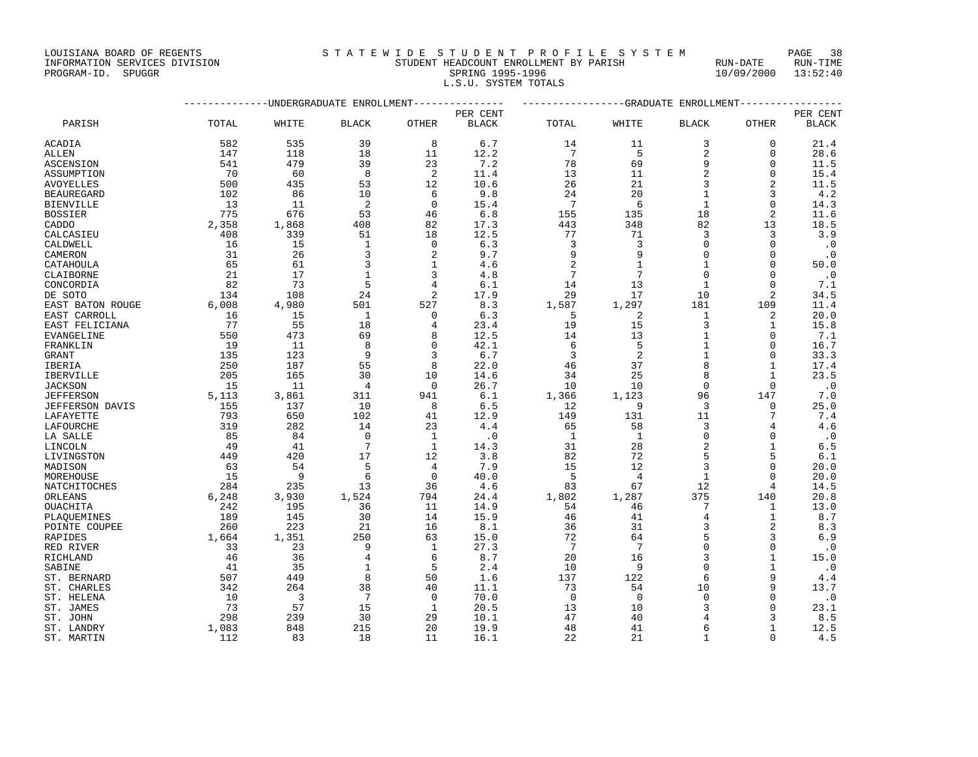## INFORMATION SERVICES DIVISION STUDENT HEADCOUNT ENROLLMENT BY PARISH RUN-DATE RUN-TIME EXTERNIS AND SERVICES DIVISION **EXAMPLE AND SPUGGRAM-ID.** SPUGGRAM-ID. SPUGGRAM-ID. SPUGGRAM-ID. SPUGGRAM-ID. SPUGGRAM-ID. SPUGGRAM-ID. SPUGGRAM-ID. SPUGGRAM-ID. SPUGGRAM-ID. SPUGGRAM-ID. SPUGGRAM-ID. SPUGGRAM-ID. SPUGGRAM

L.S.U. SYSTEM TOTALS

|                        |          |       | -UNDERGRADUATE ENROLLMENT |                |              |                 |                 | ------------GRADUATE ENROLLMENT |                     |              |
|------------------------|----------|-------|---------------------------|----------------|--------------|-----------------|-----------------|---------------------------------|---------------------|--------------|
|                        |          |       |                           |                | PER CENT     |                 |                 |                                 |                     | PER CENT     |
| PARISH                 | TOTAL    | WHITE | <b>BLACK</b>              | OTHER          | <b>BLACK</b> | TOTAL           | WHITE           | <b>BLACK</b>                    | OTHER               | <b>BLACK</b> |
| <b>ACADIA</b>          | 582      | 535   | 39                        | 8              | 6.7          | 14              | 11              | 3                               | $\Omega$            | 21.4         |
| <b>ALLEN</b>           | 147      | 118   | 18                        | 11             | 12.2         | $7\phantom{.0}$ | 5               | $\overline{2}$                  | $\Omega$            | 28.6         |
| ASCENSION              | 541      | 479   | 39                        | 23             | 7.2          | 78              | 69              | 9                               | $\mathbf 0$         | 11.5         |
| ASSUMPTION             | 70       | 60    | 8                         | $\overline{c}$ | 11.4         | 13              | 11              | $\overline{a}$                  | $\mathbf 0$         | 15.4         |
| <b>AVOYELLES</b>       | 500      | 435   | 53                        | 12             | 10.6         | 26              | 21              | 3                               | $\overline{2}$      | 11.5         |
| <b>BEAUREGARD</b>      | 102      | 86    | 10                        | 6              | 9.8          | 24              | 20              |                                 | 3                   | 4.2          |
| <b>BIENVILLE</b>       | 13       | 11    | $\sqrt{2}$                | $\mathbf 0$    | 15.4         | $7\phantom{.0}$ | 6               | $\mathbf{1}$                    | $\Omega$            | 14.3         |
| <b>BOSSIER</b>         | 775      | 676   | 53                        | 46             | 6.8          | 155             | 135             | 18                              | $\overline{2}$      | 11.6         |
| CADDO                  | 2,358    | 1,868 | 408                       | 82             | 17.3         | 443             | 348             | 82                              | 13                  | 18.5         |
| CALCASIEU              | 408      | 339   | 51                        | 18             | 12.5         | 77              | 71              | 3                               | 3                   | 3.9          |
| CALDWELL               | 16       | 15    | $\mathbf{1}$              | $\mathbf 0$    | 6.3          | 3               | 3               | $\Omega$                        | $\Omega$            | $\cdot$ 0    |
| CAMERON                | 31       | 26    | 3                         | 2              | 9.7          | 9               | 9               | $\Omega$                        | $\Omega$            | $\cdot$ 0    |
| CATAHOULA              | 65       | 61    | 3                         | $\mathbf{1}$   | 4.6          | $\overline{2}$  | $\mathbf{1}$    | $\mathbf{1}$                    | $\mathbf 0$         | 50.0         |
| CLAIBORNE              | 21       | 17    | $\mathbf{1}$              | 3              | 4.8          | 7               | 7               | $\Omega$                        | $\Omega$            | $\cdot$ 0    |
| CONCORDIA              | 82       | 73    | 5                         | 4              | 6.1          | 14              | 13              |                                 | $\Omega$            | 7.1          |
| DE SOTO                | 134      | 108   | 24                        | $\overline{2}$ | 17.9         | 29              | 17              | 10                              | $\overline{2}$      | 34.5         |
| EAST BATON ROUGE       | 6,008    | 4,980 | 501                       | 527            | 8.3          | 1,587           | 1,297           | 181                             | 109                 | 11.4         |
| EAST CARROLL           | 16       | 15    | $\mathbf{1}$              | 0              | 6.3          | 5               | 2               | 1                               | 2                   | 20.0         |
| EAST FELICIANA         | 77       | 55    | 18                        | 4              | 23.4         | 19              | 15              | 3                               | 1                   | 15.8         |
| EVANGELINE             | 550      | 473   | 69                        | 8              | 12.5         | 14              | 13              |                                 | $\Omega$            | 7.1          |
| FRANKLIN               | 19       | 11    | 8                         | $\mathbf 0$    | 42.1         | 6               | 5               | $\mathbf{1}$                    | $\mathbf 0$         | 16.7         |
| <b>GRANT</b>           | 135      | 123   | 9                         | 3              | 6.7          | 3               | $\overline{2}$  | $\mathbf{1}$                    | $\Omega$            | 33.3         |
| IBERIA                 | 250      | 187   | 55                        | 8              | 22.0         | 46              | 37              |                                 | $\mathbf{1}$        | 17.4         |
| <b>IBERVILLE</b>       | 205      | 165   | 30                        | 10             | 14.6         | 34              | 25              | $\mathsf{R}$                    | $\mathbf{1}$        | 23.5         |
|                        |          |       | 4                         | $\mathbf 0$    | 26.7         | 10              | 10              | $\Omega$                        | $\Omega$            |              |
| <b>JACKSON</b>         | 15       | 11    | 311                       | 941            |              |                 |                 | 96                              | 147                 | $\cdot$ 0    |
| <b>JEFFERSON</b>       | 5,113    | 3,861 | 10                        |                | 6.1          | 1,366           | 1,123<br>9      |                                 |                     | 7.0          |
| <b>JEFFERSON DAVIS</b> | 155      | 137   |                           | 8              | 6.5          | 12              |                 | 3                               | 0<br>7              | 25.0         |
| LAFAYETTE              | 793      | 650   | 102                       | 41             | 12.9         | 149             | 131             | 11<br>3                         | 4                   | 7.4          |
| LAFOURCHE              | 319      | 282   | 14<br>$\mathbf 0$         | 23             | 4.4          | 65              | 58              | $\Omega$                        | $\mathbf{0}$        | 4.6          |
| LA SALLE               | 85<br>49 | 84    | $7\phantom{.0}$           | $\mathbf{1}$   | $\cdot$ 0    | 1               | -1              | $\overline{2}$                  | $\mathbf{1}$        | $\cdot$ 0    |
| LINCOLN                |          | 41    |                           | $\mathbf{1}$   | 14.3         | 31              | 28              |                                 |                     | $6.5$        |
| LIVINGSTON             | 449      | 420   | 17                        | 12             | 3.8          | 82              | 72              | 5                               | 5                   | 6.1          |
| MADISON                | 63       | 54    | 5                         | 4              | 7.9          | 15              | 12              |                                 | $\Omega$            | 20.0         |
| MOREHOUSE              | 15       | 9     | 6                         | $\mathbf 0$    | 40.0         | 5               | $\overline{4}$  | $\mathbf{1}$                    | $\Omega$            | 20.0         |
| NATCHITOCHES           | 284      | 235   | 13                        | 36             | 4.6          | 83              | 67              | 12                              | 4                   | 14.5         |
| ORLEANS                | 6,248    | 3,930 | 1,524                     | 794            | 24.4         | 1,802           | 1,287           | 375                             | 140                 | 20.8         |
| OUACHITA               | 242      | 195   | 36                        | 11             | 14.9         | 54              | 46              | 7                               | 1                   | 13.0         |
| PLAQUEMINES            | 189      | 145   | 30                        | 14             | 15.9         | 46              | 41              | 4                               | $\mathbf 1$         | 8.7          |
| POINTE COUPEE          | 260      | 223   | 21                        | 16             | 8.1          | 36              | 31              | 3<br>5                          | $\overline{2}$<br>3 | 8.3          |
| RAPIDES                | 1,664    | 1,351 | 250                       | 63             | 15.0         | 72              | 64              |                                 |                     | 6.9          |
| RED RIVER              | 33       | 23    | 9                         | $\mathbf{1}$   | 27.3         | 7               | $7\phantom{.0}$ |                                 | $\mathbf{0}$        | $\cdot$ 0    |
| RICHLAND               | 46       | 36    | 4                         | 6              | 8.7          | 20              | 16              | 3                               | $\mathbf{1}$        | 15.0         |
| SABINE                 | 41       | 35    | $\mathbf{1}$              | 5              | 2.4          | 10              | 9               |                                 | $\mathbf{1}$        | $\cdot$ 0    |
| ST. BERNARD            | 507      | 449   | 8                         | 50             | 1.6          | 137             | 122             | 6                               | 9                   | 4.4          |
| ST. CHARLES            | 342      | 264   | 38                        | 40             | 11.1         | 73              | 54              | 10                              | 9                   | 13.7         |
| ST. HELENA             | 10       | 3     | 7                         | $\Omega$       | 70.0         | $\Omega$        | $\overline{0}$  | $\Omega$                        | $\Omega$            | $\cdot$ 0    |
| ST. JAMES              | 73       | 57    | 15                        | $\mathbf{1}$   | 20.5         | 13              | 10              | κ                               | $\Omega$            | 23.1         |
| ST. JOHN               | 298      | 239   | 30                        | 29             | 10.1         | 47              | 40              |                                 | 3                   | 8.5          |
| ST. LANDRY             | 1,083    | 848   | 215                       | 20             | 19.9         | 48              | 41              | 6                               | $\mathbf{1}$        | 12.5         |
| ST. MARTIN             | 112      | 83    | 18                        | 11             | 16.1         | 22              | 21              | 1                               | $\Omega$            | 4.5          |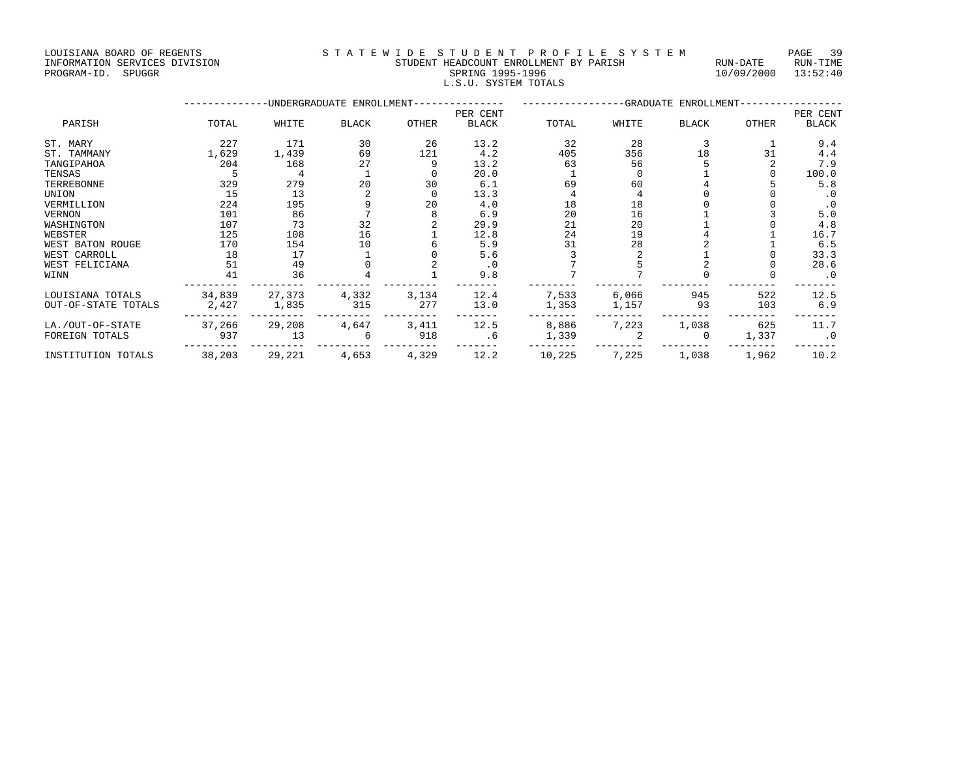LOUISIANA BOARD OF REGENTS STATEWIDE STUDENT PROFILE SYSTEM PAGE 39 INFORMATION SERVICES DIVISION STUDENT HEADCOUNT ENROLLMENT BY PARISH RUN-DATE RUN-TIME

| PROGRAM-ID. | SPUGGR | SPRING 1995-1996<br>10/09/2000<br>L.S.U. SYSTEM TOTALS |       |                                          |              |          |               |       |                                     |              | 13:52:40     |  |
|-------------|--------|--------------------------------------------------------|-------|------------------------------------------|--------------|----------|---------------|-------|-------------------------------------|--------------|--------------|--|
|             |        | -----------                                            |       | -UNDERGRADUATE ENROLLMENT--------------- |              |          | ------------- |       | -GRADUATE ENROLLMENT--------------- |              |              |  |
|             |        |                                                        |       |                                          |              | PER CENT |               |       |                                     |              | PER CENT     |  |
| PARISH      |        | TOTAL                                                  | WHITE | <b>BLACK</b>                             | <b>OTHER</b> | BLACK    | TOTAL         | WHITE | <b>BLACK</b>                        | <b>OTHER</b> | <b>BLACK</b> |  |
| ST. MARY    |        | 227                                                    | 171   | 30                                       | 26           | 13.2     | 32            | 28    |                                     |              | 9.4          |  |
| ST. TAMMANY |        | ⊥,629                                                  | 1,439 | 69                                       | 121          | 4.2      | 405           | 356   | 18                                  | 31           | 4.4          |  |
| TANGIPAHOA  |        | 204                                                    | 168   | 27                                       |              | 13.2     | 63            | 56    |                                     |              | 7.9          |  |
| TENSAS      |        |                                                        |       |                                          |              | 20.0     |               |       |                                     |              | 100.0        |  |
|             |        |                                                        |       |                                          |              |          |               |       |                                     |              |              |  |

| ST. MARY            | 227    | 171    | 30    | 26    | 13.2      | 32     | 28    |          |       | 9.4       |
|---------------------|--------|--------|-------|-------|-----------|--------|-------|----------|-------|-----------|
| ST. TAMMANY         | 1,629  | 1,439  | 69    | 121   | 4.2       | 405    | 356   | 18       | 31    | 4.4       |
| TANGIPAHOA          | 204    | 168    | 27    |       | 13.2      | 63     | 56    |          |       | 7.9       |
| TENSAS              |        | 4      |       |       | 20.0      |        |       |          |       | 100.0     |
| TERREBONNE          | 329    | 279    | 20    | 30    | 6.1       | 69     | 60    |          |       | 5.8       |
| UNION               | 15     | 13     |       |       | 13.3      |        |       |          |       | . 0       |
| VERMILLION          | 224    | 195    |       | 20    | 4.0       | 18     | 18    |          |       | . 0       |
| <b>VERNON</b>       | 101    | 86     |       |       | 6.9       | 20     | 16    |          |       | 5.0       |
| WASHINGTON          | 107    | 73     | 32    |       | 29.9      | 21     | 20    |          |       | 4.8       |
| WEBSTER             | 125    | 108    | 16    |       | 12.8      | 24     | 19    |          |       | 16.7      |
| WEST BATON ROUGE    | 170    | 154    | 10    |       | 5.9       | 31     | 28    |          |       | 6.5       |
| WEST CARROLL        | 18     | 17     |       |       | 5.6       |        |       |          |       | 33.3      |
| WEST FELICIANA      | 51     | 49     |       |       | $\cdot$ 0 |        |       |          |       | 28.6      |
| WINN                |        | 36     |       |       | 9.8       |        |       |          |       | $\cdot$ 0 |
| LOUISIANA TOTALS    | 34,839 | 27,373 | 4,332 | 3,134 | 12.4      | 7,533  | 6,066 | 945      | 522   | 12.5      |
| OUT-OF-STATE TOTALS | 2,427  | 1,835  | 315   | 277   | 13.0      | 1,353  | 1,157 | 93       | 103   | 6.9       |
| LA./OUT-OF-STATE    | 37,266 | 29,208 | 4,647 | 3,411 | 12.5      | 8,886  | 7,223 | 1,038    | 625   | 11.7      |
| FOREIGN TOTALS      | 937    | 13     | 6     | 918   | .6        | 1,339  |       | $\Omega$ | 1,337 | $\cdot$ 0 |
| INSTITUTION TOTALS  | 38,203 | 29,221 | 4,653 | 4,329 | 12.2      | 10,225 | 7,225 | 1,038    | 1,962 | 10.2      |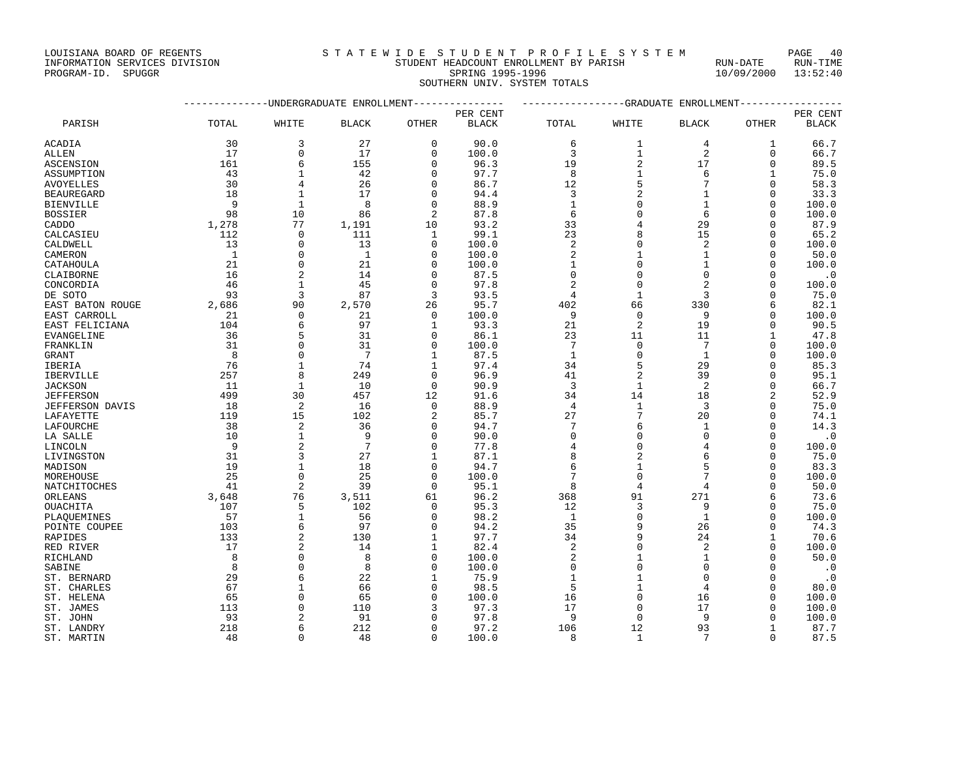INFORMATION SERVICES DIVISION STUDENT HEADCOUNT ENROLLMENT BY PARISH RUN-DATE RUN-TIME

PROGRAM-ID. SPUGGR SPRING 1995-1996 10/09/2000 13:52:40 SOUTHERN UNIV. SYSTEM TOTALS

--------------UNDERGRADUATE ENROLLMENT--------------- -----------------GRADUATE ENROLLMENT-----------------

PER CENT PER CENT

PARISH TOTAL WHITE BLACK OTHER BLACK TOTAL WHITE BLACK OTHER BLACK ACADIA 30 3 27 0 90.0 6 1 4 1 66.7

| <b>ALLEN</b>      | 17           | $\Omega$       | 17           | $\Omega$             | 100.0         | 3                  | 1              | 2                 | 0                    | 66.7          |
|-------------------|--------------|----------------|--------------|----------------------|---------------|--------------------|----------------|-------------------|----------------------|---------------|
| ASCENSION         | 161          | 6              | 155          | $\mathbf{0}$         | 96.3          | 19                 | $\overline{2}$ | 17                | 0                    | 89.5          |
| ASSUMPTION        | 43           | 1              | 42           | $\mathbf 0$          | 97.7          | 8                  | $\mathbf{1}$   | 6                 | 1                    | 75.0          |
| <b>AVOYELLES</b>  | 30           | 4              | 26           | $\Omega$             | 86.7          | 12                 | 5              |                   | 0                    | 58.3          |
| <b>BEAUREGARD</b> | 18           | $\mathbf{1}$   | 17           | $\Omega$             | 94.4          | 3                  | $\overline{c}$ |                   | $\Omega$             | 33.3          |
| <b>BIENVILLE</b>  | 9            | $\mathbf{1}$   | 8            | $\mathbf{0}$         | 88.9          | $\mathbf{1}$       | $\Omega$       |                   | $\mathbf 0$          | 100.0         |
| <b>BOSSIER</b>    | 98           | 10             | 86           | $\overline{2}$       | 87.8          | 6                  | $\Omega$       | 6                 | $\Omega$             | 100.0         |
| CADDO             | 1,278        | 77             | 1,191        | 10                   | 93.2          | 33                 | $\overline{4}$ | 29                | $\Omega$             | 87.9          |
| CALCASIEU         | 112          | $\Omega$       | 111          | $\mathbf{1}$         | 99.1          | 23                 | 8              | 15                | $\Omega$             | 65.2          |
| CALDWELL          | 13           | $\mathbf{0}$   | 13           | $\mathbf{0}$         | 100.0         | 2                  | $\Omega$       | 2                 | $\Omega$             | 100.0         |
| CAMERON           | $\mathbf{1}$ | $\Omega$       | $\mathbf{1}$ | $\mathbf{0}$         | 100.0         | $\overline{2}$     | $\mathbf{1}$   | 1                 | $\mathbf 0$          | 50.0          |
| CATAHOULA         | 21           | $\Omega$       | 21           | $\Omega$             | 100.0         | $\mathbf{1}$       | $\cap$         |                   | $\Omega$             | 100.0         |
| CLAIBORNE         | 16           | $\overline{c}$ | 14           | $\Omega$             | 87.5          | $\Omega$           | $\Omega$       | $\Omega$          | $\Omega$             | $\cdot$ 0     |
| CONCORDIA         | 46           | $\mathbf{1}$   | 45           | $\mathbf{0}$         | 97.8          | $\overline{2}$     | $\Omega$       | $\overline{2}$    | $\Omega$             | 100.0         |
| DE SOTO           | 93           | 3              | 87           | 3                    | 93.5          | $\overline{4}$     | $\mathbf{1}$   | 3                 | 0                    | 75.0          |
| EAST BATON ROUGE  | 2,686        | 90             | 2,570        | 26                   | 95.7          | 402                | 66             | 330               | 6                    | 82.1          |
| EAST CARROLL      | 21           | $\Omega$       | 21           | $\Omega$             | 100.0         | 9                  | $\Omega$       | 9                 | $\mathbf 0$          | 100.0         |
| EAST FELICIANA    | 104          | 6              | 97           | $\mathbf{1}$         | 93.3          | 21                 | $\overline{2}$ | 19                | $\mathbf 0$          | 90.5          |
| EVANGELINE        | 36           |                | 31           | $\mathbf 0$          | 86.1          | 23                 | 11             | 11                | 1                    | 47.8          |
| FRANKLIN          | 31           | $\Omega$       | 31           | $\mathbf{0}$         | 100.0         | 7                  | $\Omega$       | 7                 | $\mathbf 0$          | 100.0         |
| <b>GRANT</b>      | 8            | $\Omega$       | 7            | $\mathbf{1}$         | 87.5          | $\mathbf{1}$       | $\Omega$       | $\mathbf{1}$      | $\mathbf 0$          | 100.0         |
| <b>IBERIA</b>     | 76           | $\mathbf{1}$   | 74           | $\mathbf{1}$         | 97.4          | 34                 | 5              | 29                | $\mathbf 0$          | 85.3          |
| IBERVILLE         | 257          | 8              | 249          | $\Omega$             | 96.9          | 41                 | $\overline{2}$ | 39                | $\Omega$             | 95.1          |
| <b>JACKSON</b>    | 11           | $\mathbf{1}$   | 10           | $\Omega$             | 90.9          | 3                  | $\mathbf{1}$   | 2                 | $\Omega$             | 66.7          |
| <b>JEFFERSON</b>  | 499          | 30             | 457          | 12                   | 91.6          | 34                 | 14             | 18                | $\overline{2}$       | 52.9          |
| JEFFERSON DAVIS   | 18           | $\overline{2}$ | 16           | $\mathbf{0}$         | 88.9          | $\overline{4}$     | $\mathbf{1}$   | 3                 | $\Omega$             | 75.0          |
| LAFAYETTE         | 119          | 15             | 102          | 2                    | 85.7          | 27                 | 7              | 20                | $\Omega$             | 74.1          |
| LAFOURCHE         | 38           | $\overline{c}$ | 36           | $\mathbf{0}$         | 94.7          | 7                  | 6              | 1                 | $\mathbf 0$          | 14.3          |
| LA SALLE          | 10           | $\mathbf{1}$   | 9            | $\Omega$             | 90.0          | $\Omega$           | $\Omega$       | $\Omega$          | $\Omega$             | $\cdot$ 0     |
| LINCOLN           | 9            | $\overline{a}$ | 7            | $\Omega$             | 77.8          | 4                  | $\Omega$       |                   | $\mathbf 0$          | 100.0         |
| LIVINGSTON        | 31           | 3              | 27           | $\mathbf{1}$         | 87.1          | 8                  | $\overline{c}$ |                   | $\mathbf 0$          | 75.0          |
|                   | 19           | $\mathbf{1}$   | 18           | $\Omega$             | 94.7          | 6                  | $\mathbf{1}$   | 5                 |                      | 83.3          |
| MADISON           |              |                |              |                      |               | 7                  | $\Omega$       |                   | 0                    |               |
| MOREHOUSE         | 25<br>41     | $\Omega$       | 25<br>39     | $\Omega$<br>$\Omega$ | 100.0<br>95.1 | 8                  | $\overline{4}$ |                   | $\Omega$<br>$\Omega$ | 100.0<br>50.0 |
| NATCHITOCHES      |              | $\overline{2}$ |              |                      |               |                    |                | 4                 |                      |               |
| ORLEANS           | 3,648        | 76             | 3,511        | 61                   | 96.2          | 368                | 91             | 271               | 6                    | 73.6          |
| OUACHITA          | 107          | 5              | 102          | $\mathbf 0$          | 95.3          | 12                 | 3<br>$\Omega$  | 9                 | 0                    | 75.0          |
| PLAQUEMINES       | 57           | $\mathbf{1}$   | 56<br>97     | $\Omega$             | 98.2          | $\mathbf{1}$<br>35 | 9              | $\mathbf 1$<br>26 | $\mathbf 0$          | 100.0         |
| POINTE COUPEE     | 103          | 6              |              | $\Omega$             | 94.2          |                    |                |                   | $\Omega$             | 74.3          |
| RAPIDES           | 133          | $\overline{2}$ | 130          | $\mathbf{1}$         | 97.7          | 34                 | 9              | 24                | $\mathbf{1}$         | 70.6          |
| RED RIVER         | 17           | $\overline{2}$ | 14           | 1                    | 82.4          | 2                  | $\Omega$       | 2                 | $\Omega$             | 100.0         |
| RICHLAND          | 8            | $\cap$         | 8            | $\mathbf 0$          | 100.0         | $\overline{2}$     | $\mathbf{1}$   | $\mathbf{1}$      | $\Omega$             | 50.0          |
| SABINE            | 8            | $\Omega$       | 8            | $\Omega$             | 100.0         | $\Omega$           | $\Omega$       | $\Omega$          | $\Omega$             | $\cdot$ 0     |
| ST. BERNARD       | 29           | 6              | 22           | $\mathbf{1}$         | 75.9          | 1                  | $\mathbf{1}$   | $\Omega$          | $\Omega$             | $\cdot$ 0     |
| ST. CHARLES       | 67           |                | 66           | $\Omega$             | 98.5          | 5                  | $\mathbf{1}$   | 4                 | $\Omega$             | 80.0          |
| ST. HELENA        | 65           | $\Omega$       | 65           | $\mathbf 0$          | 100.0         | 16                 | $\Omega$       | 16                | 0                    | 100.0         |
| ST. JAMES         | 113          | $\Omega$       | 110          | 3                    | 97.3          | 17                 | $\Omega$       | 17                | $\Omega$             | 100.0         |
| ST. JOHN          | 93           | $\overline{2}$ | 91           | 0                    | 97.8          | 9                  | $\mathbf{0}$   | 9                 | $\mathbf 0$          | 100.0         |
| ST. LANDRY        | 218          | 6              | 212          | O                    | 97.2          | 106                | 12             | 93                | 1                    | 87.7          |
| ST. MARTIN        | 48           | $\Omega$       | 48           | $\Omega$             | 100.0         | $\mathsf{R}$       | $\mathbf{1}$   | 7                 | $\Omega$             | 87.5          |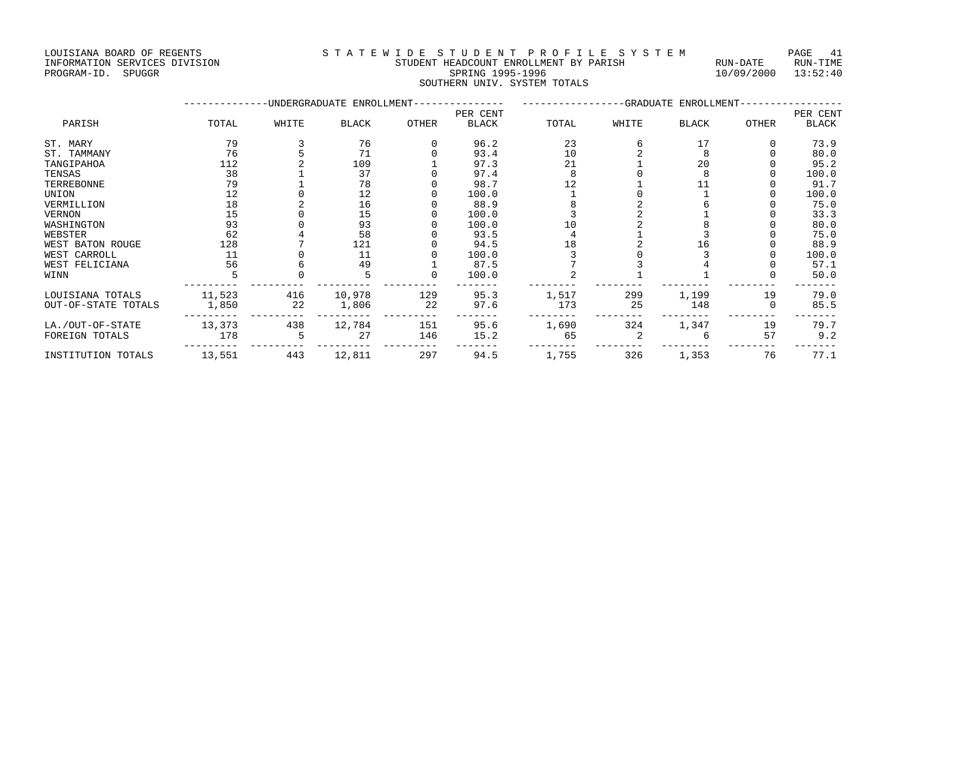LOUISIANA BOARD OF REGENTS S T A T E W I D E S T U D E N T P R O F I L E S Y S T E M PAGE 41

## INFORMATION SERVICES DIVISION STUDENT HEADCOUNT ENROLLMENT BY PARISH RUN-DATE RUN-TIME PROGRAM-ID. SPUGGR SPRING 1995-1996 10/09/2000 13:52:40 SOUTHERN UNIV. SYSTEM TOTALS

|                     |        |       | -UNDERGRADUATE ENROLLMENT-- |       | -------------GRADUATE ENROLLMENT-- |          |       |              |       |       |
|---------------------|--------|-------|-----------------------------|-------|------------------------------------|----------|-------|--------------|-------|-------|
| PARISH              |        |       |                             |       |                                    | PER CENT |       |              |       |       |
|                     | TOTAL  | WHITE | <b>BLACK</b>                | OTHER | <b>BLACK</b>                       | TOTAL    | WHITE | <b>BLACK</b> | OTHER | BLACK |
| ST. MARY            | 79     |       | 76                          |       | 96.2                               | 23       |       | 17           |       | 73.9  |
| ST. TAMMANY         | 76     |       | 71                          |       | 93.4                               | 10       |       |              |       | 80.0  |
| TANGIPAHOA          | 112    |       | 109                         |       | 97.3                               | 21       |       | 20           |       | 95.2  |
| TENSAS              | 38     |       | 37                          |       | 97.4                               |          |       |              |       | 100.0 |
| TERREBONNE          | 79     |       | 78                          |       | 98.7                               |          |       |              |       | 91.7  |
| UNION               | 12     |       | 12                          |       | 100.0                              |          |       |              |       | 100.0 |
| VERMILLION          | 18     |       | 16                          |       | 88.9                               |          |       |              |       | 75.0  |
| VERNON              | 15     |       | 15                          |       | 100.0                              |          |       |              |       | 33.3  |
| WASHINGTON          | 93     |       | 93                          |       | 100.0                              | 10       |       |              |       | 80.0  |
| WEBSTER             | 62     |       | 58                          |       | 93.5                               |          |       |              |       | 75.0  |
| WEST BATON ROUGE    | 128    |       | 121                         |       | 94.5                               | 18       |       | 16           |       | 88.9  |
| WEST CARROLL        | 11     |       | 11                          |       | 100.0                              |          |       |              |       | 100.0 |
| WEST FELICIANA      | 56     |       | 49                          |       | 87.5                               |          |       |              |       | 57.1  |
| WINN                |        |       |                             |       | 100.0                              |          |       |              |       | 50.0  |
| LOUISIANA TOTALS    | 11,523 | 416   | 10,978                      | 129   | 95.3                               | 1,517    | 299   | 1,199        | 19    | 79.0  |
| OUT-OF-STATE TOTALS | 1,850  | 22    | 1,806                       | 22    | 97.6                               | 173      | 25    | 148          |       | 85.5  |
| LA./OUT-OF-STATE    | 13,373 | 438   | 12,784                      | 151   | 95.6                               | 1,690    | 324   | 1,347        | 19    | 79.7  |
| FOREIGN TOTALS      | 178    |       | 27                          | 146   | 15.2                               | 65       |       |              | 57    | 9.2   |
| INSTITUTION TOTALS  | 13,551 | 443   | 12,811                      | 297   | 94.5                               | 1,755    | 326   | 1,353        | 76    | 77.1  |
|                     |        |       |                             |       |                                    |          |       |              |       |       |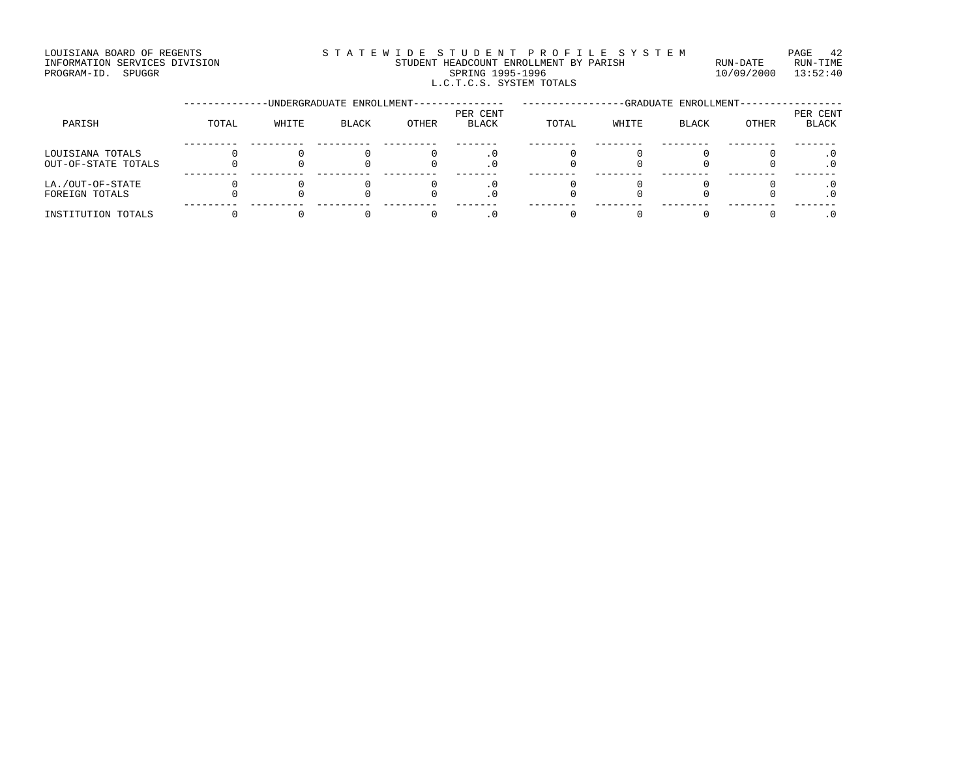### LOUISIANA BOARD OF REGENTS STATEWIDE STUDENT PROFILE SYSTEM PAGE 42 INFORMATION SERVICES DIVISION STUDENT HEADCOUNT ENROLLMENT BY PARISH RUN-DATE RUN-TIME PROGRAM-ID. SPUGGR SPRING 1995-1996 10/09/2000 13:52:40 L.C.T.C.S. SYSTEM TOTALS

|                     |       |       | -UNDERGRADUATE ENROLLMENT- |       | -GRADUATE ENROLLMENT-    |       |       |              |       |                          |
|---------------------|-------|-------|----------------------------|-------|--------------------------|-------|-------|--------------|-------|--------------------------|
| PARISH              | TOTAL | WHITE | <b>BLACK</b>               | OTHER | PER CENT<br><b>BLACK</b> | TOTAL | WHITE | <b>BLACK</b> | OTHER | PER CENT<br><b>BLACK</b> |
|                     |       |       |                            |       |                          |       |       |              |       |                          |
| LOUISIANA TOTALS    |       |       |                            |       | . 0                      |       |       |              |       |                          |
| OUT-OF-STATE TOTALS |       |       |                            |       |                          |       |       |              |       |                          |
| LA./OUT-OF-STATE    |       |       |                            |       | . 0                      |       |       |              |       |                          |
| FOREIGN TOTALS      |       |       |                            |       | . 0                      |       |       |              |       |                          |
| INSTITUTION TOTALS  |       |       |                            |       |                          |       |       |              |       |                          |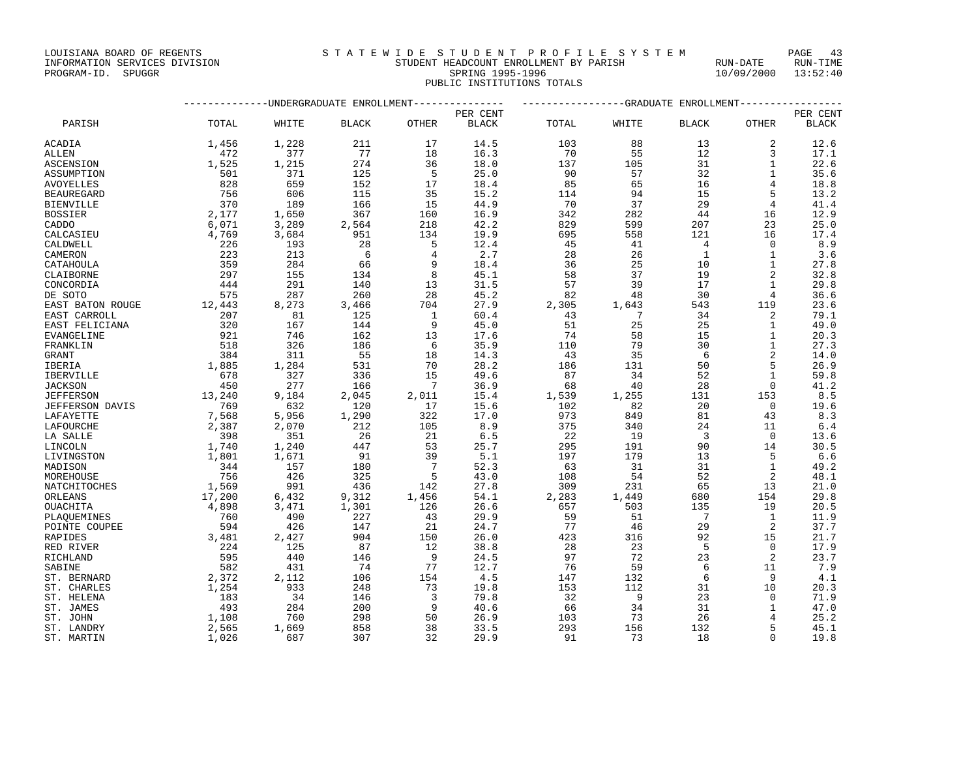## INFORMATION SERVICES DIVISION STUDENT HEADCOUNT ENROLLMENT BY PARISH RUN-DATE RUN-TIME PROGRAM-ID. SPUGGR SPRING 1995-1996 10/09/2000 13:52:40 PUBLIC INSTITUTIONS TOTALS

|                                     |               |              | -----------UNDERGRADUATE ENROLLMENT--------------- |                 |              | -------------GRADUATE ENROLLMENT-------- |                 |                         |                 |              |
|-------------------------------------|---------------|--------------|----------------------------------------------------|-----------------|--------------|------------------------------------------|-----------------|-------------------------|-----------------|--------------|
|                                     |               |              |                                                    |                 | PER CENT     |                                          |                 |                         |                 | PER CENT     |
| PARISH                              | TOTAL         | WHITE        | <b>BLACK</b>                                       | OTHER           | <b>BLACK</b> | TOTAL                                    | WHITE           | <b>BLACK</b>            | OTHER           | <b>BLACK</b> |
| ACADIA                              | 1,456         | 1,228        | 211                                                | 17              | 14.5         | 103                                      | 88              | 13                      | 2               | 12.6         |
| ALLEN                               | 472           | 377          | 77                                                 | 18              | 16.3         | 70                                       | 55              | 12                      | 3               | 17.1         |
| <b>ASCENSION</b>                    | 1,525         | 1,215        | 274                                                | 36              | 18.0         | 137                                      | 105             | 31                      | 1               | 22.6         |
| ASSUMPTION                          | 501           | 371          | 125                                                | -5              | 25.0         | 90                                       | 57              | 32                      | $\mathbf{1}$    | 35.6         |
| AVOYELLES                           | 828           | 659          | 152                                                | 17              | 18.4         | 85                                       | 65              | 16                      | $\overline{4}$  | 18.8         |
| <b>BEAUREGARD</b>                   | 756           | 606          | 115                                                | 35              | 15.2         | 114                                      | 94              | 15                      | 5               | 13.2         |
| <b>BIENVILLE</b>                    | 370           | 189          | 166                                                | 15              | 44.9         | 70                                       | 37              | 29                      | $\overline{4}$  | 41.4         |
| <b>BOSSIER</b>                      | 2,177         | 1,650        | 367                                                | 160             | 16.9         | 342                                      | 282             | 44                      | 16              | 12.9         |
| CADDO                               | 6,071         | 3,289        | 2,564                                              | 218             | 42.2         | 829                                      | 599             | 207                     | 23              | 25.0         |
| CALCASIEU                           | 4,769         | 3,684        | 951                                                | 134             | 19.9         | 695                                      | 558             | 121                     | 16              | 17.4         |
| CALDWELL                            | 226           | 193          | 28                                                 | 5               | 12.4         | 45                                       | 41              | $\overline{4}$          | $\Omega$        | 8.9          |
| CAMERON                             | 223           | 213          | 6                                                  | 4               | 2.7          | 28                                       | 26              | <sup>1</sup>            | 1               | 3.6          |
| CATAHOULA                           | 359           | 284          | 66                                                 | 9               | 18.4         | 36                                       | 25              | 10                      | 1               | 27.8         |
| CLAIBORNE                           | 297           | 155          | 134                                                | 8               | 45.1         | 58                                       | 37              | 19                      | 2               | 32.8         |
| CONCORDIA                           | 444           | 291          | 140                                                | 13              | 31.5         | 57                                       | 39              | 17                      | $\mathbf{1}$    | 29.8         |
| DE SOTO                             | 575           | 287          | 260                                                | 28              | 45.2         | 82                                       | 48              | 30                      | $\overline{4}$  | 36.6         |
| EAST BATON ROUGE                    | 12,443        | 8,273        | 3,466                                              | 704             | 27.9         | 2,305                                    | 1,643           | 543                     | 119             | 23.6         |
| EAST CARROLL                        | 207           | 81           | 125                                                | 1               | 60.4         | 43                                       | $7\phantom{.0}$ | 34                      | 2               | 79.1         |
| EAST FELICIANA                      | 320           | 167          | 144                                                | 9               | 45.0         | 51                                       | 25              | 25                      | 1               | 49.0         |
| <b>EVANGELINE</b>                   | 921           | 746          | 162                                                | 13              | 17.6         | 74                                       | 58              | 15                      | $\mathbf{1}$    | 20.3         |
| FRANKLIN                            | 518           | 326          | 186                                                | 6               | 35.9         | 110                                      | 79              | 30                      | $\mathbf{1}$    | 27.3         |
| <b>GRANT</b>                        | 384           | 311          | 55                                                 | 18              | 14.3         | 43                                       | 35              | - 6                     | $\overline{2}$  | 14.0         |
| <b>IBERIA</b>                       | 1,885         | 1,284        | 531                                                | 70              | 28.2         | 186                                      | 131             | 50                      | 5               | 26.9         |
| IBERVILLE                           | 678           | 327          | 336                                                | 15              | 49.6         | 87                                       | 34              | 52                      | 1               | 59.8         |
| <b>JACKSON</b>                      | 450<br>13,240 | 277<br>9,184 | 166                                                | $7\phantom{.0}$ | 36.9         | 68                                       | 40              | 28                      | $\Omega$        | 41.2         |
| <b>JEFFERSON</b>                    | 769           | 632          | 2,045<br>120                                       | 2,011<br>17     | 15.4<br>15.6 | 1,539<br>102                             | 1,255<br>82     | 131<br>20               | 153<br>$\Omega$ | 8.5<br>19.6  |
| <b>JEFFERSON DAVIS</b><br>LAFAYETTE | 7,568         | 5,956        | 1,290                                              | 322             | 17.0         | 973                                      | 849             | 81                      | 43              | 8.3          |
|                                     | 2,387         | 2,070        | 212                                                | 105             | 8.9          | 375                                      | 340             | 24                      | 11              | 6.4          |
| LAFOURCHE<br>LA SALLE               | 398           | 351          | 26                                                 | 21              | 6.5          | 22                                       | 19              | $\overline{\mathbf{3}}$ | $\Omega$        | 13.6         |
| LINCOLN                             | 1,740         | 1,240        | 447                                                | 53              | 25.7         | 295                                      | 191             | 90                      | 14              | 30.5         |
| LIVINGSTON                          | 1,801         | 1,671        | 91                                                 | 39              | 5.1          | 197                                      | 179             | 13                      | -5              | 6.6          |
| MADISON                             | 344           | 157          | 180                                                | $\overline{7}$  | 52.3         | 63                                       | 31              | 31                      | 1               | 49.2         |
| MOREHOUSE                           | 756           | 426          | 325                                                | 5               | 43.0         | 108                                      | 54              | 52                      | -2              | 48.1         |
| NATCHITOCHES                        | 1,569         | 991          | 436                                                | 142             | 27.8         | 309                                      | 231             | 65                      | 13              | 21.0         |
| ORLEANS                             | 17,200        | 6,432        | 9,312                                              | 1,456           | 54.1         | 2,283                                    | 1,449           | 680                     | 154             | 29.8         |
| OUACHITA                            | 4,898         | 3,471        | 1,301                                              | 126             | 26.6         | 657                                      | 503             | 135                     | 19              | 20.5         |
| PLAQUEMINES                         | 760           | 490          | 227                                                | 43              | 29.9         | 59                                       | 51              | $\overline{7}$          | $\mathbf{1}$    | 11.9         |
| POINTE COUPEE                       | 594           | 426          | 147                                                | 21              | 24.7         | 77                                       | 46              | 29                      | 2               | 37.7         |
| RAPIDES                             | 3,481         | 2,427        | 904                                                | 150             | 26.0         | 423                                      | 316             | 92                      | 15              | 21.7         |
| RED RIVER                           | 224           | 125          | 87                                                 | 12              | 38.8         | 28                                       | 23              | 5                       | $\Omega$        | 17.9         |
| RICHLAND                            | 595           | 440          | 146                                                | 9               | 24.5         | 97                                       | 72              | 23                      | 2               | 23.7         |
| SABINE                              | 582           | 431          | 74                                                 | 77              | 12.7         | 76                                       | 59              | 6                       | 11              | 7.9          |
| ST. BERNARD                         | 2,372         | 2,112        | 106                                                | 154             | 4.5          | 147                                      | 132             | 6                       | 9               | 4.1          |
| ST. CHARLES                         | 1,254         | 933          | 248                                                | 73              | 19.8         | 153                                      | 112             | 31                      | 10              | 20.3         |
| ST. HELENA                          | 183           | 34           | 146                                                | 3               | 79.8         | 32                                       | $\overline{9}$  | 23                      | $\Omega$        | 71.9         |
| ST. JAMES                           | 493           | 284          | 200                                                | 9               | 40.6         | 66                                       | 34              | 31                      | 1               | 47.0         |
| ST. JOHN                            | 1,108         | 760          | 298                                                | 50              | 26.9         | 103                                      | 73              | 26                      |                 | 25.2         |
| ST. LANDRY                          | 2,565         | 1,669        | 858                                                | 38              | 33.5         | 293                                      | 156             | 132                     | 5               | 45.1         |
| ST. MARTIN                          | 1,026         | 687          | 307                                                | 32              | 29.9         | 91                                       | 73              | 18                      | $\Omega$        | 19.8         |